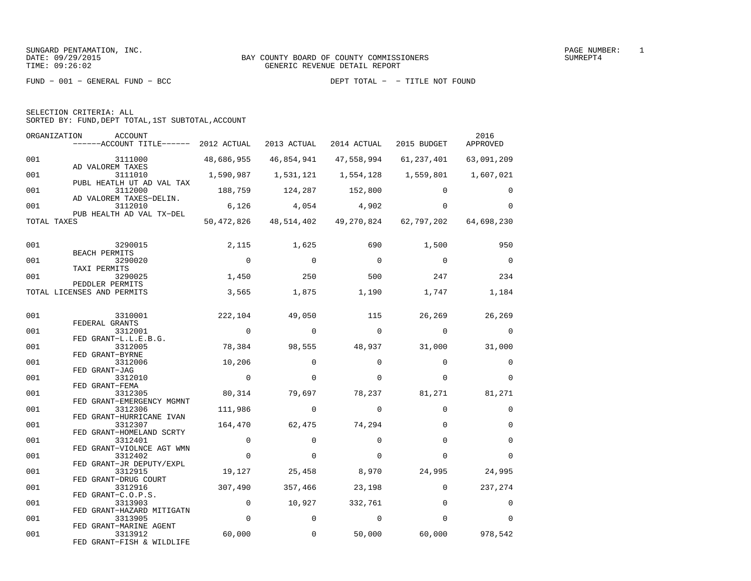| SELECTION CRITERIA: ALL |  |
|-------------------------|--|
|-------------------------|--|

SORTED BY: FUND,DEPT TOTAL,1ST SUBTOTAL,ACCOUNT

| ORGANIZATION | <b>ACCOUNT</b><br>------ACCOUNT TITLE------ 2012 ACTUAL |                | 2013 ACTUAL    | 2014 ACTUAL                                            | 2015 BUDGET | 2016<br>APPROVED |
|--------------|---------------------------------------------------------|----------------|----------------|--------------------------------------------------------|-------------|------------------|
| 001          | 3111000                                                 | 48,686,955     | 46,854,941     | 47,558,994                                             | 61,237,401  | 63,091,209       |
| 001          | AD VALOREM TAXES<br>3111010                             | 1,590,987      | 1,531,121      | 1,554,128                                              | 1,559,801   | 1,607,021        |
| 001          | PUBL HEATLH UT AD VAL TAX<br>3112000                    | 188,759        | 124,287        | 152,800                                                | $\Omega$    | $\Omega$         |
| 001          | AD VALOREM TAXES-DELIN.<br>3112010                      | 6,126          | 4,054          | 4,902                                                  | $\Omega$    | $\Omega$         |
| TOTAL TAXES  | PUB HEALTH AD VAL TX-DEL                                |                |                | 50,472,826 48,514,402 49,270,824 62,797,202 64,698,230 |             |                  |
| 001          | 3290015                                                 | 2,115          | 1,625          | 690                                                    | 1,500       | 950              |
|              | BEACH PERMITS                                           | $\overline{0}$ | $\overline{0}$ | $\overline{0}$                                         | $\Omega$    | $\Omega$         |
| 001          | 3290020<br>TAXI PERMITS                                 |                |                |                                                        |             |                  |
| 001          | 3290025                                                 | 1,450          | 250            | 500                                                    | 247         | 234              |
|              | PEDDLER PERMITS<br>TOTAL LICENSES AND PERMITS           | 3,565          | 1,875          | 1,190                                                  | 1,747       | 1,184            |
| 001          | 3310001                                                 | 222,104        | 49,050         | 115                                                    | 26,269      | 26,269           |
|              | FEDERAL GRANTS                                          |                |                |                                                        |             |                  |
| 001          | 3312001<br>FED GRANT-L.L.E.B.G.                         | $\overline{0}$ | $\mathbf 0$    | $\overline{0}$                                         | $\mathbf 0$ | $\mathbf 0$      |
| 001          | 3312005                                                 | 78,384         | 98,555         | 48,937                                                 | 31,000      | 31,000           |
| 001          | FED GRANT-BYRNE<br>3312006                              | 10,206         | $\Omega$       | $\Omega$                                               | $\Omega$    | $\mathbf 0$      |
| 001          | FED GRANT-JAG<br>3312010                                | $\overline{0}$ | $\Omega$       | $\Omega$                                               | $\Omega$    | $\Omega$         |
|              | FED GRANT-FEMA                                          |                |                |                                                        |             |                  |
| 001          | 3312305                                                 | 80,314         | 79,697         | 78,237                                                 | 81,271      | 81,271           |
|              | FED GRANT-EMERGENCY MGMNT                               |                |                |                                                        |             |                  |
| 001          | 3312306<br>FED GRANT-HURRICANE IVAN                     | 111,986        | $\Omega$       | $\Omega$                                               | $\Omega$    | 0                |
| 001          | 3312307                                                 | 164,470        | 62,475         | 74,294                                                 | $\Omega$    | $\mathbf 0$      |
| 001          | FED GRANT-HOMELAND SCRTY<br>3312401                     | $\mathbf 0$    | $\Omega$       | $\Omega$                                               | $\Omega$    | $\Omega$         |
|              | FED GRANT-VIOLNCE AGT WMN                               |                |                |                                                        |             |                  |
| 001          | 3312402                                                 | $\mathbf 0$    | 0              | $\Omega$                                               | $\Omega$    | $\Omega$         |
| 001          | FED GRANT-JR DEPUTY/EXPL<br>3312915                     | 19,127         | 25,458         | 8,970                                                  | 24,995      | 24,995           |
|              | FED GRANT-DRUG COURT                                    |                |                |                                                        |             |                  |
| 001          | 3312916                                                 | 307,490        | 357,466        | 23,198                                                 | $\mathbf 0$ | 237,274          |
|              | FED GRANT-C.O.P.S.                                      |                |                |                                                        |             |                  |
| 001          | 3313903                                                 | $\mathbf 0$    | 10,927         | 332,761                                                | $\Omega$    | $\Omega$         |
| 001          | FED GRANT-HAZARD MITIGATN<br>3313905                    | $\mathbf 0$    | $\mathbf 0$    | $\Omega$                                               | $\Omega$    | $\Omega$         |
|              | FED GRANT-MARINE AGENT                                  |                |                |                                                        |             |                  |
| 001          | 3313912                                                 | 60,000         | $\mathbf 0$    | 50,000                                                 | 60,000      | 978,542          |
|              | FED GRANT-FISH & WILDLIFE                               |                |                |                                                        |             |                  |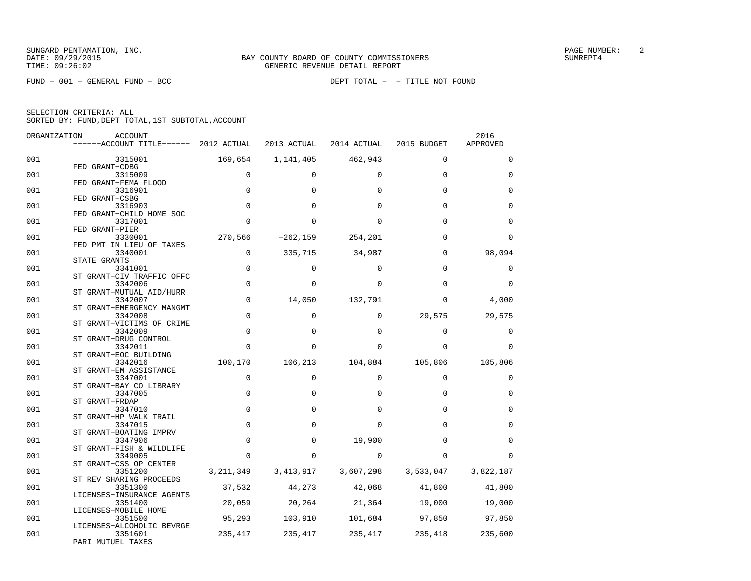FUND − 001 − GENERAL FUND − BCC DEPT TOTAL − − TITLE NOT FOUND

| ORGANIZATION | <b>ACCOUNT</b>                        |              |                         |                 |                     | 2016        |
|--------------|---------------------------------------|--------------|-------------------------|-----------------|---------------------|-------------|
|              | ------ACCOUNT TITLE------ 2012 ACTUAL |              | 2013 ACTUAL             | 2014 ACTUAL     | 2015 BUDGET         | APPROVED    |
| 001          | 3315001                               | 169,654      | 1,141,405               | 462,943         | $\Omega$            | $\Omega$    |
| 001          | FED GRANT-CDBG<br>3315009             | $\mathbf 0$  | $\Omega$                | $\Omega$        | $\Omega$            | $\Omega$    |
| 001          | FED GRANT-FEMA FLOOD<br>3316901       | $\mathbf 0$  | $\Omega$                | $\Omega$        | $\Omega$            | $\Omega$    |
|              | FED GRANT-CSBG                        |              |                         |                 |                     |             |
| 001          | 3316903<br>FED GRANT-CHILD HOME SOC   | $\Omega$     | $\Omega$                | <sup>0</sup>    | $\Omega$            | $\Omega$    |
| 001          | 3317001                               | $\Omega$     | <sup>0</sup>            | 0               | $\Omega$            | $\Omega$    |
| 001          | FED GRANT-PIER<br>3330001             | 270,566      | $-262, 159$             | 254,201         | $\Omega$            | $\Omega$    |
|              | FED PMT IN LIEU OF TAXES              |              |                         |                 |                     |             |
| 001          | 3340001                               | $\mathsf{O}$ | 335,715                 | 34,987          | $\Omega$            | 98,094      |
|              | STATE GRANTS                          |              |                         |                 |                     |             |
| 001          | 3341001<br>ST GRANT-CIV TRAFFIC OFFC  | $\mathbf 0$  | $\Omega$                | $\Omega$        | $\Omega$            | 0           |
| 001          | 3342006                               | $\mathbf 0$  | $\Omega$                | <sup>0</sup>    | $\Omega$            | $\Omega$    |
|              | ST GRANT-MUTUAL AID/HURR              |              |                         |                 |                     |             |
| 001          | 3342007                               | $\mathbf 0$  | 14,050                  | 132,791         | $\Omega$            | 4,000       |
|              | ST GRANT-EMERGENCY MANGMT             |              |                         |                 |                     |             |
| 001          | 3342008                               | $\mathsf 0$  | $\mathbf 0$             | 0               | 29,575              | 29,575      |
|              | ST GRANT-VICTIMS OF CRIME             |              |                         |                 |                     |             |
| 001          | 3342009                               | $\mathbf 0$  | 0                       | $\Omega$        | $\Omega$            | 0           |
| 001          | ST GRANT-DRUG CONTROL<br>3342011      | $\Omega$     | $\Omega$                | 0               | $\Omega$            | $\Omega$    |
|              | ST GRANT-EOC BUILDING                 |              |                         |                 |                     |             |
| 001          | 3342016                               | 100,170      | 106,213                 | 104,884         | 105,806             | 105,806     |
|              | ST GRANT-EM ASSISTANCE                |              |                         |                 |                     |             |
| 001          | 3347001                               | $\mathbf 0$  | $\Omega$                | $\Omega$        | $\Omega$            | $\mathbf 0$ |
|              | ST GRANT-BAY CO LIBRARY               |              |                         |                 |                     |             |
| 001          | 3347005                               | $\mathbf 0$  | 0                       | $\Omega$        | $\Omega$            | $\mathbf 0$ |
|              | ST GRANT-FRDAP                        |              |                         |                 |                     |             |
| 001          | 3347010                               | $\mathbf 0$  | $\Omega$                | 0               | $\Omega$            | $\Omega$    |
| 001          | ST GRANT-HP WALK TRAIL<br>3347015     | $\mathbf 0$  | $\Omega$                | <sup>0</sup>    | $\Omega$            | $\Omega$    |
|              | ST GRANT-BOATING IMPRV                |              |                         |                 |                     |             |
| 001          | 3347906                               | $\mathbf 0$  | $\mathbf 0$             | 19,900          | $\Omega$            | $\Omega$    |
|              | ST GRANT-FISH & WILDLIFE              |              |                         |                 |                     |             |
| 001          | 3349005                               | $\Omega$     | $\Omega$                | $\Omega$        | <sup>0</sup>        | $\Omega$    |
|              | ST GRANT-CSS OP CENTER                |              |                         |                 |                     |             |
| 001          | 3351200                               |              | 3, 211, 349 3, 413, 917 |                 | 3,607,298 3,533,047 | 3,822,187   |
|              | ST REV SHARING PROCEEDS               |              |                         |                 |                     |             |
| 001          | 3351300<br>LICENSES-INSURANCE AGENTS  | 37,532       | 44,273                  | 42,068          | 41,800              | 41,800      |
| 001          | 3351400                               | 20,059       |                         | 20, 264 21, 364 | 19,000              | 19,000      |
|              | LICENSES-MOBILE HOME                  |              |                         |                 |                     |             |
| 001          | 3351500                               | 95,293       | 103,910                 | 101,684         | 97,850              | 97,850      |
|              | LICENSES-ALCOHOLIC BEVRGE             |              |                         |                 |                     |             |
| 001          | 3351601                               | 235,417      | 235,417                 |                 | 235,417 235,418     | 235,600     |
|              | PARI MUTUEL TAXES                     |              |                         |                 |                     |             |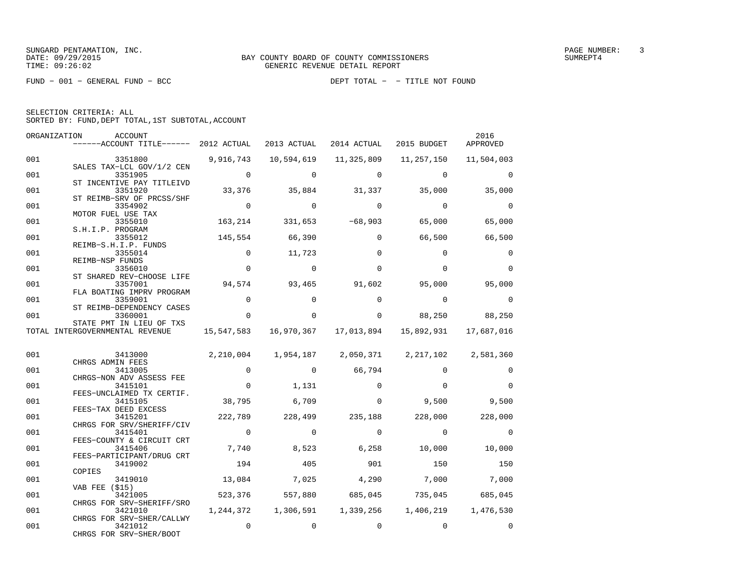FUND − 001 − GENERAL FUND − BCC DEPT TOTAL − − TITLE NOT FOUND

|  | SELECTION CRITERIA: ALL                            |  |  |
|--|----------------------------------------------------|--|--|
|  | SORTED BY: FUND, DEPT TOTAL, 1ST SUBTOTAL, ACCOUNT |  |  |

| ORGANIZATION | <b>ACCOUNT</b><br>------ACCOUNT TITLE------ 2012 ACTUAL           |                | 2013 ACTUAL    | 2014 ACTUAL | 2015 BUDGET                                                 | 2016<br>APPROVED |
|--------------|-------------------------------------------------------------------|----------------|----------------|-------------|-------------------------------------------------------------|------------------|
| 001          | 3351800                                                           | 9,916,743      | 10,594,619     | 11,325,809  | 11,257,150                                                  | 11,504,003       |
| 001          | SALES TAX-LCL GOV/1/2 CEN<br>3351905<br>ST INCENTIVE PAY TITLEIVD | $\overline{0}$ | $\Omega$       | $\Omega$    | $\Omega$                                                    | $\Omega$         |
| 001          | 3351920<br>ST REIMB-SRV OF PRCSS/SHF                              |                | 33,376 35,884  | 31,337      | 35,000                                                      | 35,000           |
| 001          | 3354902<br>MOTOR FUEL USE TAX                                     | $\overline{0}$ | $\Omega$       | $\Omega$    | $\Omega$                                                    | $\Omega$         |
| 001          | 3355010<br>S.H.I.P. PROGRAM                                       | 163,214        | 331,653        | $-68,903$   | 65,000                                                      | 65,000           |
| 001          | 3355012<br>REIMB-S.H.I.P. FUNDS                                   |                | 145,554 66,390 | $\Omega$    | 66,500                                                      | 66,500           |
| 001          | 3355014<br>REIMB-NSP FUNDS                                        | $\mathbf 0$    | 11,723         | $\Omega$    | $\Omega$                                                    | $\mathbf 0$      |
| 001          | 3356010<br>ST SHARED REV-CHOOSE LIFE                              | $\Omega$       | $\Omega$       | $\Omega$    | $\Omega$                                                    | $\Omega$         |
| 001          | 3357001<br>FLA BOATING IMPRV PROGRAM                              |                | 94,574 93,465  | 91,602      | 95,000                                                      | 95,000           |
| 001          | 3359001<br>ST REIMB-DEPENDENCY CASES                              | $\mathbf 0$    | $\Omega$       | $\Omega$    | $\Omega$                                                    | $\Omega$         |
| 001          | 3360001<br>STATE PMT IN LIEU OF TXS                               | $\Omega$       | $\Omega$       | $\Omega$    | 88,250                                                      | 88,250           |
|              | TOTAL INTERGOVERNMENTAL REVENUE                                   |                |                |             | 15,547,583  16,970,367  17,013,894  15,892,931  17,687,016  |                  |
| 001          | 3413000                                                           |                |                |             | 2, 210, 004 1, 954, 187 2, 050, 371 2, 217, 102 2, 581, 360 |                  |
| 001          |                                                                   |                |                |             |                                                             |                  |
|              | CHRGS ADMIN FEES<br>3413005                                       | $\mathbf{0}$   | $\overline{0}$ | 66,794      | $\Omega$                                                    | $\Omega$         |
| 001          | CHRGS-NON ADV ASSESS FEE<br>3415101                               | $\mathbf 0$    | 1,131          | $\Omega$    | $\Omega$                                                    | $\Omega$         |
| 001          | FEES-UNCLAIMED TX CERTIF.<br>3415105                              | 38,795         | 6,709          | $\Omega$    | 9,500                                                       | 9,500            |
| 001          | FEES-TAX DEED EXCESS<br>3415201                                   | 222,789        | 228,499        | 235,188     | 228,000                                                     | 228,000          |
| 001          | CHRGS FOR SRV/SHERIFF/CIV<br>3415401                              | $\overline{0}$ | $\Omega$       | $\Omega$    | $\Omega$                                                    | $\Omega$         |
| 001          | FEES-COUNTY & CIRCUIT CRT<br>3415406                              | 7,740          | 8,523          | 6,258       | 10,000                                                      | 10,000           |
| 001          | FEES-PARTICIPANT/DRUG CRT<br>3419002<br>COPIES                    | 194            | 405            | 901         | 150                                                         | 150              |
| 001          | 3419010<br><b>VAB FEE (\$15)</b>                                  | 13,084         | 7,025          | 4,290       | 7,000                                                       | 7,000            |
| 001          | 3421005<br>CHRGS FOR SRV-SHERIFF/SRO                              | 523,376        | 557,880        | 685,045     | 735,045 685,045                                             |                  |
| 001          | 3421010<br>CHRGS FOR SRV-SHER/CALLWY                              |                |                |             | 1, 244, 372 1, 306, 591 1, 339, 256 1, 406, 219             | 1,476,530        |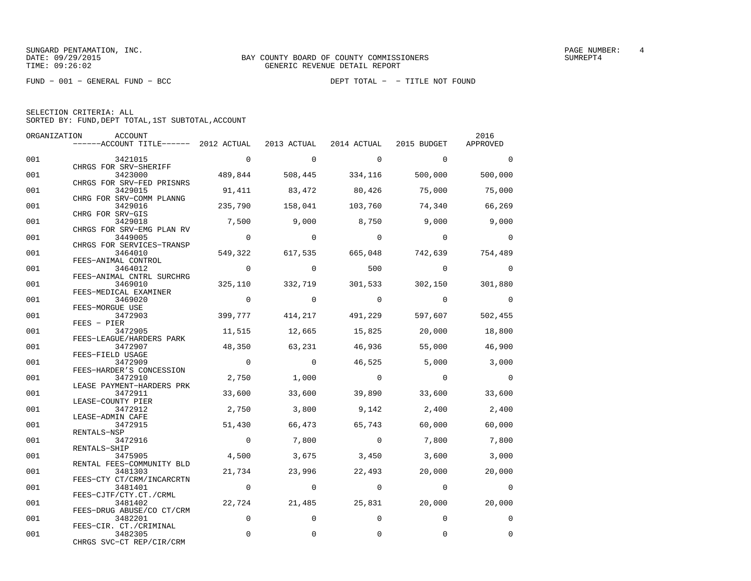| SELECTION CRITERIA: ALL |  |                                                    |  |
|-------------------------|--|----------------------------------------------------|--|
|                         |  | SORTED BY: FUND, DEPT TOTAL, 1ST SUBTOTAL, ACCOUNT |  |

| ORGANIZATION | ACCOUNT                                                                            |                |                |                         |                | 2016           |
|--------------|------------------------------------------------------------------------------------|----------------|----------------|-------------------------|----------------|----------------|
|              | ------ACCOUNT TITLE------ 2012 ACTUAL 2013 ACTUAL 2014 ACTUAL 2015 BUDGET APPROVED |                |                |                         |                |                |
| 001          | 3421015                                                                            | $\sim$ 0       | $\circ$        | $\overline{0}$          | $\overline{0}$ | $\overline{0}$ |
|              | CHRGS FOR SRV-SHERIFF                                                              |                |                |                         |                |                |
| 001          | 3423000<br>CHRGS FOR SRV-FED PRISNRS                                               |                |                | 489,844 508,445 334,116 | 500,000        | 500,000        |
| 001          | 3429015                                                                            |                |                | 91,411 83,472 80,426    | 75,000         | 75,000         |
|              | CHRG FOR SRV-COMM PLANNG                                                           |                |                |                         |                |                |
| 001          | 3429016<br>CHRG FOR SRV-GIS                                                        | 235,790        |                | 158,041 103,760         | 74,340         | 66,269         |
| 001          | 3429018                                                                            | 7,500          | 9,000          | 8,750                   | 9,000          | 9,000          |
|              | CHRGS FOR SRV-EMG PLAN RV                                                          |                |                |                         |                |                |
| 001          | 3449005                                                                            | $\overline{0}$ | $\overline{0}$ | $\overline{0}$          | $\overline{0}$ | $\overline{0}$ |
|              | CHRGS FOR SERVICES-TRANSP                                                          |                |                |                         |                |                |
| 001          | 3464010                                                                            | 549,322        |                | 617,535 665,048         | 742,639        | 754,489        |
|              | FEES-ANIMAL CONTROL                                                                |                |                |                         |                |                |
| 001          | 3464012                                                                            | $\overline{0}$ | $\Omega$       | 500                     | $\overline{0}$ | $\Omega$       |
|              | FEES-ANIMAL CNTRL SURCHRG                                                          |                |                |                         |                |                |
| 001          | 3469010                                                                            | 325,110        | 332,719        | 301,533                 | 302,150        | 301,880        |
|              | FEES-MEDICAL EXAMINER                                                              |                |                |                         |                |                |
| 001          | 3469020                                                                            | $\overline{0}$ | $\Omega$       | $\overline{0}$          | $\overline{0}$ | $\Omega$       |
|              | FEES-MORGUE USE                                                                    |                |                |                         |                |                |
| 001          | 3472903<br>$FEES - PIER$                                                           |                |                | 399,777 414,217 491,229 | 597,607        | 502,455        |
| 001          | 3472905                                                                            | 11,515         |                | 15,825                  |                | 18,800         |
|              | FEES-LEAGUE/HARDERS PARK                                                           |                | 12,665         |                         | 20,000         |                |
| 001          | 3472907                                                                            | 48,350         | 63,231         | 46,936                  | 55,000         | 46,900         |
|              | FEES-FIELD USAGE                                                                   |                |                |                         |                |                |
| 001          | 3472909                                                                            | $\overline{0}$ | $\overline{0}$ | 46,525                  | 5,000          | 3,000          |
|              | FEES-HARDER'S CONCESSION                                                           |                |                |                         |                |                |
| 001          | 3472910                                                                            | 2,750          | 1,000          | $\overline{0}$          | $\overline{0}$ | $\bigcirc$     |
|              | LEASE PAYMENT-HARDERS PRK                                                          |                |                |                         |                |                |
| 001          | 3472911                                                                            | 33,600         | 33,600         | 39,890                  | 33,600         | 33,600         |
|              | LEASE-COUNTY PIER                                                                  |                |                |                         |                |                |
| 001          | 3472912                                                                            | 2,750          | 3,800          | 9,142                   | 2,400          | 2,400          |
|              | LEASE-ADMIN CAFE                                                                   |                |                |                         |                |                |
| 001          | 3472915                                                                            | 51,430         | 66,473         | 65,743                  | 60,000 500     | 60,000         |
|              | RENTALS-NSP                                                                        |                |                |                         |                |                |
| 001          | 3472916                                                                            | $\overline{0}$ | 7,800          | $\overline{0}$          | 7,800          | 7,800          |
|              | RENTALS-SHIP                                                                       |                |                |                         |                |                |
| 001          | 3475905                                                                            | 4,500          | 3,675          | 3,450                   | 3,600          | 3,000          |
|              | RENTAL FEES-COMMUNITY BLD                                                          |                |                |                         |                |                |
| 001          | 3481303                                                                            | 21,734         | 23,996         | 22,493                  | 20,000         | 20,000         |
|              | FEES-CTY CT/CRM/INCARCRTN                                                          |                |                |                         |                |                |
| 001          | 3481401                                                                            | $\overline{0}$ | $\overline{0}$ | $\mathbf{0}$            | $\overline{0}$ | $\Omega$       |
|              | FEES-CJTF/CTY.CT./CRML                                                             |                |                |                         |                |                |
| 001          | 3481402                                                                            | 22,724         | 21,485         | 25,831                  | 20,000         | 20,000         |
|              | FEES-DRUG ABUSE/CO CT/CRM                                                          |                |                |                         |                |                |
| 001          | 3482201                                                                            | $\mathbf{0}$   | $\Omega$       | $\Omega$                | $\Omega$       | $\mathbf{0}$   |
|              | FEES-CIR. CT./CRIMINAL                                                             |                |                |                         |                |                |
| 001          | 3482305                                                                            | $\Omega$       | $\Omega$       | 0                       | 0              | $\mathbf{0}$   |
|              | CHRGS SVC-CT REP/CIR/CRM                                                           |                |                |                         |                |                |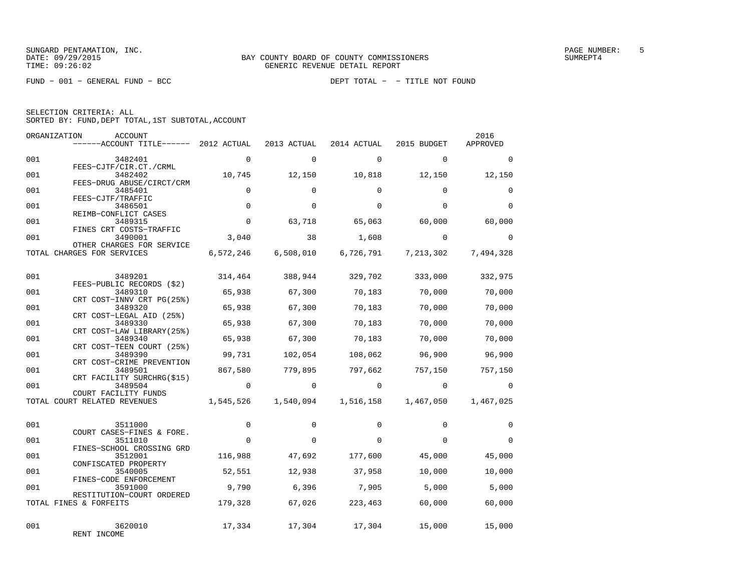|  | SELECTION CRITERIA: ALL |                                                    |  |
|--|-------------------------|----------------------------------------------------|--|
|  |                         | SORTED BY: FUND, DEPT TOTAL, 1ST SUBTOTAL, ACCOUNT |  |

| ORGANIZATION | ACCOUNT<br>------ACCOUNT TITLE------ 2012 ACTUAL                  |                | 2013 ACTUAL         | 2014 ACTUAL | 2015 BUDGET                                      | 2016<br>APPROVED |
|--------------|-------------------------------------------------------------------|----------------|---------------------|-------------|--------------------------------------------------|------------------|
| 001          | 3482401<br>FEES-CJTF/CIR.CT./CRML                                 | $\Omega$       | $\Omega$            | $\Omega$    | $\Omega$                                         | $\Omega$         |
| 001          | 3482402<br>FEES-DRUG ABUSE/CIRCT/CRM                              | 10,745         | 12,150              | 10,818      | 12,150                                           | 12,150           |
| 001          | 3485401<br>FEES-CJTF/TRAFFIC                                      | $\mathbf 0$    | $\Omega$            | $\Omega$    | $\Omega$                                         | $\Omega$         |
| 001          | 3486501<br>REIMB-CONFLICT CASES                                   | $\mathbf 0$    | $\Omega$            | $\Omega$    | $\Omega$                                         | $\Omega$         |
| 001          | 3489315<br>FINES CRT COSTS-TRAFFIC                                | $\mathbf 0$    | 63,718              | 65,063      | 60,000                                           | 60,000           |
| 001          | 3490001<br>OTHER CHARGES FOR SERVICE                              | 3,040          | 38                  | 1,608       | $\Omega$                                         | $\Omega$         |
|              | TOTAL CHARGES FOR SERVICES                                        |                | 6,572,246 6,508,010 | 6,726,791   | 7,213,302                                        | 7,494,328        |
| 001          | 3489201                                                           | 314,464        |                     |             | 388,944 329,702 333,000                          | 332,975          |
| 001          | FEES-PUBLIC RECORDS (\$2)<br>3489310<br>CRT COST-INNV CRT PG(25%) |                | 65,938 67,300       | 70,183      | 70,000                                           | 70,000           |
| 001          | 3489320<br>CRT COST-LEGAL AID (25%)                               | 65,938         | 67,300              | 70,183      | 70,000                                           | 70,000           |
| 001          | 3489330<br>CRT COST-LAW LIBRARY (25%)                             | 65,938         | 67,300              | 70,183      | 70,000                                           | 70,000           |
| 001          | 3489340<br>CRT COST-TEEN COURT (25%)                              | 65,938         | 67,300              | 70,183      | 70,000                                           | 70,000           |
| 001          | 3489390<br>CRT COST-CRIME PREVENTION                              | 99,731         | 102,054             | 108,062     | 96,900                                           | 96,900           |
| 001          | 3489501<br>CRT FACILITY SURCHRG(\$15)                             | 867,580        | 779,895             | 797,662     | 757,150                                          | 757,150          |
| 001          | 3489504<br>COURT FACILITY FUNDS                                   | $\overline{0}$ | $\circ$             | $\circ$     | $\overline{0}$                                   | $\Omega$         |
|              | TOTAL COURT RELATED REVENUES                                      |                |                     |             | 1,545,526    1,540,094    1,516,158    1,467,050 | 1,467,025        |
| 001          | 3511000<br>COURT CASES-FINES & FORE.                              | $\mathbf 0$    | $\Omega$            | $\Omega$    | $\Omega$                                         | $\Omega$         |
| 001          | 3511010<br>FINES-SCHOOL CROSSING GRD                              | $\mathbf 0$    | 0                   | $\Omega$    | $\Omega$                                         | $\Omega$         |
| 001          | 3512001<br>CONFISCATED PROPERTY                                   | 116,988        | 47,692              | 177,600     | 45,000                                           | 45,000           |
| 001          | 3540005<br>FINES-CODE ENFORCEMENT                                 | 52,551         | 12,938              | 37,958      | 10,000                                           | 10,000           |
| 001          | 3591000<br>RESTITUTION-COURT ORDERED                              | 9,790          |                     | 6,396 7,905 | 5.000                                            | 5,000            |
|              | TOTAL FINES & FORFEITS                                            | 179,328        | 67,026              | 223,463     | 60,000                                           | 60,000           |
| 001          | 3620010<br>RENT INCOME                                            | 17,334         | 17,304              | 17,304      | 15,000                                           | 15,000           |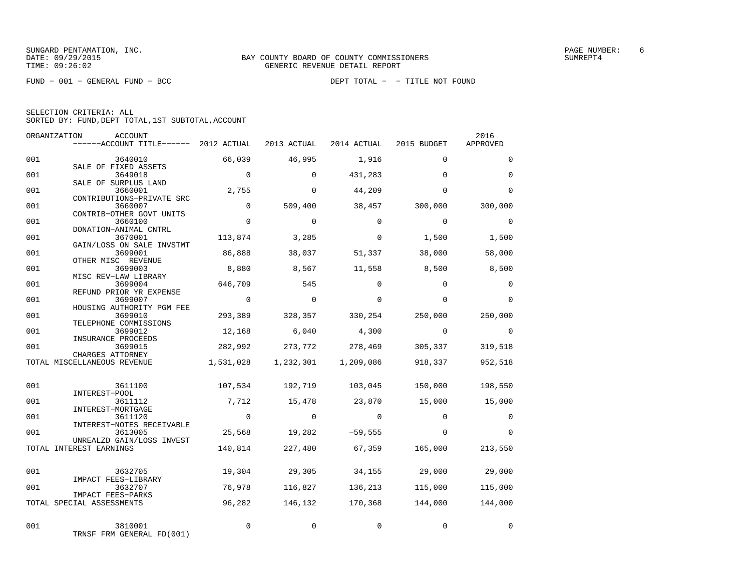FUND − 001 − GENERAL FUND − BCC DEPT TOTAL − − TITLE NOT FOUND

|  | SELECTION CRITERIA: ALL                            |  |  |
|--|----------------------------------------------------|--|--|
|  | SORTED BY: FUND, DEPT TOTAL, 1ST SUBTOTAL, ACCOUNT |  |  |

|     | ORGANIZATION<br>ACCOUNT<br>------ACCOUNT TITLE------ 2012 ACTUAL 2013 ACTUAL 2014 ACTUAL 2015 BUDGET |                |                 |                                 |                 | 2016<br>APPROVED |
|-----|------------------------------------------------------------------------------------------------------|----------------|-----------------|---------------------------------|-----------------|------------------|
| 001 | 3640010                                                                                              | 66,039         | 46,995          | 1,916                           | $\Omega$        | $\Omega$         |
| 001 | SALE OF FIXED ASSETS<br>3649018<br>SALE OF SURPLUS LAND                                              | $\sim$ 0       | $\mathbf 0$     | 431,283                         | $\Omega$        | $\mathbf 0$      |
| 001 | 3660001<br>CONTRIBUTIONS-PRIVATE SRC                                                                 | 2,755          | $\Omega$        | 44,209                          | $\Omega$        | $\Omega$         |
| 001 | 3660007<br>CONTRIB-OTHER GOVT UNITS                                                                  | $\mathbf 0$    | 509,400         | 38,457                          | 300,000         | 300,000          |
| 001 | 3660100<br>DONATION-ANIMAL CNTRL                                                                     | $\Omega$       | $\Omega$        | $\Omega$                        | $\Omega$        | $\Omega$         |
| 001 | 3670001<br>GAIN/LOSS ON SALE INVSTMT                                                                 | 113,874        | 3,285           | $\Omega$                        | 1,500           | 1,500            |
| 001 | 3699001<br>OTHER MISC REVENUE                                                                        | 86,888         | 38,037          | 51,337                          | 38,000          | 58,000           |
| 001 | 3699003<br>MISC REV-LAW LIBRARY                                                                      | 8,880          | 8,567           | 11,558                          | 8,500           | 8,500            |
| 001 | 3699004<br>REFUND PRIOR YR EXPENSE                                                                   | 646,709        | 545             | $\Omega$                        | $\Omega$        | $\mathbf 0$      |
| 001 | 3699007<br>HOUSING AUTHORITY PGM FEE                                                                 | $\sim$ 0       | $\overline{0}$  | $\mathbf 0$                     | $\mathbf 0$     | $\Omega$         |
| 001 | 3699010<br>TELEPHONE COMMISSIONS                                                                     | 293,389        | 328,357         | 330,254                         | 250,000         | 250,000          |
| 001 | 3699012<br>INSURANCE PROCEEDS                                                                        | 12,168         | 6,040           | 4,300                           | $\overline{0}$  | $\mathbf 0$      |
| 001 | 3699015<br>CHARGES ATTORNEY                                                                          | 282,992        | 273,772         | 278,469                         | 305,337         | 319,518          |
|     | TOTAL MISCELLANEOUS REVENUE                                                                          |                |                 | 1,531,028  1,232,301  1,209,086 | 918,337         | 952,518          |
| 001 | 3611100<br>INTEREST-POOL                                                                             |                | 107,534 192,719 |                                 | 103,045 150,000 | 198,550          |
| 001 | 3611112<br>INTEREST-MORTGAGE                                                                         | 7,712          | 15,478          | 23,870                          | 15,000          | 15,000           |
| 001 | 3611120<br>INTEREST-NOTES RECEIVABLE                                                                 | $\overline{0}$ | $\overline{0}$  | $\overline{0}$                  | $\Omega$        | $\mathbf 0$      |
| 001 | 3613005<br>UNREALZD GAIN/LOSS INVEST                                                                 |                | 25,568 19,282   | $-59,555$                       | $\Omega$        | $\Omega$         |
|     | TOTAL INTEREST EARNINGS                                                                              | 140,814        | 227,480         |                                 | 67,359 165,000  | 213,550          |
| 001 | 3632705<br>IMPACT FEES-LIBRARY                                                                       | 19,304         | 29,305          | 34,155                          | 29,000          | 29,000           |
| 001 | 3632707<br>IMPACT FEES-PARKS                                                                         | 76,978         | 116,827         | 136,213                         | 115,000         | 115,000          |
|     | TOTAL SPECIAL ASSESSMENTS                                                                            | 96,282         | 146,132         | 170,368                         | 144,000         | 144,000          |
| 001 | 3810001<br>TRNSF FRM GENERAL FD(001)                                                                 | $\mathbf 0$    | 0               | $\Omega$                        | 0               | 0                |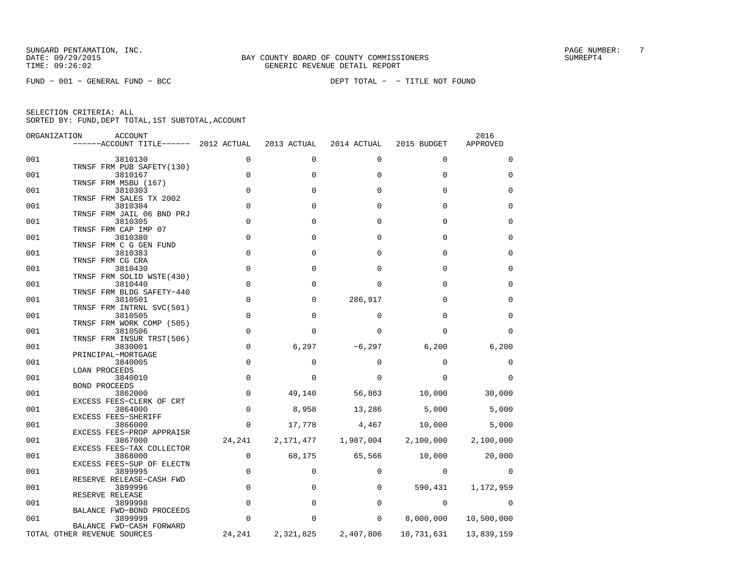FUND − 001 − GENERAL FUND − BCC DEPT TOTAL − − TITLE NOT FOUND

| ORGANIZATION | <b>ACCOUNT</b><br>$----ACCOUNT$ TITLE $----$ 2012 ACTUAL     |                  | 2013 ACTUAL        | 2014 ACTUAL  | 2015 BUDGET  | 2016<br>APPROVED |
|--------------|--------------------------------------------------------------|------------------|--------------------|--------------|--------------|------------------|
| 001          | 3810130                                                      | 0                | 0                  | 0            | $\mathbf 0$  | 0                |
| 001          | TRNSF FRM PUB SAFETY(130)<br>3810167                         | $\mathbf 0$      | $\Omega$           | $\Omega$     | $\Omega$     | $\Omega$         |
| 001          | TRNSF FRM MSBU (167)<br>3810303                              | $\Omega$         | $\Omega$           | $\Omega$     | $\Omega$     | $\Omega$         |
| 001          | TRNSF FRM SALES TX 2002<br>3810304                           | $\mathbf 0$      | $\Omega$           | $\Omega$     | $\Omega$     | $\Omega$         |
| 001          | TRNSF FRM JAIL 06 BND PRJ<br>3810305<br>TRNSF FRM CAP IMP 07 | $\Omega$         | $\Omega$           | $\Omega$     | $\Omega$     | $\Omega$         |
| 001          | 3810380<br>TRNSF FRM C G GEN FUND                            | $\mathbf 0$      | $\Omega$           | $\Omega$     | $\Omega$     | $\Omega$         |
| 001          | 3810383<br>TRNSF FRM CG CRA                                  | $\Omega$         | $\Omega$           | $\Omega$     | $\Omega$     | $\Omega$         |
| 001          | 3810430<br>TRNSF FRM SOLID WSTE(430)                         | $\mathbf 0$      | $\Omega$           | $\Omega$     | $\Omega$     | $\Omega$         |
| 001          | 3810440<br>TRNSF FRM BLDG SAFETY-440                         | $\mathbf 0$      | <sup>0</sup>       | <sup>0</sup> | U            | $\Omega$         |
| 001          | 3810501<br>TRNSF FRM INTRNL SVC(501)                         | $\mathbf 0$      | $\Omega$           | 286,917      | $\Omega$     | $\Omega$         |
| 001          | 3810505<br>TRNSF FRM WORK COMP (505)                         | $\mathbf 0$      | $\Omega$           | $\Omega$     | $\cap$       | $\Omega$         |
| 001          | 3810506<br>TRNSF FRM INSUR TRST(506)                         | $\mathbf 0$      | <sup>0</sup>       | <sup>0</sup> | <sup>0</sup> | $\Omega$         |
| 001          | 3830001<br>PRINCIPAL-MORTGAGE                                | $\mathsf 0$      | 6,297              | $-6,297$     | 6,200        | 6,200            |
| 001          | 3840005<br><b>LOAN PROCEEDS</b>                              | $\mathbf 0$      | 0                  | $\Omega$     | $\Omega$     | 0                |
| 001          | 3840010<br><b>BOND PROCEEDS</b>                              | $\mathbf 0$      | 0                  | $\Omega$     | $\Omega$     | $\Omega$         |
| 001          | 3862000<br>EXCESS FEES-CLERK OF CRT                          | $\mathbf 0$      | 49,140             | 56,863       | 10,000       | 30,000           |
| 001          | 3864000<br>EXCESS FEES-SHERIFF                               | $\mathbf 0$      | 8,958              | 13,286       | 5,000        | 5,000            |
| 001          | 3866000<br>EXCESS FEES-PROP APPRAISR                         | $\mathbf 0$      | 17,778             | 4,467        | 10,000       | 5,000            |
| 001          | 3867000<br>EXCESS FEES-TAX COLLECTOR                         | 24,241           | 2,171,477          | 1,987,004    | 2,100,000    | 2,100,000        |
| 001<br>001   | 3868000<br>EXCESS FEES-SUP OF ELECTN<br>3899995              | 0<br>$\mathbf 0$ | 68,175<br>$\Omega$ | 65,566<br>0  | 10,000<br>0  | 20,000<br>0      |
| 001          | RESERVE RELEASE-CASH FWD<br>3899996                          | 0                | 0                  | 0            | 590,431      | 1,172,959        |
| 001          | RESERVE RELEASE<br>3899998                                   | 0                | $\Omega$           | 0            | 0            | $\Omega$         |
| 001          | BALANCE FWD-BOND PROCEEDS<br>3899999                         | 0                | 0                  | 0            | 8,000,000    | 10,500,000       |
|              | BALANCE FWD-CASH FORWARD<br>TOTAL OTHER REVENUE SOURCES      | 24,241           | 2,321,825          | 2,407,806    | 10,731,631   | 13,839,159       |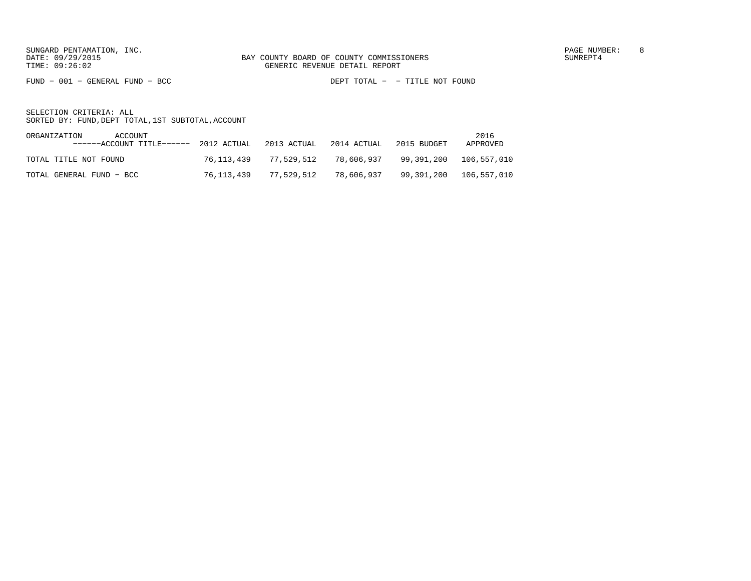FUND − 001 − GENERAL FUND − BCC DEPT TOTAL − − TITLE NOT FOUND

| ORGANIZATION<br>ACCOUNT<br>$----ACCOUNT$ TITLE------ 2012 ACTUAL 2013 ACTUAL 2014 ACTUAL |            |                       |            | 2015 BUDGET | 2016<br>APPROVED |
|------------------------------------------------------------------------------------------|------------|-----------------------|------------|-------------|------------------|
| TOTAL TITLE NOT FOUND                                                                    |            | 76,113,439 77,529,512 | 78,606,937 |             |                  |
| TOTAL GENERAL FUND - BCC                                                                 | 76,113,439 | 77,529,512            | 78,606,937 |             |                  |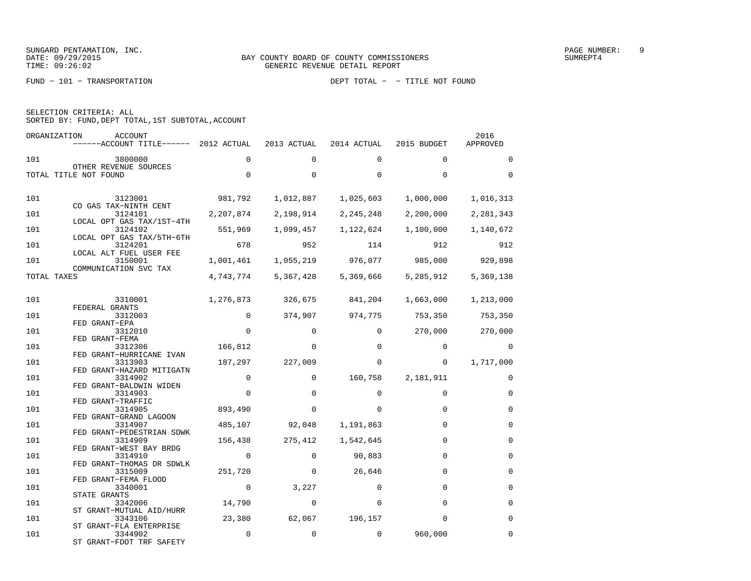FUND − 101 − TRANSPORTATION DEPT TOTAL − − TITLE NOT FOUND

| SELECTION CRITERIA: ALL |                                                    |      |
|-------------------------|----------------------------------------------------|------|
|                         | SORTED BY: FUND, DEPT TOTAL, 1ST SUBTOTAL, ACCOUNT |      |
| <b>ODCANT 7 A TION</b>  | <b>ACCOLIME</b>                                    | 2016 |

| URGANIZAI IUN | <b>ACCOUNT</b><br>$----ACCOUNT$ TITLE $--- 2012$ ACTUAL |              | 2013 ACTUAL  | 2014 ACTUAL       | 2015 BUDGET | <b>SUIP</b><br>APPROVED |
|---------------|---------------------------------------------------------|--------------|--------------|-------------------|-------------|-------------------------|
|               |                                                         |              |              |                   |             |                         |
| 101           | 3800000<br>OTHER REVENUE SOURCES                        | $\Omega$     | $\Omega$     | $\Omega$          | $\Omega$    | $\Omega$                |
|               | TOTAL TITLE NOT FOUND                                   | $\Omega$     | $\Omega$     | $\Omega$          | $\Omega$    | $\Omega$                |
|               |                                                         |              |              |                   |             |                         |
| 101           | 3123001                                                 | 981,792      | 1,012,887    | 1,025,603         | 1,000,000   | 1,016,313               |
|               | CO GAS TAX-NINTH CENT                                   |              |              |                   |             |                         |
| 101           | 3124101                                                 | 2,207,874    | 2,198,914    | 2, 245, 248       | 2,200,000   | 2,281,343               |
| 101           | LOCAL OPT GAS TAX/1ST-4TH<br>3124102                    | 551,969      | 1,099,457    | 1,122,624         | 1,100,000   | 1,140,672               |
|               | LOCAL OPT GAS TAX/5TH-6TH                               |              |              |                   |             |                         |
| 101           | 3124201<br>LOCAL ALT FUEL USER FEE                      | 678          | 952          | 114               | 912         | 912                     |
| 101           | 3150001                                                 | 1,001,461    |              | 1,055,219 976,077 | 985,000     | 929,898                 |
|               | COMMUNICATION SVC TAX                                   |              |              |                   |             |                         |
| TOTAL TAXES   |                                                         | 4,743,774    | 5,367,428    | 5,369,666         | 5,285,912   | 5,369,138               |
|               |                                                         |              |              |                   |             |                         |
| 101           | 3310001                                                 | 1,276,873    | 326,675      | 841,204           | 1,663,000   | 1,213,000               |
| 101           | FEDERAL GRANTS<br>3312003                               | $\Omega$     | 374,907      | 974,775           | 753,350     | 753,350                 |
|               | FED GRANT-EPA                                           |              |              |                   |             |                         |
| 101           | 3312010                                                 | $\Omega$     | $\Omega$     | $\Omega$          | 270,000     | 270,000                 |
| 101           | FED GRANT-FEMA<br>3312306                               | 166,812      | $\Omega$     | $\Omega$          | $\Omega$    | $\Omega$                |
|               | FED GRANT-HURRICANE IVAN                                |              |              |                   |             |                         |
| 101           | 3313903                                                 | 187,297      | 227,009      | $\Omega$          | $\Omega$    | 1,717,000               |
| 101           | FED GRANT-HAZARD MITIGATN<br>3314902                    | $\mathbf 0$  | 0            | 160,758           | 2,181,911   | $\Omega$                |
|               | FED GRANT-BALDWIN WIDEN                                 |              |              |                   |             |                         |
| 101           | 3314903                                                 | $\mathbf 0$  | $\mathbf 0$  | 0                 | $\Omega$    | $\mathbf 0$             |
| 101           | FED GRANT-TRAFFIC<br>3314905                            | 893,490      | 0            | $\Omega$          | $\Omega$    | $\mathbf 0$             |
|               | FED GRANT-GRAND LAGOON                                  |              |              |                   |             |                         |
| 101           | 3314907                                                 | 485,107      | 92,048       | 1,191,863         | $\Omega$    | $\mathbf 0$             |
| 101           | FED GRANT-PEDESTRIAN SDWK<br>3314909                    | 156,438      | 275,412      | 1,542,645         | $\Omega$    | $\mathbf 0$             |
|               | FED GRANT-WEST BAY BRDG                                 |              |              |                   |             |                         |
| 101           | 3314910                                                 | $\mathbf{0}$ | $\Omega$     | 90,883            | $\Omega$    | $\Omega$                |
| 101           | FED GRANT-THOMAS DR SDWLK<br>3315009                    | 251,720      | $\mathbf{0}$ | 26,646            | $\Omega$    | $\mathbf 0$             |
|               | FED GRANT-FEMA FLOOD                                    |              |              |                   |             |                         |
| 101           | 3340001                                                 | $\mathbf 0$  | 3,227        | $\Omega$          | $\Omega$    | $\Omega$                |
| 101           | STATE GRANTS<br>3342006                                 | 14,790       | $\Omega$     | $\Omega$          | $\Omega$    | $\Omega$                |
|               | ST GRANT-MUTUAL AID/HURR                                |              |              |                   |             |                         |
| 101           | 3343106                                                 | 23,380       | 62,067       | 196,157           | $\Omega$    | $\Omega$                |
| 101           | ST GRANT-FLA ENTERPRISE<br>3344902                      | $\mathbf 0$  | $\mathbf 0$  | $\Omega$          | 960,000     | $\Omega$                |
|               | ST GRANT-FDOT TRF SAFETY                                |              |              |                   |             |                         |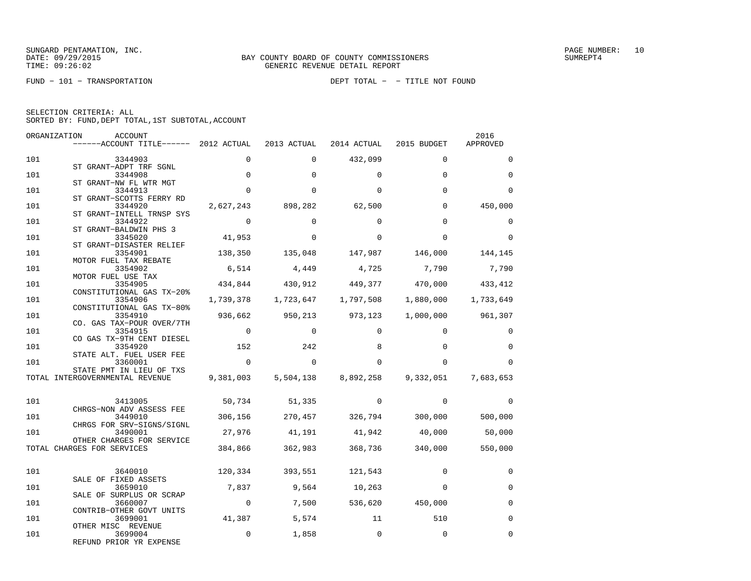|  | SELECTION CRITERIA: ALL |                                                    |
|--|-------------------------|----------------------------------------------------|
|  |                         | SORTED BY: FUND, DEPT TOTAL, 1ST SUBTOTAL, ACCOUNT |

| ORGANIZATION | ACCOUNT<br>------ACCOUNT TITLE------ 2012 ACTUAL                  |                | 2013 ACTUAL   | 2014 ACTUAL                     | 2015 BUDGET                                                 | 2016<br>APPROVED  |
|--------------|-------------------------------------------------------------------|----------------|---------------|---------------------------------|-------------------------------------------------------------|-------------------|
| 101          | 3344903                                                           | $\Omega$       | $\Omega$      | 432,099                         | $\Omega$                                                    | $\Omega$          |
| 101          | ST GRANT-ADPT TRF SGNL<br>3344908                                 | $\mathbf 0$    | $\Omega$      | $\Omega$                        | $\Omega$                                                    | $\Omega$          |
| 101          | ST GRANT-NW FL WTR MGT<br>3344913                                 | $\Omega$       | $\Omega$      | $\Omega$                        | $\Omega$                                                    | $\Omega$          |
| 101          | ST GRANT-SCOTTS FERRY RD<br>3344920                               | 2,627,243      | 898,282       | 62,500                          | $\Omega$                                                    | 450,000           |
| 101          | ST GRANT-INTELL TRNSP SYS<br>3344922                              | $\overline{0}$ | $\Omega$      | $\Omega$                        | $\Omega$                                                    | $\Omega$          |
| 101          | ST GRANT-BALDWIN PHS 3<br>3345020                                 | 41,953         | $\Omega$      | $\Omega$                        | $\Omega$                                                    | $\Omega$          |
| 101          | ST GRANT-DISASTER RELIEF<br>3354901                               | 138,350        | 135,048       | 147,987                         | 146,000                                                     | 144,145           |
| 101          | MOTOR FUEL TAX REBATE<br>3354902<br>MOTOR FUEL USE TAX            | 6,514          | 4,449         | 4,725                           | 7,790                                                       | 7,790             |
| 101          | 3354905<br>CONSTITUTIONAL GAS TX-20%                              |                |               |                                 | 434,844 430,912 449,377 470,000 433,412                     |                   |
| 101          | 3354906<br>CONSTITUTIONAL GAS TX-80%                              |                |               |                                 | $1,739,378$ $1,723,647$ $1,797,508$ $1,880,000$ $1,733,649$ |                   |
| 101          | 3354910<br>CO. GAS TAX-POUR OVER/7TH                              | 936,662        | 950,213       | 973,123                         |                                                             | 1,000,000 961,307 |
| 101          | 3354915<br>CO GAS TX-9TH CENT DIESEL                              | $\mathbf 0$    | $\Omega$      | $\Omega$                        | $\Omega$                                                    | $\Omega$          |
| 101          | 3354920<br>STATE ALT. FUEL USER FEE                               | 152            | 242           | 8                               | $\Omega$                                                    | $\Omega$          |
| 101          | 3360001<br>STATE PMT IN LIEU OF TXS                               | $\Omega$       | $\Omega$      | $\Omega$                        | $\Omega$                                                    | $\Omega$          |
|              | TOTAL INTERGOVERNMENTAL REVENUE                                   |                |               |                                 | 9,381,003 5,504,138 8,892,258 9,332,051                     | 7,683,653         |
| 101          | 3413005                                                           |                | 50,734 51,335 | $\Omega$                        | $\Omega$                                                    | $\Omega$          |
| 101          | CHRGS-NON ADV ASSESS FEE<br>3449010                               |                |               |                                 | 306,156 270,457 326,794 300,000 500,000                     |                   |
| 101          | CHRGS FOR SRV-SIGNS/SIGNL<br>3490001<br>OTHER CHARGES FOR SERVICE |                |               |                                 | 27,976 41,191 41,942 40,000                                 | 50,000            |
|              | TOTAL CHARGES FOR SERVICES                                        |                |               | 384,866 362,983 368,736 340,000 |                                                             | 550,000           |
| 101          | 3640010                                                           |                |               | 120,334 393,551 121,543         | $\Omega$                                                    | 0                 |
| 101          | SALE OF FIXED ASSETS<br>3659010                                   |                |               | 7,837 9,564 10,263              | $\Omega$                                                    | $\Omega$          |
| 101          | SALE OF SURPLUS OR SCRAP<br>3660007                               | $\overline{0}$ |               | 7,500 536,620 450,000           |                                                             | $\Omega$          |
| 101          | CONTRIB-OTHER GOVT UNITS<br>3699001                               | 41,387         | 5,574         | 11                              | 510                                                         | $\Omega$          |
| 101          | OTHER MISC REVENUE<br>3699004<br>REFUND PRIOR YR EXPENSE          | $\mathbf 0$    | 1,858         | $\Omega$                        | $\Omega$                                                    | $\Omega$          |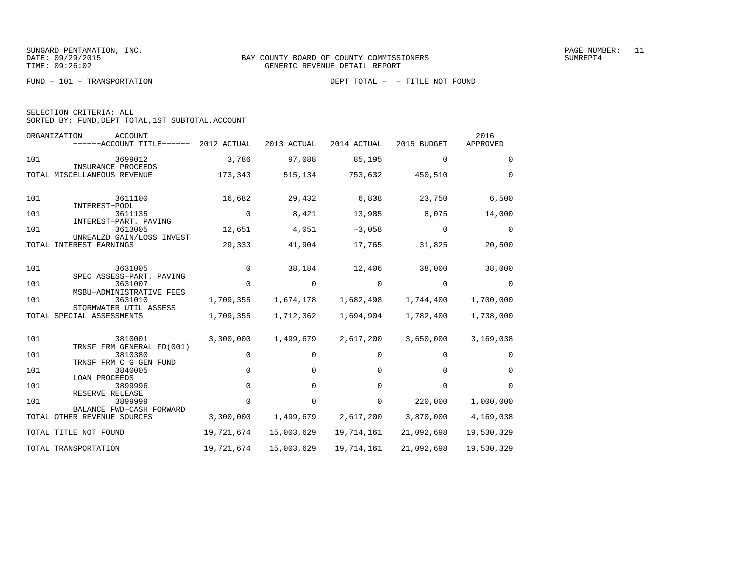| SELECTION CRITERIA: ALL |  |  |                                                    |  |
|-------------------------|--|--|----------------------------------------------------|--|
|                         |  |  | SORTED BY: FUND, DEPT TOTAL, 1ST SUBTOTAL, ACCOUNT |  |

| ORGANIZATION<br><b>ACCOUNT</b><br>------ACCOUNT TITLE------ 2012 ACTUAL |             | 2013 ACTUAL | 2014 ACTUAL | 2015 BUDGET | 2016<br>APPROVED |
|-------------------------------------------------------------------------|-------------|-------------|-------------|-------------|------------------|
| 101<br>3699012                                                          | 3,786       | 97,088      | 85,195      | $\Omega$    | $\Omega$         |
| INSURANCE PROCEEDS<br>TOTAL MISCELLANEOUS REVENUE                       | 173,343     | 515,134     | 753,632     | 450,510     | $\mathbf 0$      |
| 101<br>3611100<br>INTEREST-POOL                                         | 16,682      | 29,432      | 6,838       | 23,750      | 6,500            |
| 101<br>3611135<br>INTEREST-PART. PAVING                                 | $\mathbf 0$ | 8,421       | 13,985      | 8,075       | 14,000           |
| 3613005<br>101                                                          | 12,651      | 4,051       | $-3,058$    | $\mathbf 0$ | $\Omega$         |
| UNREALZD GAIN/LOSS INVEST<br>TOTAL INTEREST EARNINGS                    | 29,333      | 41,904      | 17,765      | 31,825      | 20,500           |
| 101<br>3631005<br>SPEC ASSESS-PART. PAVING                              | $\Omega$    | 38,184      | 12,406      | 38,000      | 38,000           |
| 101<br>3631007                                                          | $\Omega$    | $\Omega$    | $\Omega$    | $\Omega$    | $\Omega$         |
| MSBU-ADMINISTRATIVE FEES<br>3631010<br>101                              | 1,709,355   | 1,674,178   | 1,682,498   | 1,744,400   | 1,700,000        |
| STORMWATER UTIL ASSESS<br>TOTAL SPECIAL ASSESSMENTS                     | 1,709,355   | 1,712,362   | 1,694,904   | 1,782,400   | 1,738,000        |
| 101<br>3810001<br>TRNSF FRM GENERAL FD(001)                             | 3,300,000   | 1,499,679   | 2,617,200   | 3,650,000   | 3,169,038        |
| 101<br>3810380<br>TRNSF FRM C G GEN FUND                                | $\mathbf 0$ | 0           | 0           | 0           | $\Omega$         |
| 101<br>3840005                                                          | $\Omega$    | $\Omega$    | 0           | 0           | $\Omega$         |
| <b>LOAN PROCEEDS</b><br>101<br>3899996                                  | $\Omega$    | $\Omega$    | $\Omega$    | $\Omega$    | $\Omega$         |
| RESERVE RELEASE<br>3899999<br>101                                       | $\Omega$    | $\Omega$    | 0           | 220,000     | 1,000,000        |
| BALANCE FWD-CASH FORWARD<br>TOTAL OTHER REVENUE SOURCES                 | 3,300,000   | 1,499,679   | 2,617,200   | 3,870,000   | 4,169,038        |
| TOTAL TITLE NOT FOUND                                                   | 19,721,674  | 15,003,629  | 19,714,161  | 21,092,698  | 19,530,329       |
| TOTAL TRANSPORTATION                                                    | 19,721,674  | 15,003,629  | 19,714,161  | 21,092,698  | 19,530,329       |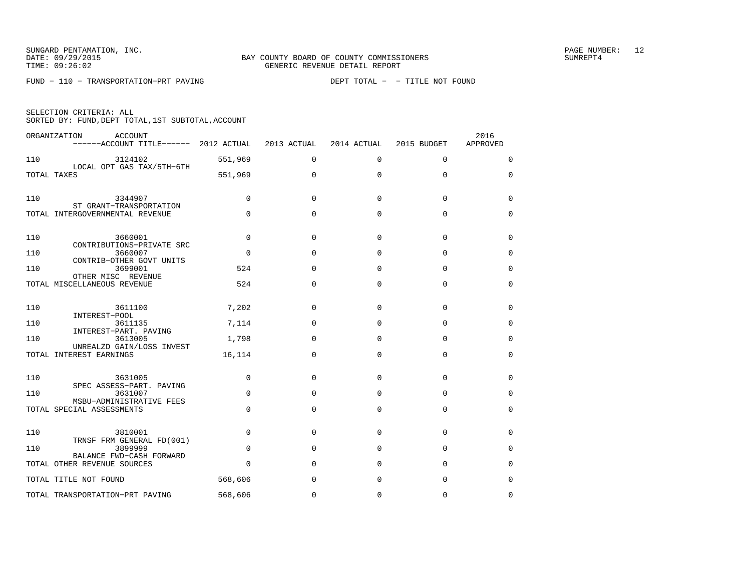FUND − 110 − TRANSPORTATION−PRT PAVING DEPT TOTAL − − TITLE NOT FOUND

| SELECTION CRITERIA: ALL |  |                                                    |  |
|-------------------------|--|----------------------------------------------------|--|
|                         |  | SORTED BY: FUND, DEPT TOTAL, 1ST SUBTOTAL, ACCOUNT |  |

|     | ORGANIZATION<br><b>ACCOUNT</b><br>------ACCOUNT TITLE------ 2012 ACTUAL |             | 2013 ACTUAL | 2014 ACTUAL | 2015 BUDGET | 2016<br>APPROVED |
|-----|-------------------------------------------------------------------------|-------------|-------------|-------------|-------------|------------------|
| 110 | 3124102                                                                 | 551,969     | $\Omega$    | $\Omega$    | $\mathbf 0$ | 0                |
|     | LOCAL OPT GAS TAX/5TH-6TH<br>TOTAL TAXES                                | 551,969     | $\mathbf 0$ | 0           | $\mathbf 0$ | 0                |
| 110 | 3344907<br>ST GRANT-TRANSPORTATION                                      | $\mathbf 0$ | $\Omega$    | $\Omega$    | $\Omega$    | 0                |
|     | TOTAL INTERGOVERNMENTAL REVENUE                                         | $\Omega$    | $\Omega$    | 0           | $\Omega$    | 0                |
| 110 | 3660001<br>CONTRIBUTIONS-PRIVATE SRC                                    | $\Omega$    | $\Omega$    | $\Omega$    | $\Omega$    | $\Omega$         |
| 110 | 3660007<br>CONTRIB-OTHER GOVT UNITS                                     | $\Omega$    | $\Omega$    | $\Omega$    | $\Omega$    | 0                |
| 110 | 3699001<br>OTHER MISC REVENUE                                           | 524         | $\Omega$    | $\Omega$    | $\Omega$    | 0                |
|     | TOTAL MISCELLANEOUS REVENUE                                             | 524         | $\Omega$    | $\Omega$    | $\Omega$    | 0                |
| 110 | 3611100<br>INTEREST-POOL                                                | 7,202       | $\Omega$    | $\Omega$    | $\Omega$    | 0                |
| 110 | 3611135<br>INTEREST-PART. PAVING                                        | 7,114       | $\Omega$    | 0           | $\mathbf 0$ | 0                |
| 110 | 3613005<br>UNREALZD GAIN/LOSS INVEST                                    | 1,798       | $\Omega$    | $\Omega$    | $\Omega$    | $\Omega$         |
|     | TOTAL INTEREST EARNINGS                                                 | 16,114      | $\Omega$    | $\Omega$    | $\Omega$    | $\Omega$         |
| 110 | 3631005<br>SPEC ASSESS-PART. PAVING                                     | $\mathbf 0$ | $\Omega$    | 0           | $\mathbf 0$ | 0                |
| 110 | 3631007<br>MSBU-ADMINISTRATIVE FEES                                     | $\mathbf 0$ | $\Omega$    | $\Omega$    | $\Omega$    | 0                |
|     | TOTAL SPECIAL ASSESSMENTS                                               | $\Omega$    | $\Omega$    | $\Omega$    | $\Omega$    | $\Omega$         |
| 110 | 3810001<br>TRNSF FRM GENERAL FD(001)                                    | $\Omega$    | $\Omega$    | $\Omega$    | $\Omega$    | $\Omega$         |
| 110 | 3899999<br>BALANCE FWD-CASH FORWARD                                     | $\Omega$    | $\Omega$    | $\Omega$    | $\Omega$    | 0                |
|     | TOTAL OTHER REVENUE SOURCES                                             | $\Omega$    | $\Omega$    | $\Omega$    | $\Omega$    | 0                |
|     | TOTAL TITLE NOT FOUND                                                   | 568,606     | $\Omega$    | $\Omega$    | $\Omega$    | $\Omega$         |
|     | TOTAL TRANSPORTATION-PRT PAVING                                         | 568,606     | $\Omega$    | $\Omega$    | $\Omega$    | $\Omega$         |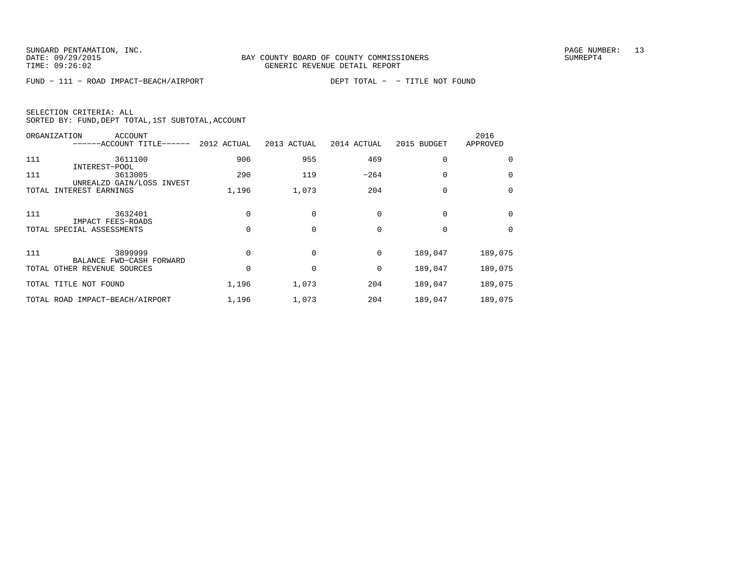FUND − 111 − ROAD IMPACT−BEACH/AIRPORT DEPT TOTAL − − TITLE NOT FOUND

| SELECTION CRITERIA: ALL |  |  |                                                    |  |
|-------------------------|--|--|----------------------------------------------------|--|
|                         |  |  | SORTED BY: FUND, DEPT TOTAL, 1ST SUBTOTAL, ACCOUNT |  |

| ORGANIZATION | <b>ACCOUNT</b><br>------ACCOUNT TITLE------             | 2012 ACTUAL | 2013 ACTUAL | 2014 ACTUAL | 2015 BUDGET | 2016<br>APPROVED |
|--------------|---------------------------------------------------------|-------------|-------------|-------------|-------------|------------------|
| 111          | 3611100                                                 | 906         | 955         | 469         | 0           | 0                |
| 111          | INTEREST-POOL<br>3613005                                | 290         | 119         | $-264$      | $\Omega$    | $\Omega$         |
| TOTAL        | UNREALZD GAIN/LOSS INVEST<br>INTEREST EARNINGS          | 1,196       | 1,073       | 204         | 0           | $\Omega$         |
| 111          | 3632401                                                 |             |             | 0           | 0           | $\Omega$         |
|              | IMPACT FEES-ROADS<br>TOTAL SPECIAL ASSESSMENTS          |             | $\Omega$    | $\Omega$    | $\Omega$    | $\Omega$         |
| 111          | 3899999                                                 |             | $\Omega$    | 0           | 189,047     | 189,075          |
|              | BALANCE FWD-CASH FORWARD<br>TOTAL OTHER REVENUE SOURCES |             |             | 0           | 189,047     | 189,075          |
|              | TOTAL TITLE NOT FOUND                                   | 1,196       | 1,073       | 204         | 189,047     | 189,075          |
|              | TOTAL ROAD IMPACT-BEACH/AIRPORT                         | 1,196       | 1,073       | 204         | 189,047     | 189,075          |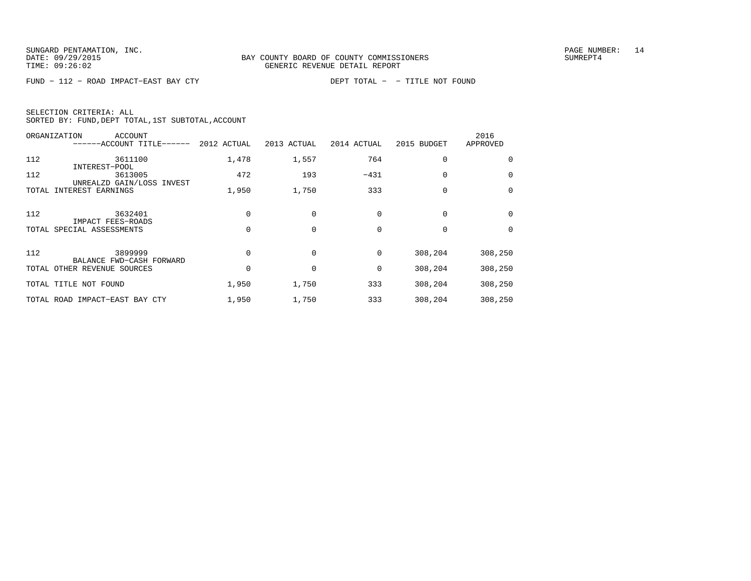FUND − 112 − ROAD IMPACT−EAST BAY CTY DEPT TOTAL − − TITLE NOT FOUND

|  | SELECTION CRITERIA: ALL |                                                    |  |
|--|-------------------------|----------------------------------------------------|--|
|  |                         | SORTED BY: FUND, DEPT TOTAL, 1ST SUBTOTAL, ACCOUNT |  |

|       | ORGANIZATION<br><b>ACCOUNT</b><br>------ACCOUNT TITLE------ | 2012 ACTUAL | 2013 ACTUAL | 2014 ACTUAL | 2015 BUDGET | 2016<br>APPROVED |
|-------|-------------------------------------------------------------|-------------|-------------|-------------|-------------|------------------|
| 112   | 3611100                                                     | 1,478       | 1,557       | 764         | 0           | 0                |
| 112   | INTEREST-POOL<br>3613005                                    | 472         | 193         | $-431$      | $\Omega$    | $\mathbf 0$      |
| TOTAL | UNREALZD GAIN/LOSS INVEST<br>INTEREST EARNINGS              | 1,950       | 1,750       | 333         | $\Omega$    | $\mathbf 0$      |
| 112   | 3632401                                                     |             |             | $\Omega$    | $\Omega$    | 0                |
|       | IMPACT FEES-ROADS<br>TOTAL SPECIAL ASSESSMENTS              |             | 0           | $\Omega$    | $\Omega$    | $\Omega$         |
| 112   | 3899999                                                     |             | $\Omega$    | $\Omega$    | 308,204     | 308,250          |
|       | BALANCE FWD-CASH FORWARD<br>TOTAL OTHER REVENUE SOURCES     |             |             | 0           | 308,204     | 308,250          |
|       | TOTAL TITLE NOT FOUND                                       | 1,950       | 1,750       | 333         | 308,204     | 308,250          |
|       | TOTAL ROAD IMPACT-EAST BAY CTY                              | 1,950       | 1,750       | 333         | 308,204     | 308,250          |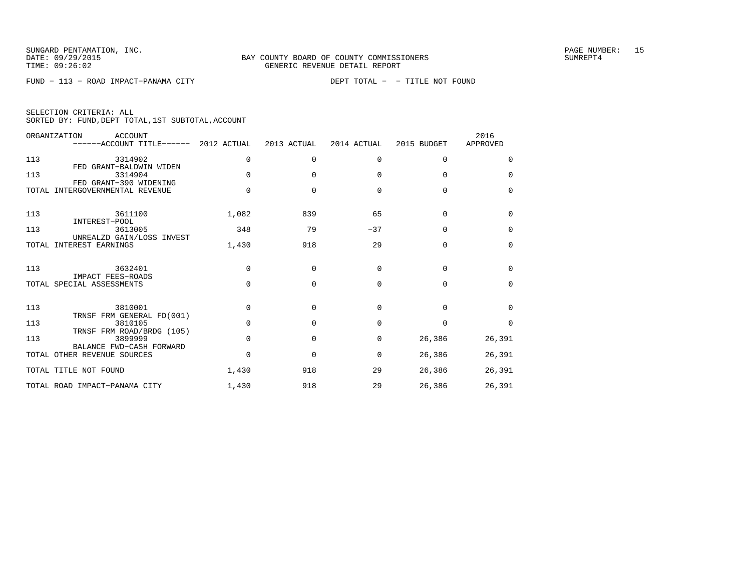FUND − 113 − ROAD IMPACT−PANAMA CITY DEPT TOTAL − − TITLE NOT FOUND

|  | SELECTION CRITERIA: ALL |                                                    |  |
|--|-------------------------|----------------------------------------------------|--|
|  |                         | SORTED BY: FUND, DEPT TOTAL, 1ST SUBTOTAL, ACCOUNT |  |

|       | ORGANIZATION<br><b>ACCOUNT</b><br>------ACCOUNT TITLE------ 2012 ACTUAL |              | 2013 ACTUAL  | 2014 ACTUAL | 2015 BUDGET | 2016<br>APPROVED |
|-------|-------------------------------------------------------------------------|--------------|--------------|-------------|-------------|------------------|
| 113   | 3314902<br>FED GRANT-BALDWIN WIDEN                                      | $\Omega$     | $\Omega$     | $\Omega$    | $\Omega$    | $\Omega$         |
| 113   | 3314904<br>FED GRANT-390 WIDENING                                       | $\Omega$     | $\Omega$     | $\Omega$    | $\Omega$    | $\Omega$         |
| TOTAL | INTERGOVERNMENTAL REVENUE                                               | <sup>n</sup> | $\cap$       | $\Omega$    | $\Omega$    | $\Omega$         |
| 113   | 3611100<br>INTEREST-POOL                                                | 1,082        | 839          | 65          | $\Omega$    | $\Omega$         |
| 113   | 3613005<br>UNREALZD GAIN/LOSS INVEST                                    | 348          | 79           | $-37$       | $\Omega$    | $\Omega$         |
| TOTAL | INTEREST EARNINGS                                                       | 1,430        | 918          | 29          | $\Omega$    | $\Omega$         |
| 113   | 3632401<br>IMPACT FEES-ROADS                                            | $\Omega$     | $\Omega$     | $\Omega$    | $\Omega$    | $\Omega$         |
|       | TOTAL SPECIAL ASSESSMENTS                                               | $\Omega$     | $\Omega$     | $\Omega$    | $\Omega$    | $\Omega$         |
| 113   | 3810001<br>TRNSF FRM GENERAL FD(001)                                    | <sup>0</sup> | <sup>n</sup> | $\Omega$    | $\cap$      | $\Omega$         |
| 113   | 3810105<br>TRNSF FRM ROAD/BRDG (105)                                    | $\Omega$     | $\Omega$     | $\Omega$    | $\Omega$    | $\Omega$         |
| 113   | 3899999<br>BALANCE FWD-CASH FORWARD                                     | $\Omega$     | $\Omega$     | 0           | 26,386      | 26,391           |
|       | TOTAL OTHER REVENUE SOURCES                                             | <sup>n</sup> | $\Omega$     | $\Omega$    | 26,386      | 26,391           |
|       | TOTAL TITLE NOT FOUND                                                   | 1,430        | 918          | 29          | 26,386      | 26,391           |
|       | TOTAL ROAD IMPACT-PANAMA CITY                                           | 1,430        | 918          | 29          | 26,386      | 26,391           |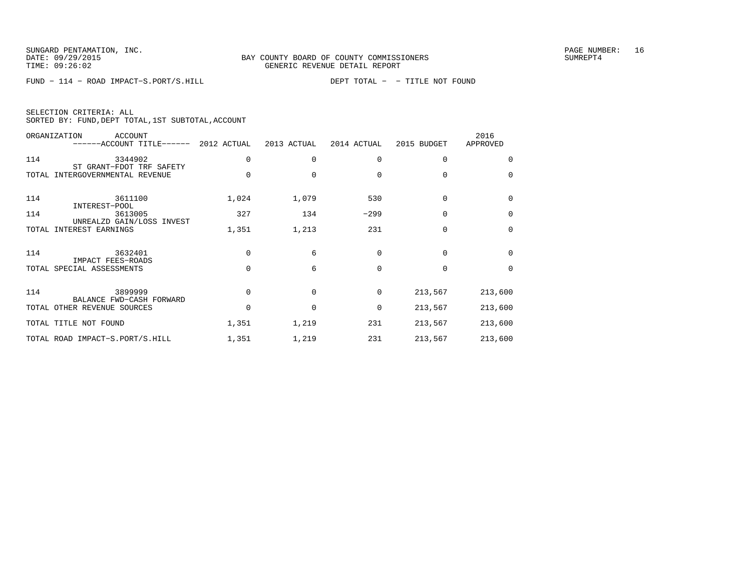FUND − 114 − ROAD IMPACT−S.PORT/S.HILL DEPT TOTAL − − TITLE NOT FOUND

| SELECTION CRITERIA: ALL |                                                    |  |
|-------------------------|----------------------------------------------------|--|
|                         | SORTED BY: FUND, DEPT TOTAL, 1ST SUBTOTAL, ACCOUNT |  |

|       | ORGANIZATION<br>ACCOUNT<br>------ACCOUNT TITLE------ 2012 ACTUAL |          | 2013 ACTUAL  | 2014 ACTUAL | 2015 BUDGET | 2016<br>APPROVED |
|-------|------------------------------------------------------------------|----------|--------------|-------------|-------------|------------------|
| 114   | 3344902<br>ST GRANT-FDOT TRF SAFETY                              |          | $\Omega$     | $\Omega$    | $\Omega$    | $\Omega$         |
| TOTAL | INTERGOVERNMENTAL REVENUE                                        | $\Omega$ | $\Omega$     | $\Omega$    | $\Omega$    | 0                |
| 114   | 3611100<br>INTEREST-POOL                                         | 1,024    | 1,079        | 530         | $\Omega$    | $\Omega$         |
| 114   | 3613005<br>UNREALZD GAIN/LOSS INVEST                             | 327      | 134          | $-299$      | $\Omega$    | 0                |
| TOTAL | INTEREST EARNINGS                                                | 1,351    | 1,213        | 231         | $\Omega$    | $\Omega$         |
| 114   | 3632401                                                          | $\Omega$ | 6            | $\Omega$    | $\Omega$    | $\Omega$         |
|       | IMPACT FEES-ROADS<br>TOTAL SPECIAL ASSESSMENTS                   | $\Omega$ | 6            | $\Omega$    | $\Omega$    | $\Omega$         |
| 114   | 3899999                                                          | $\Omega$ | $\Omega$     | 0           | 213,567     | 213,600          |
|       | BALANCE FWD-CASH FORWARD<br>TOTAL OTHER REVENUE SOURCES          | $\Omega$ | $\mathbf{0}$ | $\mathbf 0$ | 213,567     | 213,600          |
|       | TOTAL TITLE NOT FOUND                                            | 1,351    | 1,219        | 231         | 213,567     | 213,600          |
|       | TOTAL ROAD IMPACT-S.PORT/S.HILL                                  | 1,351    | 1,219        | 231         | 213,567     | 213,600          |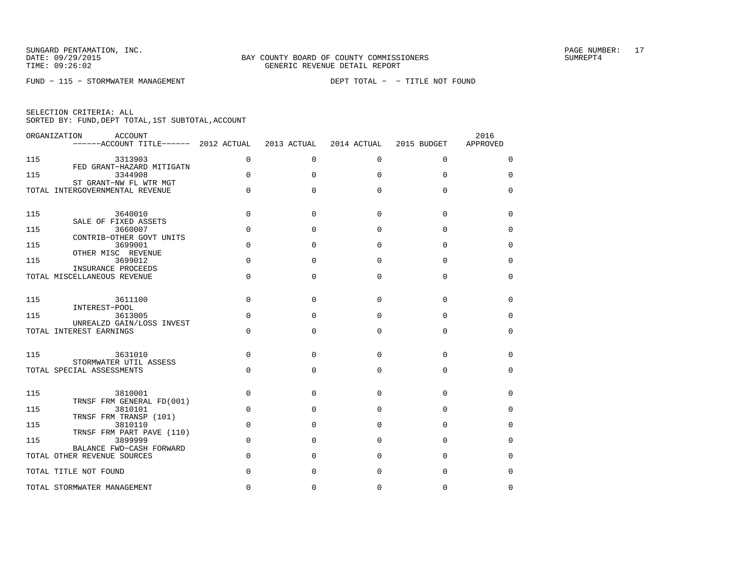FUND − 115 − STORMWATER MANAGEMENT DEPT TOTAL − − TITLE NOT FOUND

|  | SELECTION CRITERIA: ALL |                                                    |  |
|--|-------------------------|----------------------------------------------------|--|
|  |                         | SORTED BY: FUND, DEPT TOTAL, 1ST SUBTOTAL, ACCOUNT |  |

| ORGANIZATION | ACCOUNT<br>------ACCOUNT TITLE------ 2012 ACTUAL          |             | 2013 ACTUAL  | 2014 ACTUAL  | 2015 BUDGET | 2016<br>APPROVED |
|--------------|-----------------------------------------------------------|-------------|--------------|--------------|-------------|------------------|
| 115          | 3313903                                                   | $\Omega$    | $\Omega$     | $\Omega$     | $\Omega$    | $\Omega$         |
| 115          | FED GRANT-HAZARD MITIGATN<br>3344908                      | $\Omega$    | $\Omega$     | $\Omega$     | $\Omega$    | $\Omega$         |
|              | ST GRANT-NW FL WTR MGT<br>TOTAL INTERGOVERNMENTAL REVENUE | $\mathbf 0$ | $\Omega$     | $\Omega$     | 0           | $\mathbf 0$      |
| 115          | 3640010<br>SALE OF FIXED ASSETS                           | $\Omega$    | $\Omega$     | $\Omega$     | $\Omega$    | $\Omega$         |
| 115          | 3660007<br>CONTRIB-OTHER GOVT UNITS                       | $\Omega$    | $\Omega$     | $\Omega$     | 0           | $\Omega$         |
| 115          | 3699001<br>OTHER MISC REVENUE                             | $\Omega$    | 0            | $\Omega$     | $\Omega$    | $\Omega$         |
| 115          | 3699012                                                   | $\Omega$    | $\Omega$     | $\Omega$     | $\Omega$    | $\Omega$         |
|              | INSURANCE PROCEEDS<br>TOTAL MISCELLANEOUS REVENUE         | $\Omega$    | 0            | $\Omega$     | $\Omega$    | $\mathbf 0$      |
| 115          | 3611100<br>INTEREST-POOL                                  | $\Omega$    | $\Omega$     | $\Omega$     | $\Omega$    | 0                |
| 115          | 3613005<br>UNREALZD GAIN/LOSS INVEST                      | $\Omega$    | 0            | <sup>0</sup> | 0           | $\Omega$         |
|              | TOTAL INTEREST EARNINGS                                   | $\Omega$    | $\Omega$     | $\Omega$     | $\Omega$    | $\Omega$         |
| 115          | 3631010<br>STORMWATER UTIL ASSESS                         | $\Omega$    | $\Omega$     | $\Omega$     | $\Omega$    | $\Omega$         |
|              | TOTAL SPECIAL ASSESSMENTS                                 | $\Omega$    | $\Omega$     | $\Omega$     | 0           | $\Omega$         |
| 115          | 3810001<br>TRNSF FRM GENERAL FD(001)                      | $\Omega$    | $\Omega$     | $\Omega$     | $\Omega$    | $\Omega$         |
| 115          | 3810101<br>TRNSF FRM TRANSP (101)                         | $\Omega$    | $\Omega$     | $\Omega$     | O           | 0                |
| 115          | 3810110<br>TRNSF FRM PART PAVE (110)                      | $\Omega$    | $\Omega$     | $\Omega$     | 0           | $\Omega$         |
| 115          | 3899999                                                   | $\Omega$    | $\Omega$     | $\Omega$     | $\Omega$    | $\Omega$         |
|              | BALANCE FWD-CASH FORWARD<br>TOTAL OTHER REVENUE SOURCES   | $\Omega$    | <sup>0</sup> | $\cap$       | O           | $\Omega$         |
|              | TOTAL TITLE NOT FOUND                                     | 0           | 0            | $\Omega$     | $\Omega$    | $\mathbf 0$      |
|              | TOTAL STORMWATER MANAGEMENT                               | 0           | <sup>0</sup> | <sup>0</sup> | U           | $\Omega$         |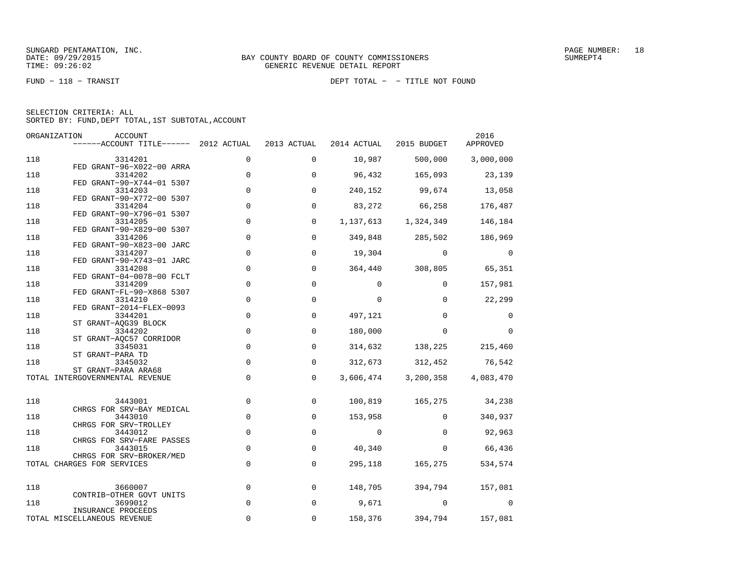FUND − 118 − TRANSIT DEPT TOTAL − − TITLE NOT FOUND

|  | SELECTION CRITERIA: ALL |                                                    |  |
|--|-------------------------|----------------------------------------------------|--|
|  |                         | SORTED BY: FUND, DEPT TOTAL, 1ST SUBTOTAL, ACCOUNT |  |

|            | ORGANIZATION<br>ACCOUNT<br>------ACCOUNT TITLE------ 2012 ACTUAL  |                            | 2013 ACTUAL                | 2014 ACTUAL | 2015 BUDGET             | 2016<br>APPROVED |
|------------|-------------------------------------------------------------------|----------------------------|----------------------------|-------------|-------------------------|------------------|
| 118        | 3314201                                                           | $\mathbf 0$                | $\mathbf 0$                | 10,987      | 500,000                 | 3,000,000        |
| 118        | FED GRANT-96-X022-00 ARRA<br>3314202                              | $\mathbf 0$                | $\mathbf 0$                | 96,432      | 165,093                 | 23,139           |
| 118        | FED GRANT-90-X744-01 5307<br>3314203                              | $\mathbf 0$                | $\Omega$                   | 240,152     | 99,674                  | 13,058           |
| 118        | FED GRANT-90-X772-00 5307<br>3314204<br>FED GRANT-90-X796-01 5307 | $\mathbf 0$                | $\mathbf 0$                | 83,272      | 66,258                  | 176,487          |
| 118        | 3314205<br>FED GRANT-90-X829-00 5307                              | $\mathbf 0$                | $\mathbf 0$                | 1,137,613   | 1,324,349               | 146,184          |
| 118        | 3314206<br>FED GRANT-90-X823-00 JARC                              | $\mathbf 0$                | $\mathbf 0$                |             | 349,848 285,502         | 186,969          |
| 118        | 3314207<br>FED GRANT-90-X743-01 JARC                              | $\mathsf{O}\xspace$        | $\mathbf 0$                | 19,304      | $\mathbf{0}$            | 0                |
| 118        | 3314208<br>FED GRANT-04-0078-00 FCLT                              | $\mathbf 0$                | $\mathbf 0$                | 364,440     | 308,805                 | 65,351           |
| 118        | 3314209<br>FED GRANT-FL-90-X868 5307                              | $\mathbf 0$                | $\Omega$                   | $\Omega$    | $\Omega$                | 157,981          |
| 118        | 3314210<br>FED GRANT-2014-FLEX-0093                               | $\mathbf 0$                | $\mathbf 0$                | $\Omega$    | $\Omega$                | 22,299           |
| 118        | 3344201<br>ST GRANT-AQG39 BLOCK                                   | $\mathbf 0$                | $\mathbf 0$                | 497,121     | $\Omega$                | 0                |
| 118        | 3344202<br>ST GRANT-AQC57 CORRIDOR                                | $\mathbf 0$                | $\mathbf 0$                | 180,000     | $\Omega$                | $\Omega$         |
| 118<br>118 | 3345031<br>ST GRANT-PARA TD<br>3345032                            | $\mathbf 0$<br>$\mathbf 0$ | $\mathbf 0$<br>$\mathbf 0$ | 312,673     | 314,632 138,225 215,460 | 312,452 76,542   |
|            | ST GRANT-PARA ARA68<br>TOTAL INTERGOVERNMENTAL REVENUE            | $\mathbf 0$                | $\Omega$                   | 3,606,474   | 3,200,358               | 4,083,470        |
|            |                                                                   |                            |                            |             |                         |                  |
| 118        | 3443001<br>CHRGS FOR SRV-BAY MEDICAL                              | $\mathbf 0$                | $\mathbf 0$                | 100,819     | 165,275                 | 34,238           |
| 118        | 3443010<br>CHRGS FOR SRV-TROLLEY                                  | $\mathbf 0$                | $\mathbf 0$                | 153,958     | $\Omega$                | 340,937          |
| 118        | 3443012<br>CHRGS FOR SRV-FARE PASSES                              | $\mathsf{O}\xspace$        | $\mathbf 0$                | $\mathbf 0$ | $\Omega$                | 92,963           |
| 118        | 3443015<br>CHRGS FOR SRV-BROKER/MED                               | $\mathbf 0$                | $\mathbf 0$                | 40,340      | $\mathbf{0}$            | 66,436           |
|            | TOTAL CHARGES FOR SERVICES                                        | $\mathbf 0$                | $\mathbf 0$                | 295,118     | 165,275                 | 534,574          |
| 118        | 3660007                                                           | $\mathbf 0$                | 0                          | 148,705     | 394,794                 | 157,081          |
| 118        | CONTRIB-OTHER GOVT UNITS<br>3699012<br>INSURANCE PROCEEDS         | $\mathbf 0$                | $\mathbf 0$                | 9,671       | $\Omega$                | $\Omega$         |
|            | TOTAL MISCELLANEOUS REVENUE                                       | 0                          | $\Omega$                   | 158,376     | 394,794                 | 157,081          |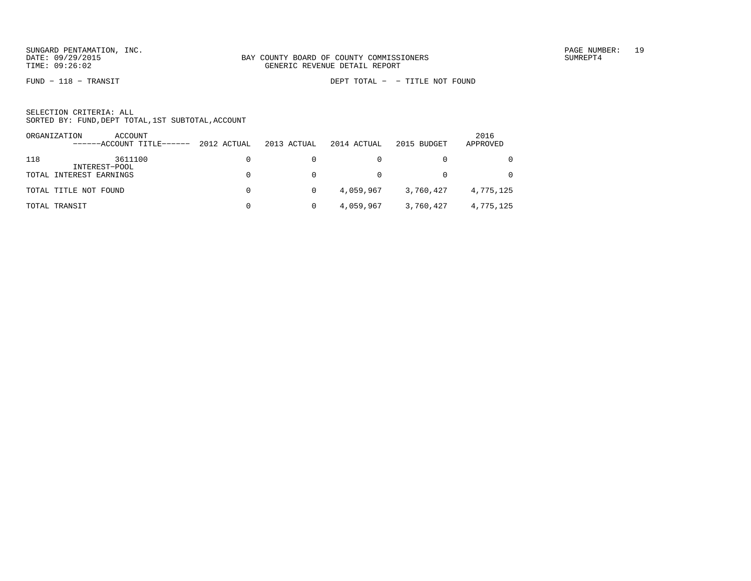FUND − 118 − TRANSIT DEPT TOTAL − − TITLE NOT FOUND

|     | ORGANIZATION<br>ACCOUNT<br>------ACCOUNT TITLE------ | 2012 ACTUAL | 2013 ACTUAL | 2014 ACTUAL | 2015 BUDGET | 2016<br>APPROVED |
|-----|------------------------------------------------------|-------------|-------------|-------------|-------------|------------------|
| 118 | 3611100<br>INTEREST-POOL                             |             |             |             |             | $\Omega$         |
|     | TOTAL INTEREST EARNINGS                              |             |             |             |             | $\Omega$         |
|     | TOTAL TITLE NOT FOUND                                | $\Omega$    |             | 4,059,967   | 3,760,427   | 4,775,125        |
|     | TOTAL TRANSIT                                        |             |             | 4,059,967   | 3,760,427   | 4,775,125        |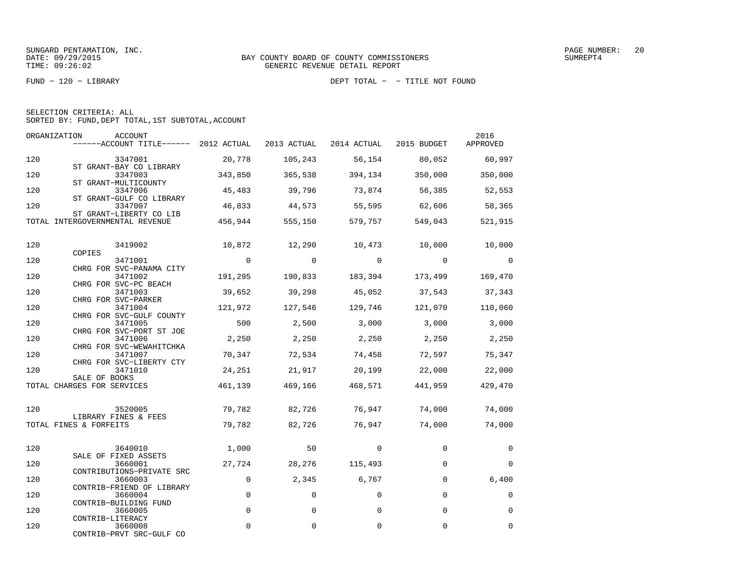FUND − 120 − LIBRARY DEPT TOTAL − − TITLE NOT FOUND

| SELECTION CRITERIA: ALL |  |  |                                                    |  |
|-------------------------|--|--|----------------------------------------------------|--|
|                         |  |  | SORTED BY: FUND, DEPT TOTAL, 1ST SUBTOTAL, ACCOUNT |  |

| ORGANIZATION | ACCOUNT<br>$----ACCOUNT$ TITLE $---2012$ ACTUAL                 |                | 2013 ACTUAL | 2014 ACTUAL    | 2015 BUDGET    | 2016<br>APPROVED         |
|--------------|-----------------------------------------------------------------|----------------|-------------|----------------|----------------|--------------------------|
| 120          | 3347001                                                         | 20,778         | 105,243     | 56,154         | 80,052         | 60,997                   |
| 120          | ST GRANT-BAY CO LIBRARY<br>3347003<br>ST GRANT-MULTICOUNTY      | 343,850        | 365,538     | 394,134        | 350,000        | 350,000                  |
| 120          | 3347006<br>ST GRANT-GULF CO LIBRARY                             | 45,483         | 39,796      | 73,874         | 56,385         | 52,553                   |
| 120          | 3347007<br>ST GRANT-LIBERTY CO LIB                              | 46,833         | 44,573      | 55,595         | 62,606         | 58,365                   |
|              | TOTAL INTERGOVERNMENTAL REVENUE                                 | 456,944        | 555,150     | 579,757        | 549,043        | 521,915                  |
| 120          | 3419002                                                         | 10,872         | 12,290      | 10,473 10,000  |                | 10,000                   |
| 120          | COPIES<br>3471001                                               | $\overline{0}$ | $\circ$     | $\overline{0}$ | $\overline{0}$ | $\overline{\phantom{0}}$ |
| 120          | CHRG FOR SVC-PANAMA CITY<br>3471002                             | 191,295        | 190,833     | 183,394        | 173,499        | 169,470                  |
| 120          | CHRG FOR SVC-PC BEACH<br>3471003                                | 39,652         | 39,298      | 45,052         | 37,543         | 37,343                   |
| 120          | CHRG FOR SVC-PARKER<br>3471004                                  | 121,972        | 127,546     | 129,746        | 121,070        | 110,060                  |
| 120          | CHRG FOR SVC-GULF COUNTY<br>3471005<br>CHRG FOR SVC-PORT ST JOE | 500            | 2,500       | 3,000          | 3,000          | 3,000                    |
| 120          | 3471006<br>CHRG FOR SVC-WEWAHITCHKA                             | 2,250          | 2,250       | 2,250          | 2,250          | 2,250                    |
| 120          | 3471007<br>CHRG FOR SVC-LIBERTY CTY                             | 70,347         | 72,534      | 74,458         | 72,597         | 75,347                   |
| 120          | 3471010<br>SALE OF BOOKS                                        | 24,251         | 21,917      | 20,199         | 22,000         | 22,000                   |
|              | TOTAL CHARGES FOR SERVICES                                      | 461,139        | 469,166     | 468,571        | 441,959        | 429,470                  |
| 120          | 3520005                                                         | 79,782         | 82,726      | 76,947         | 74,000         | 74,000                   |
|              | LIBRARY FINES & FEES<br>TOTAL FINES & FORFEITS                  | 79,782         | 82,726      | 76,947         | 74,000         | 74,000                   |
| 120          | 3640010                                                         | 1,000          | 50          | $\Omega$       | $\Omega$       | 0                        |
| 120          | SALE OF FIXED ASSETS<br>3660001                                 | 27,724         | 28,276      | 115,493        | $\mathbf 0$    | $\mathbf 0$              |
| 120          | CONTRIBUTIONS-PRIVATE SRC<br>3660003                            | $\mathbf 0$    | 2,345       | 6,767          | $\Omega$       | 6,400                    |
| 120          | CONTRIB-FRIEND OF LIBRARY<br>3660004                            | 0              | $\mathbf 0$ | 0              | 0              | $\mathbf 0$              |
| 120          | CONTRIB-BUILDING FUND<br>3660005                                | $\Omega$       | $\Omega$    | $\Omega$       | $\Omega$       | $\Omega$                 |
| 120          | CONTRIB-LITERACY<br>3660008<br>CONTRIB-PRVT SRC-GULF CO         | $\mathbf 0$    | 0           | 0              | 0              | $\mathbf 0$              |
|              |                                                                 |                |             |                |                |                          |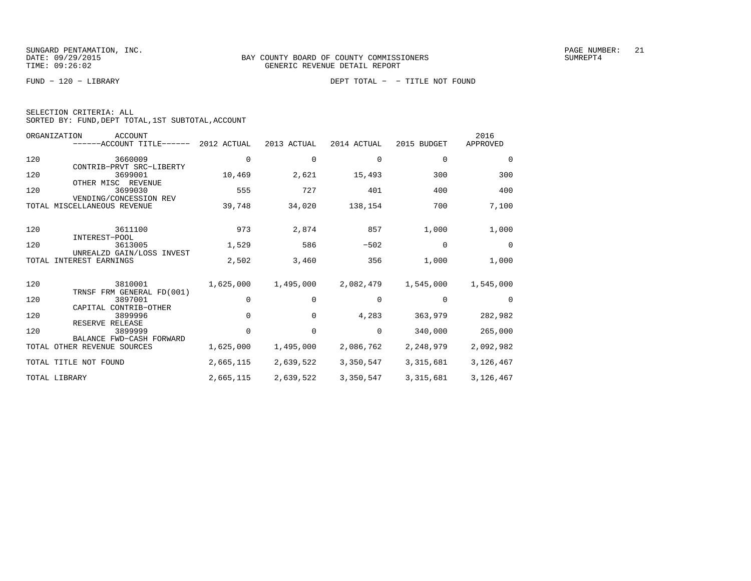FUND − 120 − LIBRARY DEPT TOTAL − − TITLE NOT FOUND

| SELECTION CRITERIA: ALL |                                                    |  |
|-------------------------|----------------------------------------------------|--|
|                         | SORTED BY: FUND, DEPT TOTAL, 1ST SUBTOTAL, ACCOUNT |  |

|       | ORGANIZATION<br><b>ACCOUNT</b><br>------ACCOUNT TITLE------ | 2012 ACTUAL | 2013 ACTUAL | 2014 ACTUAL | 2015 BUDGET | 2016<br>APPROVED |
|-------|-------------------------------------------------------------|-------------|-------------|-------------|-------------|------------------|
| 120   | 3660009<br>CONTRIB-PRVT SRC-LIBERTY                         | 0           | 0           | 0           | 0           | 0                |
| 120   | 3699001<br>OTHER MISC REVENUE                               | 10,469      | 2,621       | 15,493      | 300         | 300              |
| 120   | 3699030<br>VENDING/CONCESSION REV                           | 555         | 727         | 401         | 400         | 400              |
|       | TOTAL MISCELLANEOUS REVENUE                                 | 39,748      | 34,020      | 138,154     | 700         | 7,100            |
| 120   | 3611100<br>INTEREST-POOL                                    | 973         | 2,874       | 857         | 1,000       | 1,000            |
| 120   | 3613005<br>UNREALZD GAIN/LOSS INVEST                        | 1,529       | 586         | $-502$      | $\Omega$    | $\Omega$         |
| TOTAL | INTEREST EARNINGS                                           | 2,502       | 3,460       | 356         | 1,000       | 1,000            |
| 120   | 3810001<br>TRNSF FRM GENERAL FD(001)                        | 1,625,000   | 1,495,000   | 2,082,479   | 1,545,000   | 1,545,000        |
| 120   | 3897001<br>CAPITAL CONTRIB-OTHER                            | 0           | 0           | 0           | 0           | $\Omega$         |
| 120   | 3899996<br>RESERVE RELEASE                                  | $\cap$      | $\Omega$    | 4,283       | 363,979     | 282,982          |
| 120   | 3899999<br>BALANCE FWD-CASH FORWARD                         |             | $\Omega$    | $\Omega$    | 340,000     | 265,000          |
|       | TOTAL OTHER REVENUE SOURCES                                 | 1,625,000   | 1,495,000   | 2,086,762   | 2,248,979   | 2,092,982        |
|       | TOTAL TITLE NOT FOUND                                       | 2,665,115   | 2,639,522   | 3,350,547   | 3,315,681   | 3,126,467        |
|       | TOTAL LIBRARY                                               | 2,665,115   | 2,639,522   | 3,350,547   | 3, 315, 681 | 3,126,467        |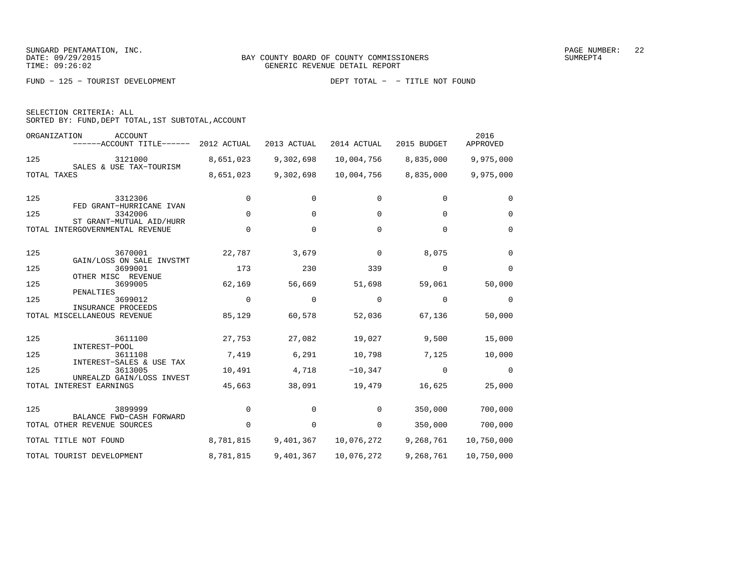FUND − 125 − TOURIST DEVELOPMENT DEPT TOTAL − − TITLE NOT FOUND

|  | SELECTION CRITERIA: ALL                            |  |  |
|--|----------------------------------------------------|--|--|
|  | SORTED BY: FUND, DEPT TOTAL, 1ST SUBTOTAL, ACCOUNT |  |  |

| ORGANIZATION<br><b>ACCOUNT</b><br>------ACCOUNT TITLE------ | 2012 ACTUAL | 2013 ACTUAL | 2014 ACTUAL | 2015 BUDGET | 2016<br>APPROVED |
|-------------------------------------------------------------|-------------|-------------|-------------|-------------|------------------|
| 125<br>3121000                                              | 8,651,023   | 9,302,698   | 10,004,756  | 8,835,000   | 9,975,000        |
| SALES & USE TAX-TOURISM<br>TOTAL TAXES                      | 8,651,023   | 9,302,698   | 10,004,756  | 8,835,000   | 9,975,000        |
| 125<br>3312306<br>FED GRANT-HURRICANE IVAN                  | 0           | 0           | 0           | $\mathbf 0$ | $\Omega$         |
| 125<br>3342006<br>ST GRANT-MUTUAL AID/HURR                  | $\mathbf 0$ | 0           | 0           | $\Omega$    | $\mathbf 0$      |
| INTERGOVERNMENTAL REVENUE<br>TOTAL                          | $\Omega$    | $\Omega$    | $\Omega$    | $\Omega$    | $\Omega$         |
| 125<br>3670001<br>GAIN/LOSS ON SALE INVSTMT                 | 22,787      | 3,679       | 0           | 8,075       | $\Omega$         |
| 125<br>3699001<br>OTHER MISC REVENUE                        | 173         | 230         | 339         | $\Omega$    | $\Omega$         |
| 125<br>3699005<br>PENALTIES                                 | 62,169      | 56,669      | 51,698      | 59,061      | 50,000           |
| 125<br>3699012<br>INSURANCE PROCEEDS                        | 0           | $\Omega$    | $\Omega$    | $\Omega$    | 0                |
| TOTAL MISCELLANEOUS REVENUE                                 | 85,129      | 60,578      | 52,036      | 67,136      | 50,000           |
| 125<br>3611100<br>INTEREST-POOL                             | 27,753      | 27,082      | 19,027      | 9,500       | 15,000           |
| 125<br>3611108<br>INTEREST-SALES & USE TAX                  | 7,419       | 6,291       | 10,798      | 7,125       | 10,000           |
| 125<br>3613005<br>UNREALZD GAIN/LOSS INVEST                 | 10,491      | 4,718       | $-10,347$   | $\Omega$    | 0                |
| TOTAL INTEREST EARNINGS                                     | 45,663      | 38,091      | 19,479      | 16,625      | 25,000           |
| 125<br>3899999<br>BALANCE FWD-CASH FORWARD                  | $\Omega$    | $\Omega$    | $\Omega$    | 350,000     | 700,000          |
| TOTAL OTHER REVENUE SOURCES                                 | $\Omega$    | 0           | 0           | 350,000     | 700,000          |
| TOTAL TITLE NOT FOUND                                       | 8,781,815   | 9,401,367   | 10,076,272  | 9,268,761   | 10,750,000       |
| TOTAL TOURIST DEVELOPMENT                                   | 8,781,815   | 9,401,367   | 10,076,272  | 9,268,761   | 10,750,000       |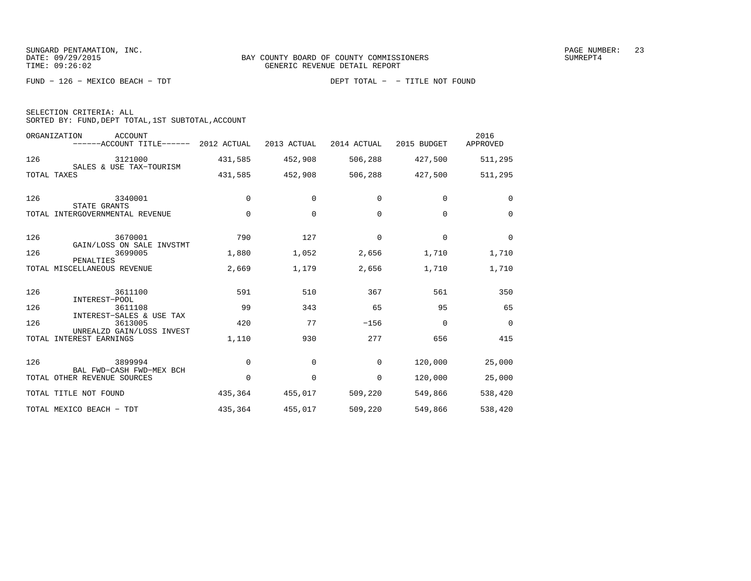FUND − 126 − MEXICO BEACH − TDT DEPT TOTAL − − TITLE NOT FOUND

| DEPT TOTAL | - - TITLE NOT FOUND |  |  |
|------------|---------------------|--|--|
|------------|---------------------|--|--|

|  | SELECTION CRITERIA: ALL |                                                    |  |
|--|-------------------------|----------------------------------------------------|--|
|  |                         | SORTED BY: FUND, DEPT TOTAL, 1ST SUBTOTAL, ACCOUNT |  |

|       | ORGANIZATION<br>ACCOUNT<br>------ACCOUNT TITLE------ 2012 ACTUAL |             | 2013 ACTUAL | 2014 ACTUAL | 2015 BUDGET | 2016<br>APPROVED |
|-------|------------------------------------------------------------------|-------------|-------------|-------------|-------------|------------------|
| 126   | 3121000                                                          | 431,585     | 452,908     | 506,288     | 427,500     | 511,295          |
|       | SALES & USE TAX-TOURISM<br>TOTAL TAXES                           | 431,585     | 452,908     | 506,288     | 427,500     | 511,295          |
| 126   | 3340001<br>STATE GRANTS                                          | $\Omega$    | $\Omega$    | $\Omega$    | $\Omega$    | $\Omega$         |
|       | TOTAL INTERGOVERNMENTAL REVENUE                                  | $\mathbf 0$ | 0           | $\Omega$    | $\Omega$    | $\Omega$         |
| 126   | 3670001                                                          | 790         | 127         | $\mathbf 0$ | $\mathbf 0$ | $\mathbf 0$      |
| 126   | GAIN/LOSS ON SALE INVSTMT<br>3699005                             | 1,880       | 1,052       | 2,656       | 1,710       | 1,710            |
|       | PENALTIES<br>TOTAL MISCELLANEOUS REVENUE                         | 2,669       | 1,179       | 2,656       | 1,710       | 1,710            |
| 126   | 3611100<br>INTEREST-POOL                                         | 591         | 510         | 367         | 561         | 350              |
| 126   | 3611108                                                          | 99          | 343         | 65          | 95          | 65               |
| 126   | INTEREST-SALES & USE TAX<br>3613005                              | 420         | 77          | $-156$      | $\Omega$    | $\Omega$         |
| TOTAL | UNREALZD GAIN/LOSS INVEST<br>INTEREST EARNINGS                   | 1,110       | 930         | 277         | 656         | 415              |
| 126   | 3899994                                                          | 0           | 0           | $\mathbf 0$ | 120,000     | 25,000           |
|       | BAL FWD-CASH FWD-MEX BCH<br>TOTAL OTHER REVENUE SOURCES          | $\Omega$    | $\Omega$    | $\mathbf 0$ | 120,000     | 25,000           |
|       | TOTAL TITLE NOT FOUND                                            | 435,364     | 455,017     | 509,220     | 549,866     | 538,420          |
|       | TOTAL MEXICO BEACH - TDT                                         | 435,364     | 455,017     | 509,220     | 549,866     | 538,420          |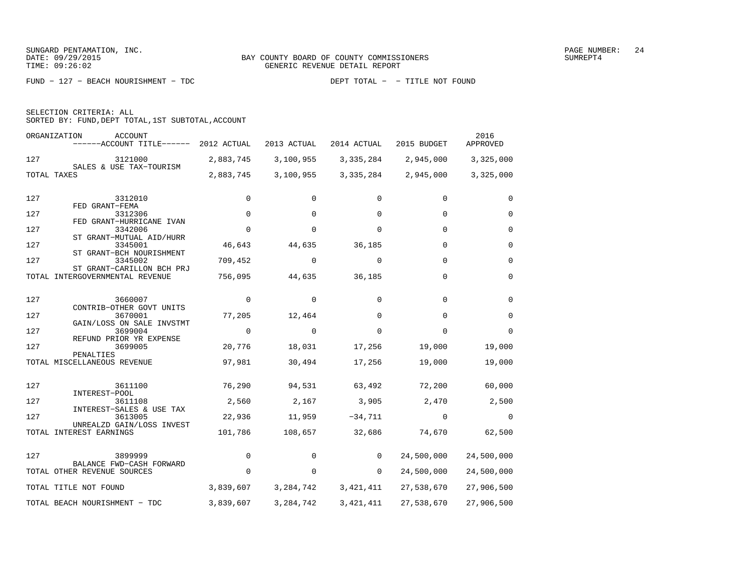FUND − 127 − BEACH NOURISHMENT − TDC DEPT TOTAL − − TITLE NOT FOUND

| SELECTION CRITERIA: ALL |  |                                                    |  |
|-------------------------|--|----------------------------------------------------|--|
|                         |  | SORTED BY: FUND, DEPT TOTAL, 1ST SUBTOTAL, ACCOUNT |  |

| ORGANIZATION                             | ACCOUNT<br>------ACCOUNT TITLE------                 | 2012 ACTUAL    | 2013 ACTUAL | 2014 ACTUAL | 2015 BUDGET  | 2016<br>APPROVED |
|------------------------------------------|------------------------------------------------------|----------------|-------------|-------------|--------------|------------------|
| 127                                      | 3121000<br>SALES & USE TAX-TOURISM                   | 2,883,745      | 3,100,955   | 3,335,284   | 2,945,000    | 3,325,000        |
| TOTAL TAXES                              |                                                      | 2,883,745      | 3,100,955   | 3,335,284   | 2,945,000    | 3,325,000        |
| 127                                      | 3312010                                              | 0              | 0           | 0           | 0            | $\Omega$         |
| 127                                      | FED GRANT-FEMA<br>3312306                            | $\mathbf 0$    | 0           | 0           | 0            | $\Omega$         |
| 127                                      | FED GRANT-HURRICANE IVAN<br>3342006                  | $\Omega$       | $\Omega$    | $\Omega$    | $\Omega$     | $\Omega$         |
|                                          | ST GRANT-MUTUAL AID/HURR                             |                |             |             |              |                  |
| 127                                      | 3345001<br>ST GRANT-BCH NOURISHMENT                  | 46,643         | 44,635      | 36,185      | $\Omega$     | $\Omega$         |
| 127                                      | 3345002<br>ST GRANT-CARILLON BCH PRJ                 | 709,452        | $\mathbf 0$ | $\Omega$    | $\mathbf 0$  | $\mathbf 0$      |
|                                          | TOTAL INTERGOVERNMENTAL REVENUE                      | 756,095        | 44,635      | 36,185      | $\mathbf 0$  | $\Omega$         |
|                                          |                                                      |                |             |             |              |                  |
| 127                                      | 3660007<br>CONTRIB-OTHER GOVT UNITS                  | 0              | $\Omega$    | $\Omega$    | $\Omega$     | $\Omega$         |
| 127                                      | 3670001<br>GAIN/LOSS ON SALE INVSTMT                 | 77,205         | 12,464      | $\Omega$    | $\Omega$     | $\Omega$         |
| 127                                      | 3699004                                              | $\overline{0}$ | $\Omega$    | $\Omega$    | $\Omega$     | $\Omega$         |
| 127                                      | REFUND PRIOR YR EXPENSE<br>3699005                   | 20,776         | 18,031      | 17,256      | 19,000       | 19,000           |
| PENALTIES<br>TOTAL MISCELLANEOUS REVENUE |                                                      | 97,981         | 30,494      | 17,256      | 19,000       | 19,000           |
|                                          |                                                      |                |             |             |              |                  |
| 127                                      | 3611100<br>INTEREST-POOL                             | 76,290         | 94,531      | 63,492      | 72,200       | 60,000           |
| 127                                      | 3611108<br>INTEREST-SALES & USE TAX                  | 2,560          | 2,167       | 3,905       | 2,470        | 2,500            |
| 127                                      | 3613005                                              | 22,936         | 11,959      | $-34,711$   | $\mathbf{0}$ | $\overline{0}$   |
|                                          | UNREALZD GAIN/LOSS INVEST<br>TOTAL INTEREST EARNINGS | 101,786        | 108,657     | 32,686      | 74,670       | 62,500           |
| 127                                      | 3899999                                              | $\mathbf 0$    | $\Omega$    | $\Omega$    | 24,500,000   | 24,500,000       |
|                                          | BALANCE FWD-CASH FORWARD                             |                |             |             |              |                  |
|                                          | TOTAL OTHER REVENUE SOURCES                          | $\Omega$       | $\mathbf 0$ | $\Omega$    | 24,500,000   | 24,500,000       |
|                                          | TOTAL TITLE NOT FOUND                                | 3,839,607      | 3,284,742   | 3,421,411   | 27,538,670   | 27,906,500       |
|                                          | TOTAL BEACH NOURISHMENT - TDC                        | 3,839,607      | 3, 284, 742 | 3, 421, 411 | 27,538,670   | 27,906,500       |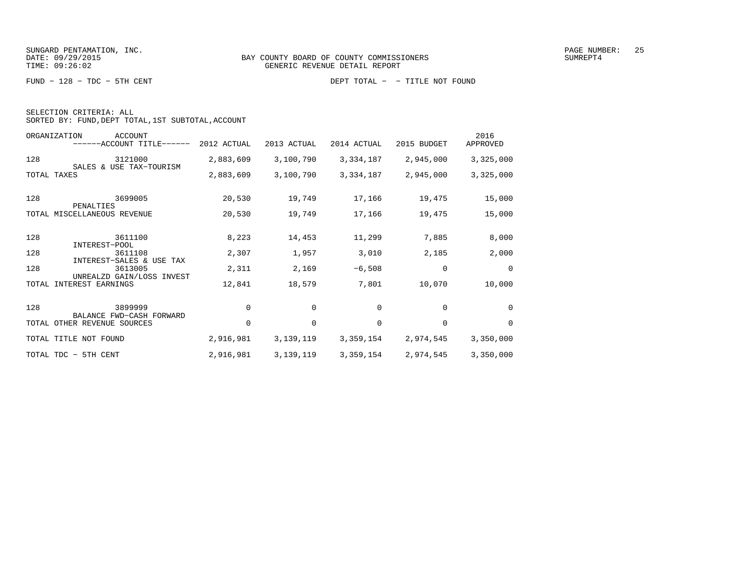FUND − 128 − TDC − 5TH CENT DEPT TOTAL − − TITLE NOT FOUND

| SELECTION CRITERIA: ALL |                                                    |
|-------------------------|----------------------------------------------------|
|                         | SORTED BY: FUND, DEPT TOTAL, 1ST SUBTOTAL, ACCOUNT |

|             | ORGANIZATION<br><b>ACCOUNT</b><br>------ACCOUNT TITLE------                                 | 2012 ACTUAL | 2013 ACTUAL | 2014 ACTUAL | 2015 BUDGET | 2016<br>APPROVED |
|-------------|---------------------------------------------------------------------------------------------|-------------|-------------|-------------|-------------|------------------|
| 128         | 3121000                                                                                     | 2,883,609   | 3,100,790   | 3,334,187   | 2,945,000   | 3,325,000        |
| TOTAL TAXES | SALES & USE TAX-TOURISM                                                                     | 2,883,609   | 3,100,790   | 3,334,187   | 2,945,000   | 3,325,000        |
| 128         | 3699005<br>PENALTIES                                                                        | 20,530      | 19,749      | 17,166      | 19,475      | 15,000           |
| TOTAL       | MISCELLANEOUS REVENUE                                                                       | 20,530      | 19,749      | 17,166      | 19,475      | 15,000           |
| 128         | 3611100<br>INTEREST-POOL                                                                    | 8,223       | 14,453      | 11,299      | 7,885       | 8,000            |
| 128         | 3611108                                                                                     | 2,307       | 1,957       | 3,010       | 2,185       | 2,000            |
| 128         | INTEREST-SALES &<br>USE<br>TAX<br>3613005<br>UNREALZD GAIN/LOSS INVEST<br>INTEREST EARNINGS | 2,311       | 2,169       | $-6,508$    | 0           | 0                |
| TOTAL       |                                                                                             | 12,841      | 18,579      | 7,801       | 10,070      | 10,000           |
| 128         | 3899999<br>BALANCE FWD-CASH FORWARD                                                         | $\mathbf 0$ | 0           | 0           | 0           | 0                |
|             | TOTAL OTHER REVENUE SOURCES                                                                 | $\mathbf 0$ | 0           | 0           | $\mathbf 0$ | 0                |
|             | TOTAL TITLE NOT FOUND                                                                       | 2,916,981   | 3,139,119   | 3,359,154   | 2,974,545   | 3,350,000        |
|             | TOTAL TDC - 5TH CENT                                                                        | 2,916,981   | 3, 139, 119 | 3,359,154   | 2,974,545   | 3,350,000        |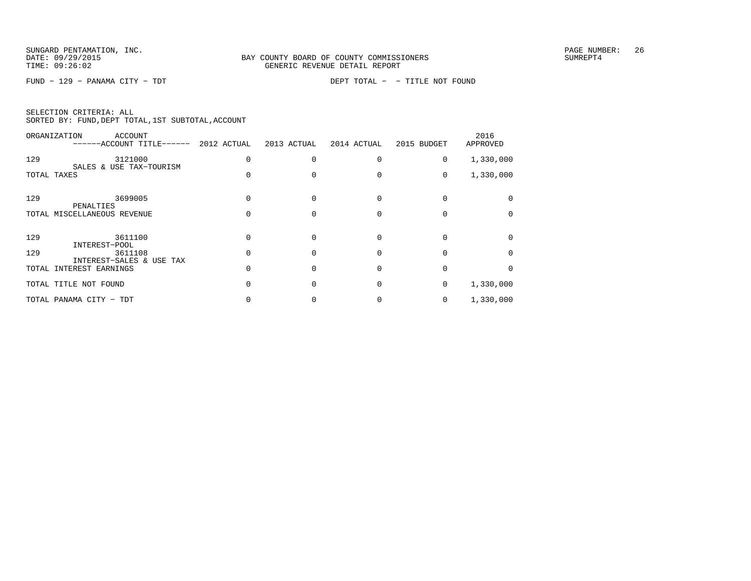FUND − 129 − PANAMA CITY − TDT DEPT TOTAL − − TITLE NOT FOUND

| SELECTION CRITERIA: ALL |                                                    |  |
|-------------------------|----------------------------------------------------|--|
|                         | SORTED BY: FUND, DEPT TOTAL, 1ST SUBTOTAL, ACCOUNT |  |

|             | ORGANIZATION<br>ACCOUNT<br>----ACCOUNT TITLE------  | 2012 ACTUAL | 2013 ACTUAL | 2014 ACTUAL | 2015 BUDGET | 2016<br>APPROVED |
|-------------|-----------------------------------------------------|-------------|-------------|-------------|-------------|------------------|
| 129         | 3121000                                             |             |             |             | 0           | 1,330,000        |
| TOTAL TAXES | SALES & USE TAX-TOURISM                             |             |             |             | 0           | 1,330,000        |
| 129         | 3699005<br>PENALTIES                                |             |             |             |             |                  |
|             | TOTAL MISCELLANEOUS REVENUE                         |             |             |             |             |                  |
| 129         | 3611100<br>INTEREST-POOL                            |             |             |             |             |                  |
| 129         | 3611108                                             |             |             |             |             |                  |
|             | INTEREST-SALES & USE TAX<br>TOTAL INTEREST EARNINGS |             |             |             |             |                  |
|             | TOTAL TITLE NOT FOUND                               |             |             |             | 0           | 1,330,000        |
|             | TOTAL PANAMA CITY - TDT                             |             |             |             | 0           | 1,330,000        |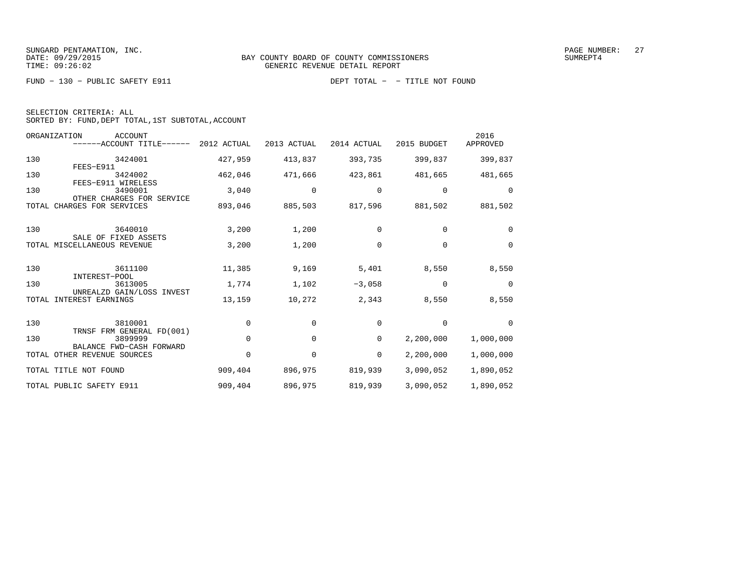FUND − 130 − PUBLIC SAFETY E911 DEPT TOTAL − − TITLE NOT FOUND

| SELECTION CRITERIA: ALL |  |  |                                                    |  |
|-------------------------|--|--|----------------------------------------------------|--|
|                         |  |  | SORTED BY: FUND, DEPT TOTAL, 1ST SUBTOTAL, ACCOUNT |  |

| ORGANIZATION                  | <b>ACCOUNT</b><br>------ACCOUNT TITLE------ 2012 ACTUAL          |          | 2013 ACTUAL | 2014 ACTUAL | 2015 BUDGET | 2016<br>APPROVED |
|-------------------------------|------------------------------------------------------------------|----------|-------------|-------------|-------------|------------------|
| 130<br>FEES-E911              | 3424001                                                          | 427,959  | 413,837     | 393,735     | 399,837     | 399,837          |
| 130                           | 3424002<br>FEES-E911 WIRELESS                                    | 462,046  | 471,666     | 423,861     | 481,665     | 481,665          |
| 130                           | 3490001<br>OTHER CHARGES FOR SERVICE                             | 3,040    | 0           | 0           | $\mathbf 0$ | 0                |
| CHARGES FOR SERVICES<br>TOTAL |                                                                  | 893,046  | 885,503     | 817,596     | 881,502     | 881,502          |
| 130                           | 3640010                                                          | 3,200    | 1,200       | 0           | $\Omega$    | $\Omega$         |
| TOTAL MISCELLANEOUS REVENUE   | SALE OF FIXED ASSETS                                             | 3,200    | 1,200       | 0           | $\Omega$    | $\Omega$         |
| 130                           | 3611100<br>INTEREST-POOL                                         | 11,385   | 9,169       | 5,401       | 8,550       | 8,550            |
| 130                           | 3613005<br>UNREALZD GAIN/LOSS INVEST                             | 1,774    | 1,102       | $-3,058$    | 0           | $\mathbf 0$      |
| INTEREST EARNINGS<br>TOTAL    |                                                                  | 13,159   | 10,272      | 2,343       | 8,550       | 8,550            |
| 130                           | 3810001                                                          | $\Omega$ | $\Omega$    | $\Omega$    | $\Omega$    | $\Omega$         |
| 130                           | TRNSF FRM GENERAL FD(001)<br>3899999<br>BALANCE FWD-CASH FORWARD | 0        | 0           | 0           | 2,200,000   | 1,000,000        |
| TOTAL OTHER REVENUE SOURCES   |                                                                  | 0        | 0           | 0           | 2,200,000   | 1,000,000        |
| TOTAL TITLE NOT FOUND         |                                                                  | 909,404  | 896,975     | 819,939     | 3,090,052   | 1,890,052        |
| TOTAL PUBLIC SAFETY E911      |                                                                  | 909,404  | 896,975     | 819,939     | 3,090,052   | 1,890,052        |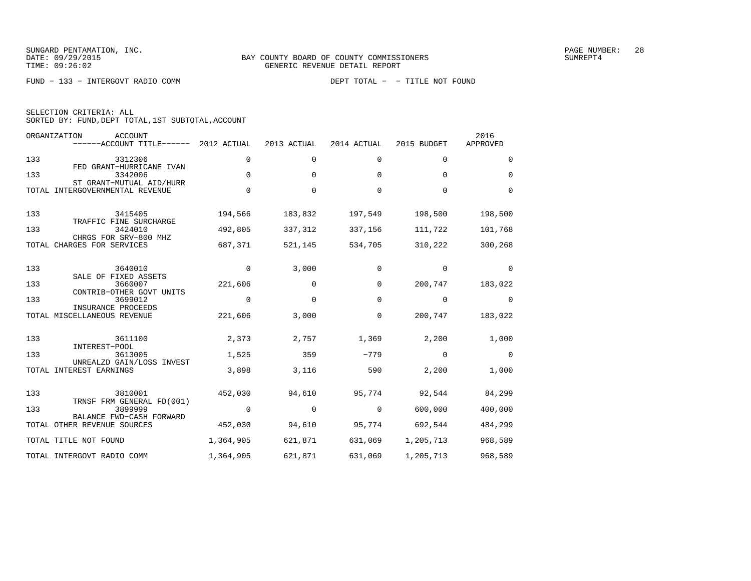FUND − 133 − INTERGOVT RADIO COMM DEPT TOTAL − − TITLE NOT FOUND

| SELECTION CRITERIA: ALL |                                                    |  |
|-------------------------|----------------------------------------------------|--|
|                         | SORTED BY: FUND, DEPT TOTAL, 1ST SUBTOTAL, ACCOUNT |  |

|       | ORGANIZATION<br>ACCOUNT<br>------ACCOUNT TITLE------        | 2012 ACTUAL | 2013 ACTUAL | 2014 ACTUAL | 2015 BUDGET | 2016<br>APPROVED |
|-------|-------------------------------------------------------------|-------------|-------------|-------------|-------------|------------------|
| 133   | 3312306                                                     | $\Omega$    | 0           | 0           | $\Omega$    | $\Omega$         |
| 133   | FED GRANT-HURRICANE IVAN<br>3342006                         | $\Omega$    | $\Omega$    | $\Omega$    | $\Omega$    | $\Omega$         |
|       | ST GRANT-MUTUAL AID/HURR<br>TOTAL INTERGOVERNMENTAL REVENUE | $\Omega$    | 0           | $\Omega$    | $\Omega$    | $\Omega$         |
| 133   | 3415405<br>TRAFFIC FINE SURCHARGE                           | 194,566     | 183,832     | 197,549     | 198,500     | 198,500          |
| 133   | 3424010<br>CHRGS FOR SRV-800 MHZ                            | 492,805     | 337,312     | 337,156     | 111,722     | 101,768          |
|       | TOTAL CHARGES FOR SERVICES                                  | 687,371     | 521,145     | 534,705     | 310,222     | 300,268          |
| 133   | 3640010<br>SALE OF FIXED ASSETS                             | $\mathbf 0$ | 3,000       | $\mathbf 0$ | 0           | 0                |
| 133   | 3660007<br>CONTRIB-OTHER GOVT UNITS                         | 221,606     | $\Omega$    | $\Omega$    | 200,747     | 183,022          |
| 133   | 3699012                                                     | $\mathbf 0$ | $\mathbf 0$ | $\mathbf 0$ | 0           | 0                |
|       | INSURANCE PROCEEDS<br>TOTAL MISCELLANEOUS REVENUE           | 221,606     | 3,000       | 0           | 200,747     | 183,022          |
| 133   | 3611100                                                     | 2,373       | 2,757       | 1,369       | 2,200       | 1,000            |
| 133   | INTEREST-POOL<br>3613005                                    | 1,525       | 359         | $-779$      | 0           | $\mathbf 0$      |
| TOTAL | UNREALZD GAIN/LOSS INVEST<br>INTEREST EARNINGS              | 3,898       | 3,116       | 590         | 2,200       | 1,000            |
| 133   | 3810001                                                     | 452,030     | 94,610      | 95,774      | 92,544      | 84,299           |
| 133   | TRNSF FRM GENERAL FD(001)<br>3899999                        | $\Omega$    | $\Omega$    | $\Omega$    | 600,000     | 400,000          |
|       | BALANCE FWD-CASH FORWARD<br>TOTAL OTHER REVENUE SOURCES     | 452,030     | 94,610      | 95,774      | 692,544     | 484,299          |
|       | TOTAL TITLE NOT FOUND                                       | 1,364,905   | 621,871     | 631,069     | 1,205,713   | 968,589          |
|       | TOTAL INTERGOVT RADIO COMM                                  | 1,364,905   | 621,871     | 631,069     | 1,205,713   | 968,589          |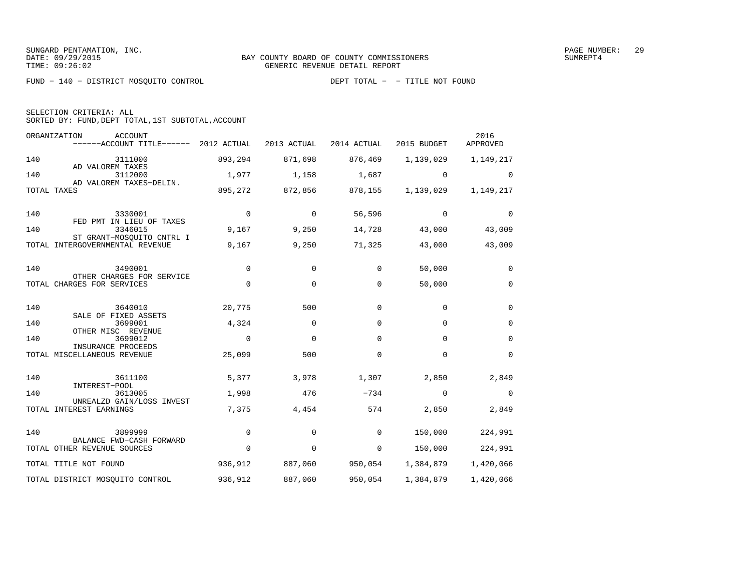FUND − 140 − DISTRICT MOSQUITO CONTROL DEPT TOTAL − − TITLE NOT FOUND

| SELECTION CRITERIA: ALL |  |                                                    |  |
|-------------------------|--|----------------------------------------------------|--|
|                         |  | SORTED BY: FUND, DEPT TOTAL, 1ST SUBTOTAL, ACCOUNT |  |

ORGANIZATION ACCOUNT 2016APPROVED −−−−−−ACCOUNT TITLE−−−−−− 2012 ACTUAL 2013 ACTUAL 2014 ACTUAL 2015 BUDGET APPROVED140 3111000 893,294 871,698 876,469 1,139,029 1,149,217 AD VALOREM TAXES3112000 140 3112000 1,977 1,158 1,687 0 0 AD VALOREM TAXES−DELIN.TOTAL TAXES 895,272 872,856 878,155 1,139,029 1,149,217 140 3330001 0 0 56,596 0 0 FED PMT IN LIEU OF TAXES140 3346015 9,167 9,250 14,728 43,000 43,009 ST GRANT−MOSQUITO CNTRL ITOTAL INTERGOVERNMENTAL REVENUE 9,167 9,250 71,325 43,000 43,009 140 3490001 0 0 0 50,000 0 OTHER CHARGES FOR SERVICETOTAL CHARGES FOR SERVICES  $\begin{array}{ccccccc} 0 & 0 & 0 & 0 & 50,000 & 0 \end{array}$ 140 3640010 20,775 500 0 0 0 SALE OF FIXED ASSETS140 3699001 4,324 0 0 0 0 OTHER MISC REVENUE140 3699012 0 0 0 0 0 INSURANCE PROCEEDS TOTAL MISCELLANEOUS REVENUE 25,099 500 0 0 0 140 3611100 5,377 3,978 1,307 2,850 2,849 INTEREST−POOL3613005 140 3613005 1,998 476 −734 0 0 UNREALZD GAIN/LOSS INVESTTOTAL INTEREST EARNINGS  $7,375$   $4,454$   $574$   $2,850$   $2,849$ 140 3899999 0 0 0 150,000 224,991 BALANCE FWD−CASH FORWARDTOTAL OTHER REVENUE SOURCES  $0$  0 0 0 150,000 224,991 TOTAL TITLE NOT FOUND 936,912 887,060 950,054 1,384,879 1,420,066 TOTAL DISTRICT MOSQUITO CONTROL 936,912 887,060 950,054 1,384,879 1,420,066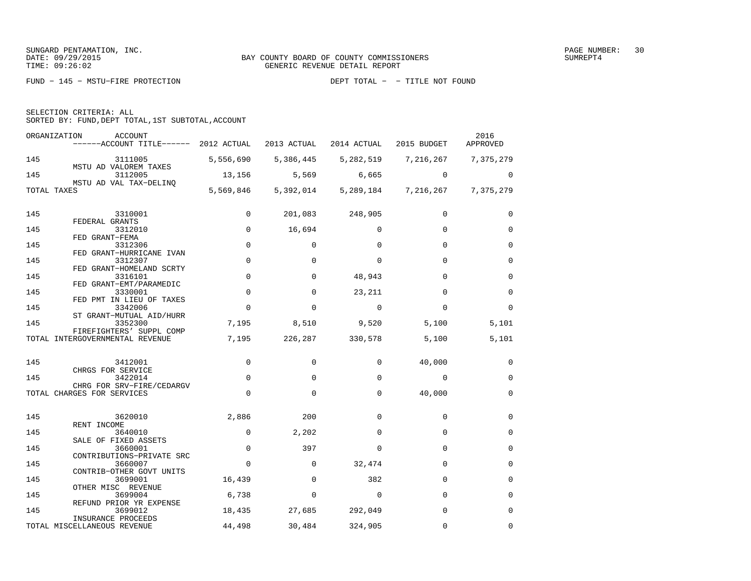SELECTION CRITERIA: ALL

SORTED BY: FUND,DEPT TOTAL,1ST SUBTOTAL,ACCOUNT

| ORGANIZATION | ACCOUNT<br>------ACCOUNT TITLE------ 2012 ACTUAL            |             | 2013 ACTUAL  | 2014 ACTUAL                   | 2015 BUDGET | 2016<br>APPROVED |
|--------------|-------------------------------------------------------------|-------------|--------------|-------------------------------|-------------|------------------|
| 145          | 3111005                                                     | 5,556,690   | 5,386,445    | 5,282,519                     | 7,216,267   | 7,375,279        |
| 145          | MSTU AD VALOREM TAXES<br>3112005                            | 13,156      | 5,569        | 6,665                         | $\Omega$    | $\Omega$         |
| TOTAL TAXES  | MSTU AD VAL TAX-DELINO                                      |             |              | 5,569,846 5,392,014 5,289,184 | 7,216,267   | 7,375,279        |
| 145          | 3310001                                                     | 0           | 201,083      | 248,905                       | $\Omega$    | 0                |
| 145          | FEDERAL GRANTS<br>3312010                                   | $\Omega$    | 16,694       | $\Omega$                      | $\Omega$    | $\Omega$         |
|              | FED GRANT-FEMA                                              |             |              |                               |             |                  |
| 145          | 3312306<br>FED GRANT-HURRICANE IVAN                         | $\mathbf 0$ | 0            | $\Omega$                      | $\Omega$    | $\mathbf 0$      |
| 145          | 3312307                                                     | $\mathbf 0$ | $\Omega$     | $\Omega$                      | $\Omega$    | $\mathbf 0$      |
| 145          | FED GRANT-HOMELAND SCRTY<br>3316101                         | 0           | 0            | 48,943                        | $\Omega$    | 0                |
|              | FED GRANT-EMT/PARAMEDIC                                     |             |              |                               |             |                  |
| 145          | 3330001<br>FED PMT IN LIEU OF TAXES                         | $\mathbf 0$ | $\Omega$     | 23,211                        | $\Omega$    | $\Omega$         |
| 145          | 3342006                                                     | $\mathbf 0$ | $\Omega$     | $\mathbf{0}$                  | $\Omega$    | $\mathbf 0$      |
| 145          | ST GRANT-MUTUAL AID/HURR<br>3352300                         | 7,195       | 8,510        | 9,520                         | 5,100       | 5,101            |
|              | FIREFIGHTERS' SUPPL COMP<br>TOTAL INTERGOVERNMENTAL REVENUE | 7,195       | 226,287      | 330,578                       | 5,100       | 5,101            |
|              |                                                             |             |              |                               |             |                  |
| 145          | 3412001<br>CHRGS FOR SERVICE                                | $\Omega$    | $\Omega$     | $\Omega$                      | 40,000      | $\Omega$         |
| 145          | 3422014                                                     | 0           | $\Omega$     | $\Omega$                      | $\Omega$    | $\mathbf 0$      |
|              | CHRG FOR SRV-FIRE/CEDARGV<br>TOTAL CHARGES FOR SERVICES     | $\mathbf 0$ | $\mathbf{0}$ | $\mathbf 0$                   | 40,000      | $\mathbf 0$      |
|              |                                                             |             |              |                               |             |                  |
| 145          | 3620010<br>RENT INCOME                                      | 2,886       | 200          | $\Omega$                      | $\Omega$    | $\mathbf 0$      |
| 145          | 3640010                                                     | 0           | 2,202        | 0                             | 0           | 0                |
| 145          | SALE OF FIXED ASSETS<br>3660001                             | $\mathbf 0$ | 397          | $\Omega$                      | $\Omega$    | $\mathbf 0$      |
|              | CONTRIBUTIONS-PRIVATE SRC                                   |             |              |                               |             |                  |
| 145          | 3660007<br>CONTRIB-OTHER GOVT UNITS                         | 0           | 0            | 32,474                        | $\Omega$    | $\mathbf 0$      |
| 145          | 3699001                                                     | 16,439      | $\mathbf 0$  | 382                           | $\mathbf 0$ | $\mathbf 0$      |
| 145          | OTHER MISC REVENUE<br>3699004                               | 6,738       | $\Omega$     | $\Omega$                      | $\Omega$    | $\Omega$         |
|              | REFUND PRIOR YR EXPENSE                                     |             |              |                               |             |                  |
| 145          | 3699012<br>INSURANCE PROCEEDS                               | 18,435      | 27,685       | 292,049                       | $\Omega$    | $\Omega$         |
|              | TOTAL MISCELLANEOUS REVENUE                                 | 44,498      | 30,484       | 324,905                       | $\Omega$    | $\Omega$         |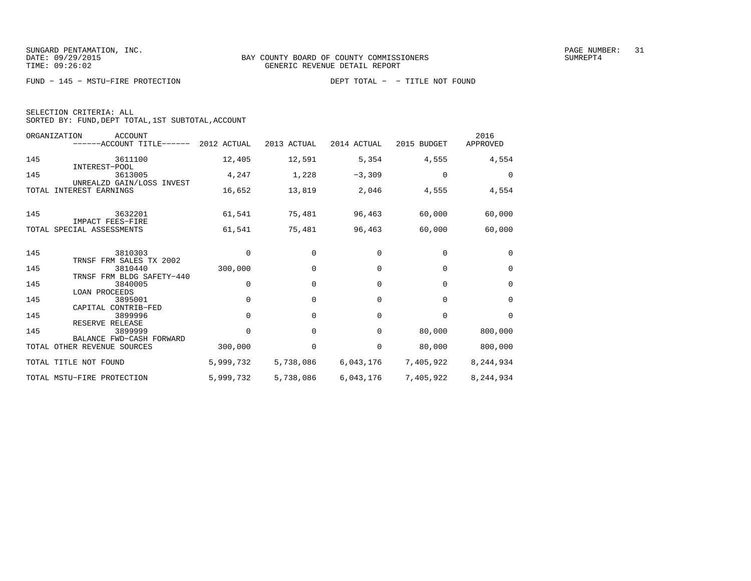FUND − 145 − MSTU−FIRE PROTECTION DEPT TOTAL − − TITLE NOT FOUND

| SELECTION CRITERIA: ALL |  |                                                    |  |
|-------------------------|--|----------------------------------------------------|--|
|                         |  | SORTED BY: FUND, DEPT TOTAL, 1ST SUBTOTAL, ACCOUNT |  |

| ORGANIZATION<br><b>ACCOUNT</b><br>$----ACCOUNT$ TITLE $----2012$ ACTUAL |           | 2013 ACTUAL | 2014 ACTUAL | 2015 BUDGET | 2016<br>APPROVED |
|-------------------------------------------------------------------------|-----------|-------------|-------------|-------------|------------------|
| 145<br>3611100                                                          | 12,405    | 12,591      | 5,354       | 4,555       | 4,554            |
| INTEREST-POOL<br>145<br>3613005                                         | 4,247     | 1,228       | $-3,309$    | $\mathbf 0$ | $\Omega$         |
| UNREALZD GAIN/LOSS INVEST<br>TOTAL INTEREST EARNINGS                    | 16,652    | 13,819      | 2,046       | 4,555       | 4,554            |
| 145<br>3632201                                                          | 61,541    | 75,481      | 96,463      | 60,000      | 60,000           |
| IMPACT FEES-FIRE<br>TOTAL SPECIAL ASSESSMENTS                           | 61,541    | 75,481      | 96,463      | 60,000      | 60,000           |
|                                                                         |           |             |             |             |                  |
| 145<br>3810303<br>TRNSF FRM SALES TX 2002                               | $\Omega$  | 0           | $\Omega$    | $\Omega$    | $\Omega$         |
| 145<br>3810440<br>TRNSF FRM BLDG SAFETY-440                             | 300,000   | $\Omega$    | $\Omega$    | $\Omega$    | $\Omega$         |
| 145<br>3840005<br><b>LOAN PROCEEDS</b>                                  | $\Omega$  | 0           | $\Omega$    | $\Omega$    | $\Omega$         |
| 145<br>3895001                                                          | $\Omega$  | $\Omega$    | $\Omega$    | $\Omega$    | $\Omega$         |
| CAPITAL CONTRIB-FED<br>145<br>3899996                                   | $\Omega$  | $\Omega$    | $\Omega$    | $\Omega$    | $\Omega$         |
| RESERVE RELEASE<br>145<br>3899999                                       | $\Omega$  | $\Omega$    | $\Omega$    | 80,000      | 800,000          |
| BALANCE FWD-CASH FORWARD<br>TOTAL OTHER REVENUE SOURCES                 | 300,000   | 0           | $\mathbf 0$ | 80,000      | 800,000          |
| TOTAL TITLE NOT FOUND                                                   | 5,999,732 | 5,738,086   | 6,043,176   | 7,405,922   | 8,244,934        |
| TOTAL MSTU-FIRE PROTECTION                                              | 5,999,732 | 5,738,086   | 6,043,176   | 7,405,922   | 8,244,934        |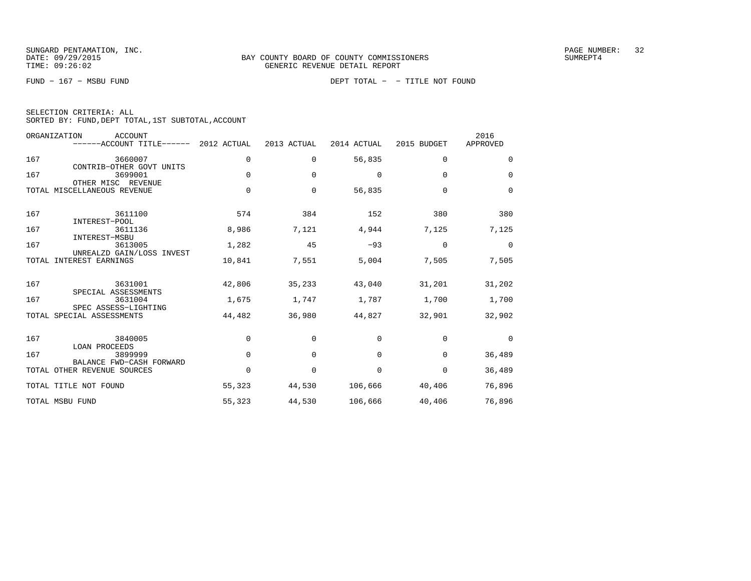FUND − 167 − MSBU FUND DEPT TOTAL − − TITLE NOT FOUND

| SELECTION CRITERIA: ALL |                                                    |  |
|-------------------------|----------------------------------------------------|--|
|                         | SORTED BY: FUND, DEPT TOTAL, 1ST SUBTOTAL, ACCOUNT |  |

|       | ORGANIZATION<br><b>ACCOUNT</b><br>------ACCOUNT TITLE------ | 2012 ACTUAL | 2013 ACTUAL | 2014 ACTUAL | 2015 BUDGET | 2016<br>APPROVED |
|-------|-------------------------------------------------------------|-------------|-------------|-------------|-------------|------------------|
| 167   | 3660007<br>CONTRIB-OTHER GOVT UNITS                         | 0           | $\mathbf 0$ | 56,835      | $\mathbf 0$ | $\Omega$         |
| 167   | 3699001<br>OTHER MISC REVENUE                               | $\Omega$    | $\Omega$    | $\Omega$    | $\Omega$    | $\Omega$         |
|       | TOTAL MISCELLANEOUS REVENUE                                 | $\mathbf 0$ | 0           | 56,835      | $\Omega$    | $\Omega$         |
| 167   | 3611100<br>INTEREST-POOL                                    | 574         | 384         | 152         | 380         | 380              |
| 167   | 3611136<br>INTEREST-MSBU                                    | 8,986       | 7,121       | 4,944       | 7,125       | 7,125            |
| 167   | 3613005<br>UNREALZD GAIN/LOSS INVEST                        | 1,282       | 45          | $-93$       | $\Omega$    | $\Omega$         |
| TOTAL | INTEREST EARNINGS                                           | 10,841      | 7,551       | 5,004       | 7,505       | 7,505            |
| 167   | 3631001<br>SPECIAL ASSESSMENTS                              | 42,806      | 35,233      | 43,040      | 31,201      | 31,202           |
| 167   | 3631004<br>SPEC ASSESS-LIGHTING                             | 1,675       | 1,747       | 1,787       | 1,700       | 1,700            |
|       | TOTAL SPECIAL ASSESSMENTS                                   | 44,482      | 36,980      | 44,827      | 32,901      | 32,902           |
| 167   | 3840005<br><b>LOAN PROCEEDS</b>                             | $\mathbf 0$ | $\Omega$    | $\Omega$    | $\Omega$    | $\Omega$         |
| 167   | 3899999<br>BALANCE FWD-CASH FORWARD                         | $\mathbf 0$ | $\Omega$    | $\Omega$    | $\Omega$    | 36,489           |
|       | TOTAL OTHER REVENUE SOURCES                                 | $\Omega$    | $\Omega$    | $\Omega$    | $\Omega$    | 36,489           |
|       | TOTAL TITLE NOT FOUND                                       | 55,323      | 44,530      | 106,666     | 40,406      | 76,896           |
|       | TOTAL MSBU FUND                                             | 55,323      | 44,530      | 106,666     | 40,406      | 76,896           |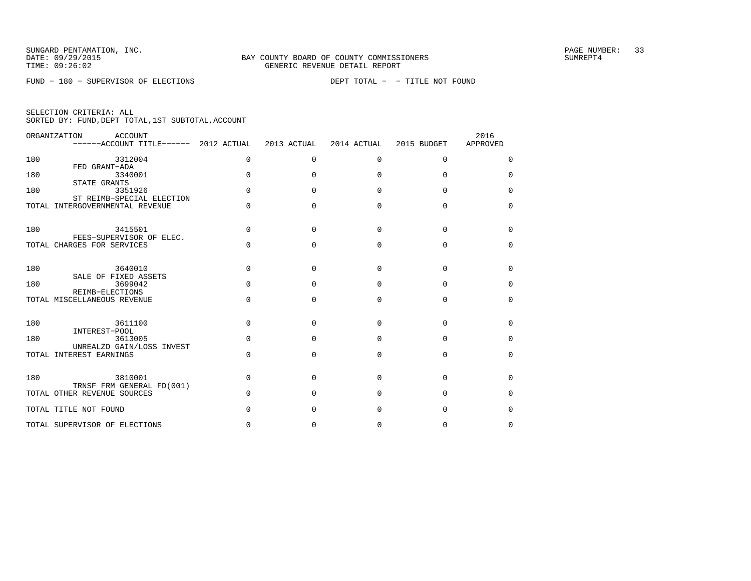FUND − 180 − SUPERVISOR OF ELECTIONS DEPT TOTAL − − TITLE NOT FOUND

|  | SELECTION CRITERIA: ALL |                                                    |
|--|-------------------------|----------------------------------------------------|
|  |                         | SORTED BY: FUND, DEPT TOTAL, 1ST SUBTOTAL, ACCOUNT |

|     | ORGANIZATION<br>ACCOUNT<br>------ACCOUNT TITLE------ 2012 ACTUAL |              | 2013 ACTUAL  | 2014 ACTUAL | 2015 BUDGET | 2016<br>APPROVED |
|-----|------------------------------------------------------------------|--------------|--------------|-------------|-------------|------------------|
| 180 | 3312004<br>FED GRANT-ADA                                         | $\Omega$     | $\Omega$     | $\Omega$    | $\Omega$    | $\Omega$         |
| 180 | 3340001<br>STATE GRANTS                                          | U            | 0            | $\Omega$    | $\Omega$    | $\Omega$         |
| 180 | 3351926<br>ST REIMB-SPECIAL ELECTION                             | U            | U            | $\cap$      | $\cap$      | $\Omega$         |
|     | TOTAL INTERGOVERNMENTAL REVENUE                                  | <sup>n</sup> | U            | $\cap$      | $\Omega$    | $\Omega$         |
| 180 | 3415501<br>FEES-SUPERVISOR OF ELEC.                              | <sup>n</sup> | O            | $\Omega$    | $\Omega$    | $\Omega$         |
|     | TOTAL CHARGES FOR SERVICES                                       | $\cap$       | <sup>0</sup> | $\Omega$    | $\Omega$    | $\Omega$         |
| 180 | 3640010<br>SALE OF FIXED ASSETS                                  |              | O            | $\Omega$    | $\Omega$    | $\Omega$         |
| 180 | 3699042<br>REIMB-ELECTIONS                                       |              | <sup>0</sup> | $\cap$      | $\cap$      | $\Omega$         |
|     | TOTAL MISCELLANEOUS REVENUE                                      | U            | $\Omega$     | $\Omega$    | $\Omega$    | $\Omega$         |
| 180 | 3611100<br>INTEREST-POOL                                         | U            | $\Omega$     | $\Omega$    | $\Omega$    | $\Omega$         |
| 180 | 3613005<br>UNREALZD GAIN/LOSS INVEST                             | $\Omega$     | $\Omega$     | $\Omega$    | $\Omega$    | $\Omega$         |
|     | TOTAL INTEREST EARNINGS                                          | $\Omega$     | $\Omega$     | $\Omega$    | $\Omega$    | $\Omega$         |
| 180 | 3810001<br>TRNSF FRM GENERAL FD(001)                             | $\cap$       | O            | $\Omega$    | $\Omega$    | $\Omega$         |
|     | TOTAL OTHER REVENUE SOURCES                                      | $\cap$       | O            | $\Omega$    | O           | $\Omega$         |
|     | TOTAL TITLE NOT FOUND                                            |              | U            | $\cap$      | $\cap$      | U                |
|     | TOTAL SUPERVISOR OF ELECTIONS                                    |              | O            | $\Omega$    | $\Omega$    | $\Omega$         |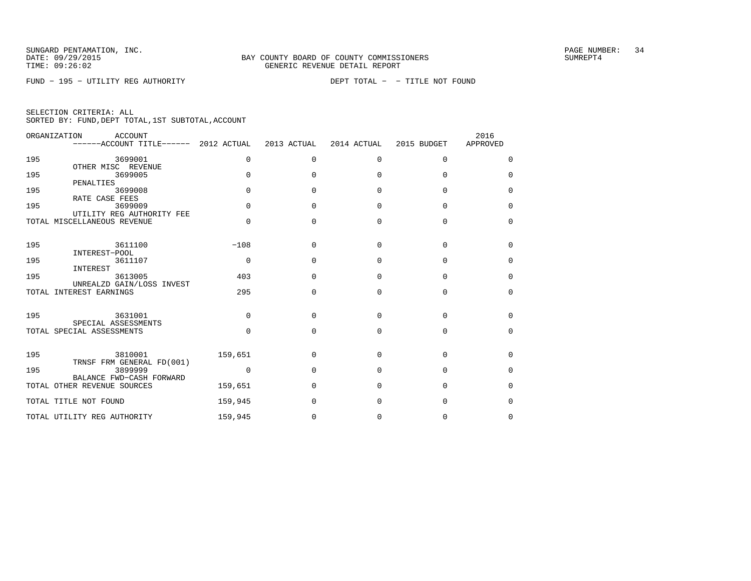FUND − 195 − UTILITY REG AUTHORITY DEPT TOTAL − − TITLE NOT FOUND

| SELECTION CRITERIA: ALL |  |  |                                                    |  |
|-------------------------|--|--|----------------------------------------------------|--|
|                         |  |  | SORTED BY: FUND, DEPT TOTAL, 1ST SUBTOTAL, ACCOUNT |  |

|       | ORGANIZATION<br>ACCOUNT<br>------ACCOUNT TITLE------ | 2012 ACTUAL  | 2013 ACTUAL  | 2014 ACTUAL  | 2015 BUDGET | 2016<br>APPROVED |
|-------|------------------------------------------------------|--------------|--------------|--------------|-------------|------------------|
| 195   | 3699001<br>OTHER MISC REVENUE                        | $\Omega$     | $\Omega$     | 0            | $\Omega$    | $\Omega$         |
| 195   | 3699005<br>PENALTIES                                 | <sup>n</sup> | <sup>0</sup> | $\Omega$     | U           | $\Omega$         |
| 195   | 3699008<br>RATE CASE FEES                            | $\Omega$     | <sup>0</sup> | $\Omega$     | $\Omega$    | $\Omega$         |
| 195   | 3699009<br>UTILITY REG AUTHORITY FEE                 | $\Omega$     | $\Omega$     | $\Omega$     | $\Omega$    | $\Omega$         |
|       | TOTAL MISCELLANEOUS REVENUE                          | $\Omega$     | $\Omega$     | $\Omega$     | $\Omega$    | $\Omega$         |
| 195   | 3611100<br>INTEREST-POOL                             | $-108$       | $\Omega$     | $\Omega$     | $\cap$      | $\Omega$         |
| 195   | 3611107<br>INTEREST                                  | $\mathbf 0$  | $\Omega$     | $\Omega$     | $\cap$      | $\Omega$         |
| 195   | 3613005<br>UNREALZD GAIN/LOSS INVEST                 | 403          | $\Omega$     | $\Omega$     | $\cap$      | $\Omega$         |
| TOTAL | INTEREST EARNINGS                                    | 295          | $\Omega$     | $\Omega$     | $\Omega$    | $\Omega$         |
| 195   | 3631001<br>SPECIAL ASSESSMENTS                       | $\Omega$     | <sup>0</sup> | $\Omega$     | U           | $\Omega$         |
|       | TOTAL SPECIAL ASSESSMENTS                            | <sup>n</sup> | $\Omega$     | $\Omega$     | $\Omega$    | $\Omega$         |
| 195   | 3810001<br>TRNSF FRM GENERAL FD(001)                 | 159,651      | $\Omega$     | $\Omega$     | $\cap$      | $\Omega$         |
| 195   | 3899999<br>BALANCE FWD-CASH FORWARD                  | $\Omega$     | $\cap$       | $\Omega$     | U           | $\Omega$         |
|       | TOTAL OTHER REVENUE SOURCES                          | 159,651      | $\cap$       | U            | U           | $\Omega$         |
|       | TOTAL TITLE NOT FOUND                                | 159,945      | <sup>0</sup> | <sup>0</sup> | U           | $\Omega$         |
|       | TOTAL UTILITY REG AUTHORITY                          | 159,945      | 0            | 0            | O           | <sup>0</sup>     |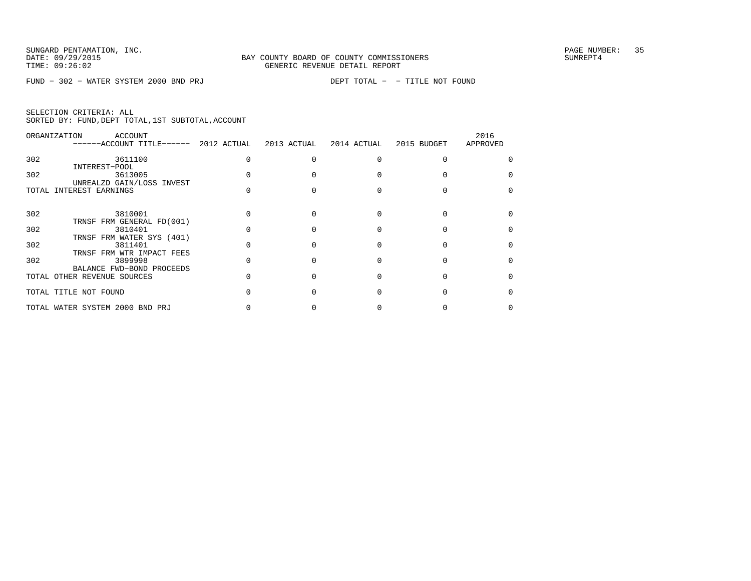FUND − 302 − WATER SYSTEM 2000 BND PRJ DEPT TOTAL − − TITLE NOT FOUND

|  | SELECTION CRITERIA: ALL |  |                                                    |  |
|--|-------------------------|--|----------------------------------------------------|--|
|  |                         |  | SORTED BY: FUND, DEPT TOTAL, 1ST SUBTOTAL, ACCOUNT |  |

| ORGANIZATION | ACCOUNT<br>------ACCOUNT TITLE------ 2012 ACTUAL                  | 2013 ACTUAL | 2014 ACTUAL | 2015 BUDGET | 2016<br>APPROVED |
|--------------|-------------------------------------------------------------------|-------------|-------------|-------------|------------------|
| 302          | 3611100<br>INTEREST-POOL                                          |             |             |             |                  |
| 302          | 3613005<br>UNREALZD GAIN/LOSS INVEST                              |             |             |             |                  |
|              | TOTAL INTEREST EARNINGS                                           |             |             |             |                  |
| 302          | 3810001                                                           |             |             |             |                  |
| 302          | TRNSF FRM GENERAL FD(001)<br>3810401<br>TRNSF FRM WATER SYS (401) |             |             |             |                  |
| 302          | 3811401<br>TRNSF FRM WTR IMPACT FEES                              |             |             |             |                  |
| 302          | 3899998<br>BALANCE FWD-BOND PROCEEDS                              |             |             |             |                  |
|              | TOTAL OTHER REVENUE SOURCES                                       |             |             |             |                  |
|              | TOTAL TITLE NOT FOUND                                             |             |             |             |                  |
|              | TOTAL WATER SYSTEM 2000 BND PRJ                                   |             |             |             |                  |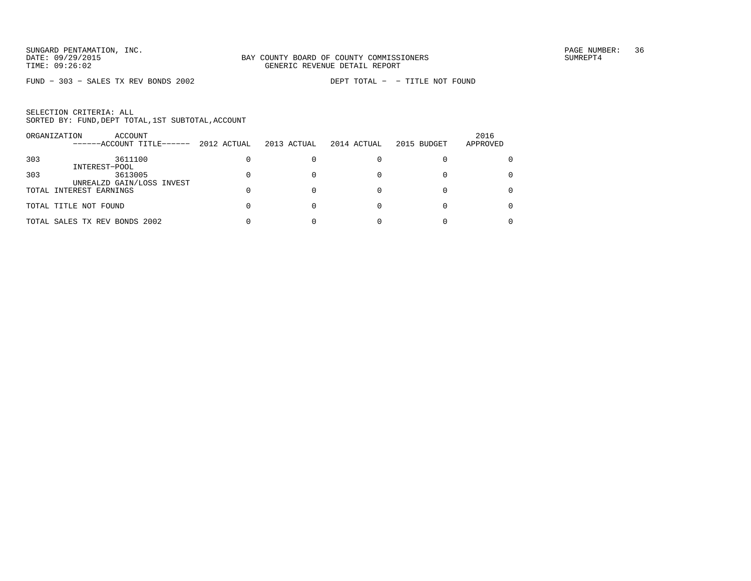FUND − 303 − SALES TX REV BONDS 2002 DEPT TOTAL − − TITLE NOT FOUND

|     | ACCOUNT<br>ORGANIZATION<br>------ACCOUNT TITLE------ | 2012 ACTUAL | 2013 ACTUAL | 2014 ACTUAL | 2015 BUDGET | 2016<br>APPROVED |
|-----|------------------------------------------------------|-------------|-------------|-------------|-------------|------------------|
| 303 | 3611100                                              |             |             |             |             |                  |
|     | INTEREST-POOL                                        |             |             |             |             |                  |
| 303 | 3613005                                              |             |             |             |             |                  |
|     | UNREALZD GAIN/LOSS INVEST                            |             |             |             |             |                  |
|     | TOTAL INTEREST EARNINGS                              |             |             |             |             |                  |
|     |                                                      |             |             |             |             |                  |
|     | TOTAL TITLE NOT FOUND                                |             |             |             |             | 0                |
|     |                                                      |             |             |             |             |                  |
|     | TOTAL SALES TX REV BONDS 2002                        |             |             |             |             |                  |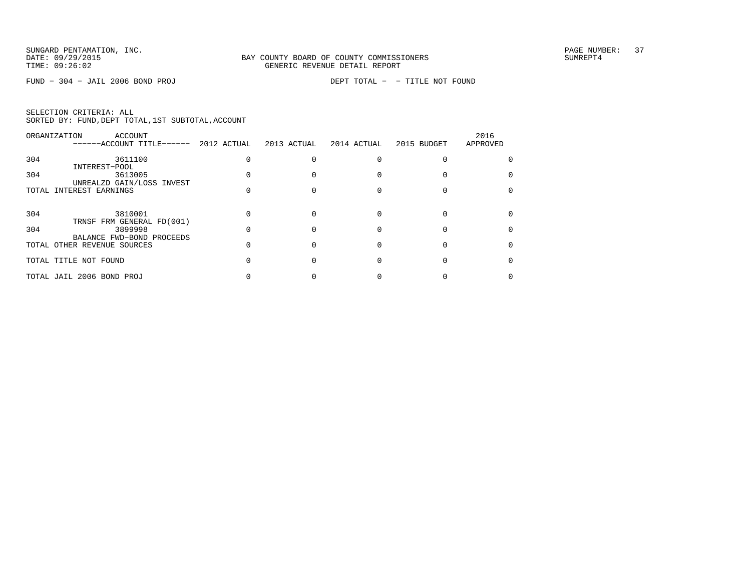FUND − 304 − JAIL 2006 BOND PROJ DEPT TOTAL − − TITLE NOT FOUND

|  | SELECTION CRITERIA: ALL |  |                                                    |  |
|--|-------------------------|--|----------------------------------------------------|--|
|  |                         |  | SORTED BY: FUND, DEPT TOTAL, 1ST SUBTOTAL, ACCOUNT |  |

|     | ORGANIZATION<br>ACCOUNT<br>------ACCOUNT TITLE------     | 2012 ACTUAL | 2013 ACTUAL | 2014 ACTUAL | 2015 BUDGET | 2016<br>APPROVED |
|-----|----------------------------------------------------------|-------------|-------------|-------------|-------------|------------------|
| 304 | 3611100                                                  |             |             |             |             |                  |
| 304 | INTEREST-POOL<br>3613005                                 |             |             |             |             |                  |
|     | UNREALZD GAIN/LOSS INVEST<br>TOTAL INTEREST EARNINGS     |             |             |             |             |                  |
|     |                                                          |             |             |             |             |                  |
| 304 | 3810001<br>TRNSF FRM GENERAL FD(001)                     |             |             |             |             |                  |
| 304 | 3899998                                                  |             |             |             |             |                  |
|     | BALANCE FWD-BOND PROCEEDS<br>TOTAL OTHER REVENUE SOURCES |             |             |             |             |                  |
|     | TOTAL TITLE NOT FOUND                                    |             |             |             |             |                  |
|     | TOTAL JAIL 2006 BOND PROJ                                |             |             |             |             |                  |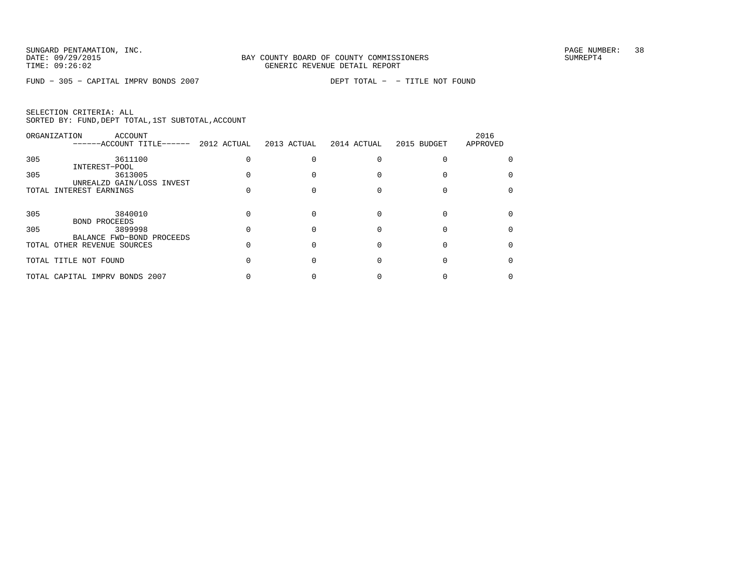FUND − 305 − CAPITAL IMPRV BONDS 2007 DEPT TOTAL − − TITLE NOT FOUND

| SELECTION CRITERIA: ALL |  |  |                                                    |  |
|-------------------------|--|--|----------------------------------------------------|--|
|                         |  |  | SORTED BY: FUND, DEPT TOTAL, 1ST SUBTOTAL, ACCOUNT |  |

|     | ORGANIZATION<br>ACCOUNT<br>------ACCOUNT TITLE------     | 2012 ACTUAL 2013 ACTUAL | 2014 ACTUAL | 2015 BUDGET | 2016<br>APPROVED |
|-----|----------------------------------------------------------|-------------------------|-------------|-------------|------------------|
| 305 | 3611100<br>INTEREST-POOL                                 |                         |             |             |                  |
| 305 | 3613005<br>UNREALZD GAIN/LOSS INVEST                     |                         |             |             |                  |
|     | TOTAL INTEREST EARNINGS                                  |                         |             |             |                  |
| 305 | 3840010                                                  |                         |             |             |                  |
| 305 | <b>BOND PROCEEDS</b><br>3899998                          |                         |             |             |                  |
|     | BALANCE FWD-BOND PROCEEDS<br>TOTAL OTHER REVENUE SOURCES |                         |             |             |                  |
|     | TOTAL TITLE NOT FOUND                                    |                         |             |             |                  |
|     | TOTAL CAPITAL IMPRV BONDS 2007                           |                         |             |             |                  |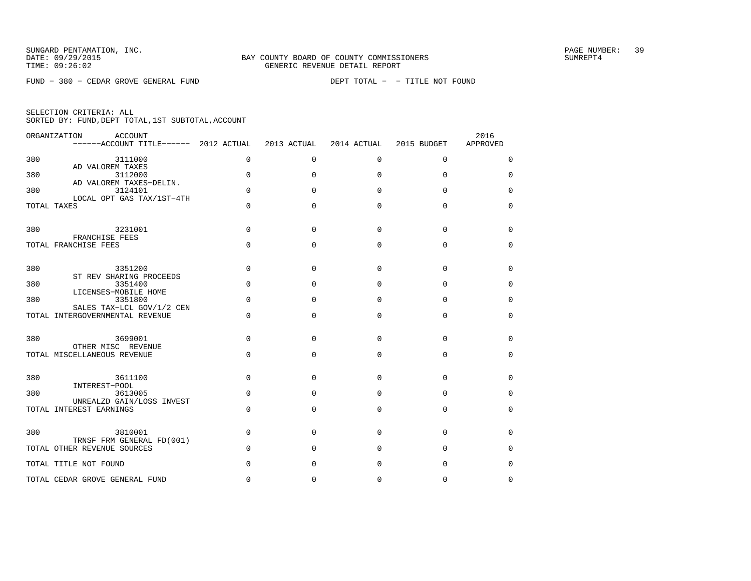FUND − 380 − CEDAR GROVE GENERAL FUND DEPT TOTAL − − TITLE NOT FOUND

| SELECTION CRITERIA: ALL |  |  |                                                    |  |
|-------------------------|--|--|----------------------------------------------------|--|
|                         |  |  | SORTED BY: FUND, DEPT TOTAL, 1ST SUBTOTAL, ACCOUNT |  |

|     | ORGANIZATION<br>ACCOUNT<br>$----ACCOUNT$ TITLE $----$ 2012 ACTUAL |             | 2013 ACTUAL | 2014 ACTUAL  | 2015 BUDGET | 2016<br>APPROVED |
|-----|-------------------------------------------------------------------|-------------|-------------|--------------|-------------|------------------|
| 380 | 3111000                                                           | 0           | $\Omega$    | $\Omega$     | $\mathbf 0$ | 0                |
| 380 | AD VALOREM TAXES<br>3112000                                       | $\Omega$    | $\Omega$    | $\Omega$     | $\Omega$    | $\Omega$         |
| 380 | AD VALOREM TAXES-DELIN.<br>3124101                                | $\mathbf 0$ | 0           | <sup>0</sup> | $\Omega$    | 0                |
|     | LOCAL OPT GAS TAX/1ST-4TH<br>TOTAL TAXES                          | $\Omega$    | O           | $\Omega$     | $\Omega$    | $\Omega$         |
| 380 | 3231001<br>FRANCHISE FEES                                         | $\Omega$    | $\Omega$    | $\Omega$     | $\Omega$    | 0                |
|     | TOTAL FRANCHISE FEES                                              | 0           | $\Omega$    | $\Omega$     | $\Omega$    | $\mathbf 0$      |
| 380 | 3351200<br>ST REV SHARING PROCEEDS                                | 0           | $\Omega$    | $\Omega$     | $\Omega$    | 0                |
| 380 | 3351400<br>LICENSES-MOBILE HOME                                   | $\Omega$    | $\Omega$    | $\Omega$     | $\Omega$    | $\mathbf 0$      |
| 380 | 3351800<br>SALES TAX-LCL GOV/1/2 CEN                              | $\Omega$    | O           | $\Omega$     | $\Omega$    | 0                |
|     | TOTAL INTERGOVERNMENTAL REVENUE                                   | $\Omega$    | $\Omega$    | $\Omega$     | $\Omega$    | $\Omega$         |
| 380 | 3699001<br>OTHER MISC REVENUE                                     | $\Omega$    | O           | $\Omega$     | $\Omega$    | $\Omega$         |
|     | TOTAL MISCELLANEOUS REVENUE                                       | $\Omega$    | $\Omega$    | $\Omega$     | $\Omega$    | 0                |
| 380 | 3611100<br>INTEREST-POOL                                          | 0           | 0           | $\Omega$     | $\Omega$    | 0                |
| 380 | 3613005<br>UNREALZD GAIN/LOSS INVEST                              | $\Omega$    | O           | $\Omega$     | $\Omega$    | $\mathbf 0$      |
|     | TOTAL INTEREST EARNINGS                                           | $\Omega$    | $\Omega$    | $\Omega$     | $\Omega$    | $\mathbf 0$      |
| 380 | 3810001<br>TRNSF FRM GENERAL FD(001)                              | 0           | $\Omega$    | $\Omega$     | $\Omega$    | 0                |
|     | TOTAL OTHER REVENUE SOURCES                                       | $\Omega$    | $\Omega$    | $\Omega$     | $\Omega$    | $\mathbf 0$      |
|     | TOTAL TITLE NOT FOUND                                             | $\Omega$    | O           | $\Omega$     | $\Omega$    | 0                |
|     | TOTAL CEDAR GROVE GENERAL FUND                                    | $\Omega$    | 0           | 0            | 0           | $\Omega$         |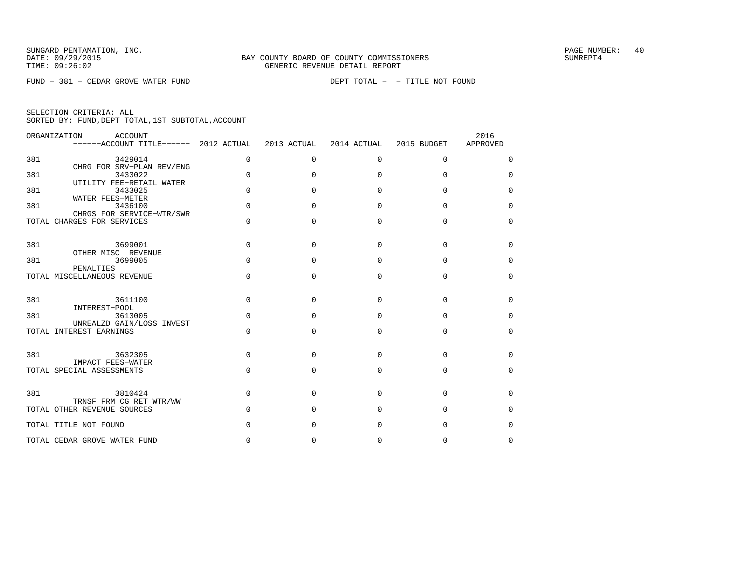FUND − 381 − CEDAR GROVE WATER FUND DEPT TOTAL − − TITLE NOT FOUND

|  | SELECTION CRITERIA: ALL |  |                                                    |  |
|--|-------------------------|--|----------------------------------------------------|--|
|  |                         |  | SORTED BY: FUND, DEPT TOTAL, 1ST SUBTOTAL, ACCOUNT |  |

|     | ORGANIZATION<br>ACCOUNT<br>------ACCOUNT TITLE------ 2012 ACTUAL |              | 2013 ACTUAL  | 2014 ACTUAL  | 2015 BUDGET | 2016<br>APPROVED |
|-----|------------------------------------------------------------------|--------------|--------------|--------------|-------------|------------------|
| 381 | 3429014                                                          | $\Omega$     | $\mathbf 0$  | $\mathbf 0$  | $\mathbf 0$ | $\Omega$         |
| 381 | CHRG FOR SRV-PLAN REV/ENG<br>3433022<br>UTILITY FEE-RETAIL WATER | $\Omega$     | $\Omega$     | $\Omega$     | $\Omega$    | $\Omega$         |
| 381 | 3433025<br>WATER FEES-METER                                      | $\Omega$     | $\cap$       | $\Omega$     | $\Omega$    | $\Omega$         |
| 381 | 3436100<br>CHRGS FOR SERVICE-WTR/SWR                             | $\Omega$     | $\cap$       | $\Omega$     | $\Omega$    | $\Omega$         |
|     | TOTAL CHARGES FOR SERVICES                                       | $\Omega$     | $\Omega$     | $\Omega$     | $\Omega$    | $\Omega$         |
| 381 | 3699001                                                          | $\Omega$     | $\Omega$     | $\Omega$     | $\Omega$    | $\Omega$         |
| 381 | OTHER MISC REVENUE<br>3699005<br>PENALTIES                       | <sup>0</sup> | $\Omega$     | $\Omega$     | $\Omega$    | $\Omega$         |
|     | TOTAL MISCELLANEOUS REVENUE                                      | $\Omega$     | $\Omega$     | $\Omega$     | $\Omega$    | 0                |
| 381 | 3611100                                                          | $\Omega$     | $\Omega$     | 0            | $\Omega$    | $\Omega$         |
| 381 | INTEREST-POOL<br>3613005                                         | $\Omega$     | $\Omega$     | $\Omega$     | $\Omega$    | $\Omega$         |
|     | UNREALZD GAIN/LOSS INVEST<br>TOTAL INTEREST EARNINGS             | $\Omega$     | $\Omega$     | $\Omega$     | $\Omega$    | $\Omega$         |
| 381 | 3632305                                                          | $\Omega$     | $\Omega$     | $\Omega$     | $\Omega$    | $\Omega$         |
|     | IMPACT FEES-WATER<br>TOTAL SPECIAL ASSESSMENTS                   | $\Omega$     | $\Omega$     | $\Omega$     | $\Omega$    | $\Omega$         |
| 381 | 3810424                                                          | $\Omega$     | $\Omega$     | <sup>0</sup> | $\Omega$    | $\Omega$         |
|     | TRNSF FRM CG RET WTR/WW<br>TOTAL OTHER REVENUE SOURCES           | <sup>n</sup> | <sup>n</sup> | <sup>0</sup> | $\Omega$    | <sup>0</sup>     |
|     | TOTAL TITLE NOT FOUND                                            | O            | <sup>0</sup> | $\Omega$     | $\Omega$    | $\Omega$         |
|     | TOTAL CEDAR GROVE WATER FUND                                     | <sup>n</sup> | $\Omega$     | $\Omega$     | $\Omega$    | $\Omega$         |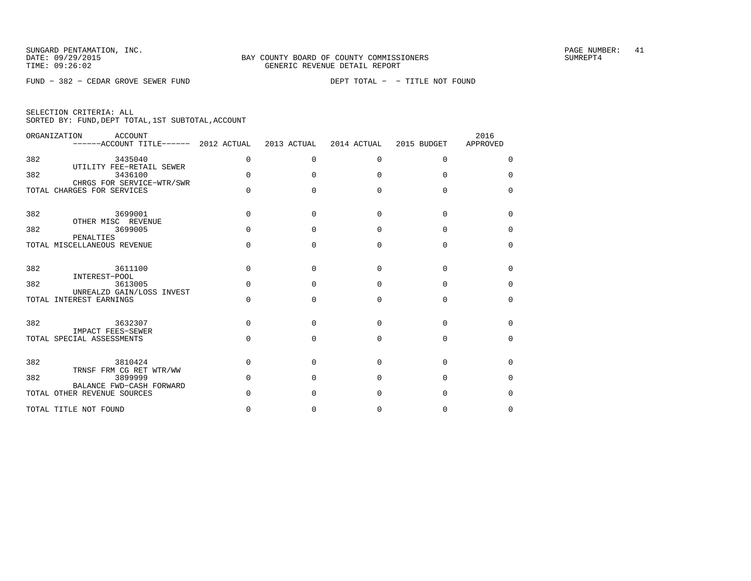FUND − 382 − CEDAR GROVE SEWER FUND DEPT TOTAL − − TITLE NOT FOUND

|     | ORGANIZATION<br>ACCOUNT<br>------ACCOUNT TITLE------ 2012 ACTUAL |          | 2013 ACTUAL  | 2014 ACTUAL  | 2015 BUDGET | 2016<br>APPROVED |
|-----|------------------------------------------------------------------|----------|--------------|--------------|-------------|------------------|
| 382 | 3435040<br>UTILITY FEE-RETAIL SEWER                              | 0        | $\Omega$     | $\Omega$     | $\Omega$    | $\Omega$         |
| 382 | 3436100<br>CHRGS FOR SERVICE-WTR/SWR                             | $\Omega$ | U            | $\cap$       | $\cap$      | $\Omega$         |
|     | TOTAL CHARGES FOR SERVICES                                       | $\Omega$ | U            | $\cap$       | $\Omega$    | $\Omega$         |
| 382 | 3699001<br>OTHER MISC REVENUE                                    | $\Omega$ | <sup>n</sup> | $\cap$       | $\cap$      | $\Omega$         |
| 382 | 3699005<br>PENALTIES                                             | $\Omega$ | <sup>n</sup> | <sup>n</sup> | $\Omega$    | $\Omega$         |
|     | TOTAL MISCELLANEOUS REVENUE                                      | $\Omega$ | <sup>n</sup> | $\cap$       | $\cap$      | $\Omega$         |
| 382 | 3611100<br>INTEREST-POOL                                         | $\Omega$ | <sup>n</sup> | $\cap$       | $\cap$      | $\Omega$         |
| 382 | 3613005<br>UNREALZD GAIN/LOSS INVEST                             | $\Omega$ | U            | $\Omega$     | $\Omega$    | $\Omega$         |
|     | TOTAL INTEREST EARNINGS                                          | $\Omega$ | <sup>n</sup> | $\cap$       | $\cap$      | $\Omega$         |
| 382 | 3632307<br><b>IMPACT FEES-SEWER</b>                              | $\Omega$ | <sup>n</sup> | $\cap$       | $\cap$      | $\Omega$         |
|     | TOTAL SPECIAL ASSESSMENTS                                        | $\Omega$ | <sup>n</sup> | $\cap$       | $\Omega$    | $\Omega$         |
| 382 | 3810424                                                          | $\Omega$ | n            | $\cap$       | $\cap$      | $\Omega$         |
| 382 | TRNSF FRM CG RET WTR/WW<br>3899999<br>BALANCE FWD-CASH FORWARD   | $\Omega$ | U            | <sup>n</sup> | U           | $\Omega$         |
|     | TOTAL OTHER REVENUE SOURCES                                      | U        |              | $\cap$       | U           | $\Omega$         |
|     | TOTAL TITLE NOT FOUND                                            | 0        | O            | <sup>0</sup> | $\Omega$    | $\Omega$         |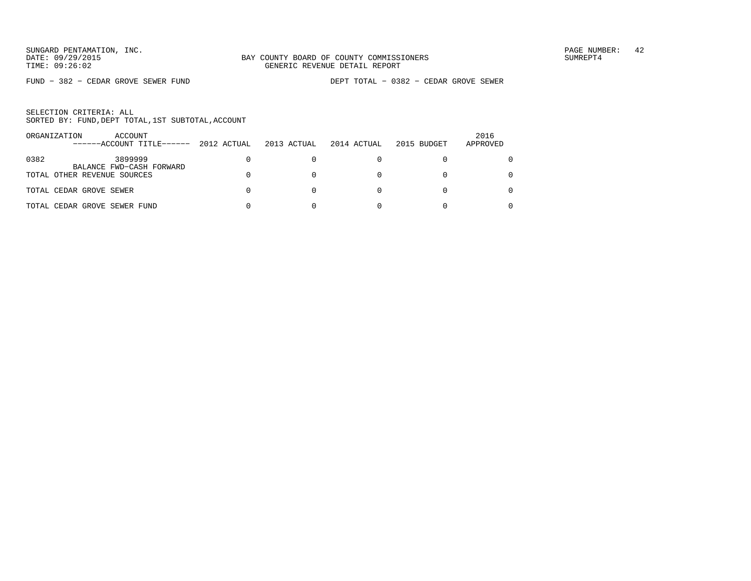FUND − 382 − CEDAR GROVE SEWER FUND DEPT TOTAL − 0382 − CEDAR GROVE SEWER

|      | ORGANIZATION<br>ACCOUNT<br>------ACCOUNT TITLE------ | 2012 ACTUAL | 2013 ACTUAL | 2014 ACTUAL | 2015 BUDGET | 2016<br>APPROVED |
|------|------------------------------------------------------|-------------|-------------|-------------|-------------|------------------|
| 0382 | 3899999<br>BALANCE FWD-CASH FORWARD                  |             |             |             |             |                  |
|      | TOTAL OTHER REVENUE SOURCES                          |             |             |             |             | 0                |
|      | TOTAL CEDAR GROVE SEWER                              |             |             |             |             |                  |
|      | TOTAL CEDAR GROVE SEWER FUND                         |             |             |             |             |                  |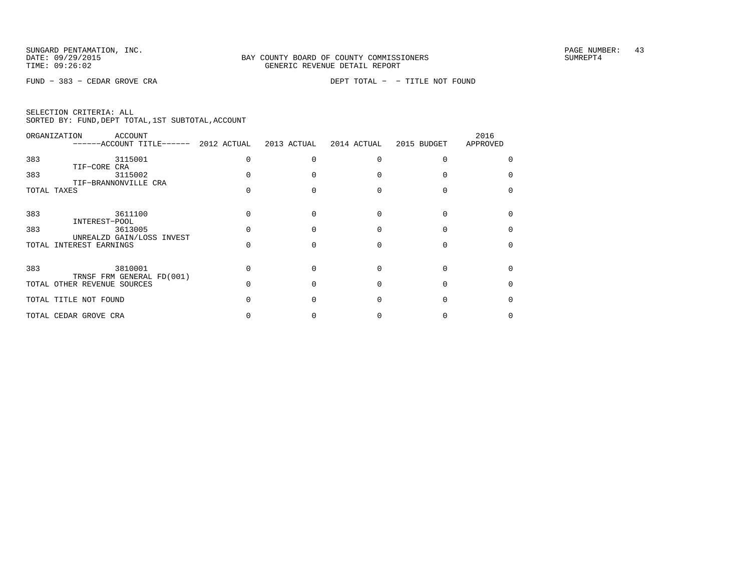FUND − 383 − CEDAR GROVE CRA DEPT TOTAL − − TITLE NOT FOUND

|  | SELECTION CRITERIA: ALL |                                                    |  |
|--|-------------------------|----------------------------------------------------|--|
|  |                         | SORTED BY: FUND, DEPT TOTAL, 1ST SUBTOTAL, ACCOUNT |  |

| ORGANIZATION | <b>ACCOUNT</b><br>------ACCOUNT TITLE------ 2012 ACTUAL  | 2013 ACTUAL | 2014 ACTUAL | 2015 BUDGET | 2016<br>APPROVED |
|--------------|----------------------------------------------------------|-------------|-------------|-------------|------------------|
| 383          | 3115001                                                  |             |             |             |                  |
| 383          | TIF-CORE CRA<br>3115002                                  |             |             |             |                  |
| TOTAL TAXES  | TIF-BRANNONVILLE CRA                                     |             |             |             |                  |
| 383          | 3611100                                                  |             |             |             |                  |
| 383          | INTEREST-POOL<br>3613005                                 |             |             |             |                  |
| TOTAL        | UNREALZD GAIN/LOSS INVEST<br>INTEREST EARNINGS           |             |             |             |                  |
| 383          | 3810001                                                  |             |             |             |                  |
|              | TRNSF FRM GENERAL FD(001)<br>TOTAL OTHER REVENUE SOURCES |             |             |             |                  |
|              | TOTAL TITLE NOT FOUND                                    |             |             |             |                  |
|              | TOTAL CEDAR GROVE CRA                                    |             |             |             |                  |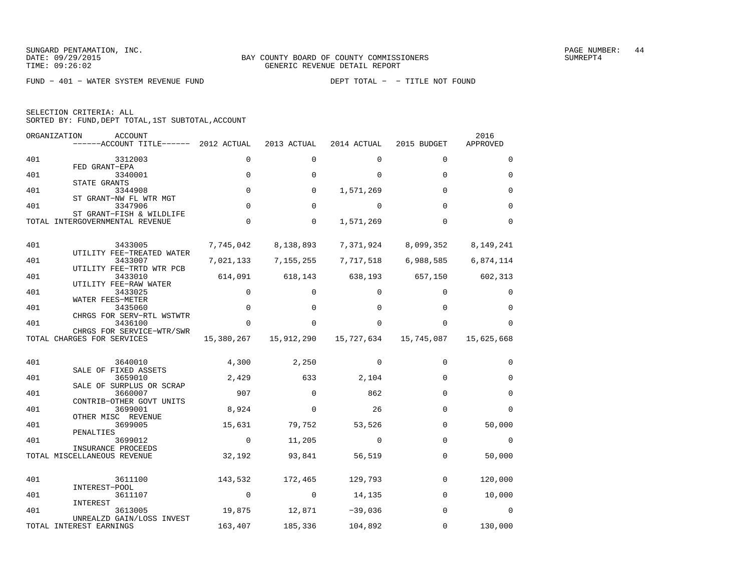FUND − 401 − WATER SYSTEM REVENUE FUND DEPT TOTAL − − TITLE NOT FOUND

| SELECTION CRITERIA: ALL |  |                                                 |  |
|-------------------------|--|-------------------------------------------------|--|
|                         |  | SORTED BY: FUND,DEPT TOTAL,1ST SUBTOTAL,ACCOUNT |  |

|     | ORGANIZATION<br><b>ACCOUNT</b><br>------ACCOUNT TITLE------ 2012 ACTUAL |             | 2013 ACTUAL  | 2014 ACTUAL | 2015 BUDGET | 2016<br>APPROVED |
|-----|-------------------------------------------------------------------------|-------------|--------------|-------------|-------------|------------------|
| 401 | 3312003                                                                 | $\mathbf 0$ | $\Omega$     | $\Omega$    | $\Omega$    | $\Omega$         |
| 401 | FED GRANT-EPA<br>3340001                                                | $\mathbf 0$ | $\Omega$     | $\Omega$    | $\Omega$    | $\mathbf 0$      |
| 401 | STATE GRANTS<br>3344908<br>ST GRANT-NW FL WTR MGT                       | $\mathbf 0$ | 0            | 1,571,269   | $\Omega$    | $\mathbf 0$      |
| 401 | 3347906<br>ST GRANT-FISH & WILDLIFE                                     | $\mathbf 0$ | 0            | 0           | $\Omega$    | $\Omega$         |
|     | TOTAL INTERGOVERNMENTAL REVENUE                                         | $\mathbf 0$ | $\mathbf 0$  | 1,571,269   | $\Omega$    | $\Omega$         |
| 401 | 3433005                                                                 | 7,745,042   | 8,138,893    | 7,371,924   | 8,099,352   | 8,149,241        |
| 401 | UTILITY FEE-TREATED WATER<br>3433007                                    | 7,021,133   | 7,155,255    | 7,717,518   | 6,988,585   | 6,874,114        |
| 401 | UTILITY FEE-TRTD WTR PCB<br>3433010                                     | 614,091     | 618,143      | 638,193     | 657,150     | 602,313          |
| 401 | UTILITY FEE-RAW WATER<br>3433025                                        | 0           | 0            | 0           | 0           | 0                |
| 401 | WATER FEES-METER<br>3435060<br>CHRGS FOR SERV-RTL WSTWTR                | $\mathbf 0$ | $\Omega$     | $\Omega$    | $\Omega$    | $\Omega$         |
| 401 | 3436100<br>CHRGS FOR SERVICE-WTR/SWR                                    | $\Omega$    | <sup>0</sup> | $\Omega$    | $\Omega$    | $\Omega$         |
|     | TOTAL CHARGES FOR SERVICES                                              | 15,380,267  | 15,912,290   | 15,727,634  | 15,745,087  | 15,625,668       |
| 401 | 3640010                                                                 | 4,300       | 2,250        | $\Omega$    | $\Omega$    | $\Omega$         |
| 401 | SALE OF FIXED ASSETS<br>3659010                                         | 2,429       | 633          | 2,104       | $\Omega$    | $\Omega$         |
| 401 | SALE OF SURPLUS OR SCRAP<br>3660007                                     | 907         | $\Omega$     | 862         | $\Omega$    | $\Omega$         |
| 401 | CONTRIB-OTHER GOVT UNITS<br>3699001<br>OTHER MISC REVENUE               | 8,924       | $\Omega$     | 26          | $\Omega$    | $\Omega$         |
| 401 | 3699005<br>PENALTIES                                                    | 15,631      | 79,752       | 53,526      | $\Omega$    | 50,000           |
| 401 | 3699012<br>INSURANCE PROCEEDS                                           | $\mathbf 0$ | 11,205       | 0           | $\Omega$    | $\mathbf 0$      |
|     | TOTAL MISCELLANEOUS REVENUE                                             | 32,192      | 93,841       | 56,519      | 0           | 50,000           |
| 401 | 3611100                                                                 | 143,532     | 172,465      | 129,793     | $\Omega$    | 120,000          |
| 401 | INTEREST-POOL<br>3611107                                                | $\mathbf 0$ | 0            | 14,135      | $\Omega$    | 10,000           |
| 401 | INTEREST<br>3613005                                                     | 19,875      | 12,871       | $-39,036$   | $\Omega$    | 0                |
|     | UNREALZD GAIN/LOSS INVEST<br>TOTAL INTEREST EARNINGS                    | 163,407     | 185,336      | 104,892     | $\Omega$    | 130,000          |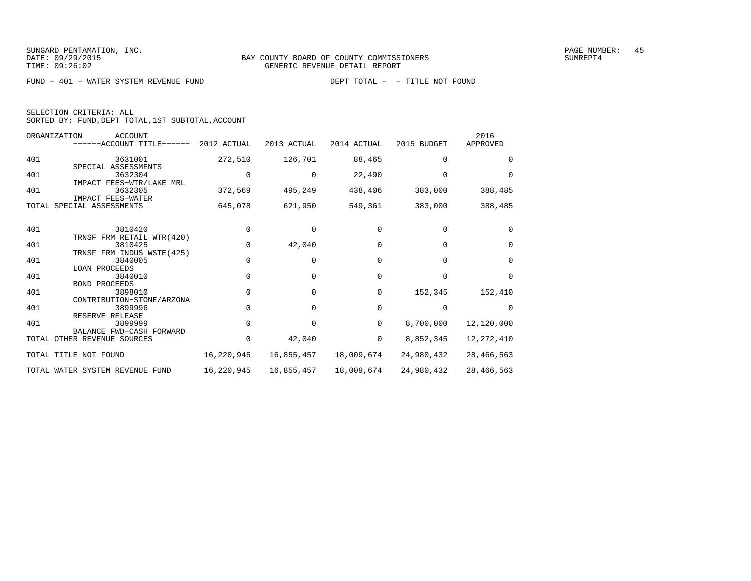FUND − 401 − WATER SYSTEM REVENUE FUND DEPT TOTAL − − TITLE NOT FOUND

| SELECTION CRITERIA: ALL |  |  |                                                    |  |
|-------------------------|--|--|----------------------------------------------------|--|
|                         |  |  | SORTED BY: FUND, DEPT TOTAL, 1ST SUBTOTAL, ACCOUNT |  |

|       | ORGANIZATION<br><b>ACCOUNT</b><br>------ACCOUNT TITLE------ 2012 ACTUAL |            | 2013 ACTUAL | 2014 ACTUAL | 2015 BUDGET  | 2016<br>APPROVED |
|-------|-------------------------------------------------------------------------|------------|-------------|-------------|--------------|------------------|
| 401   | 3631001                                                                 | 272,510    | 126,701     | 88,465      | 0            | <sup>0</sup>     |
|       | SPECIAL ASSESSMENTS                                                     |            |             |             |              |                  |
| 401   | 3632304                                                                 |            |             | 22,490      |              | $\Omega$         |
|       | IMPACT FEES-WTR/LAKE MRL                                                |            |             |             |              |                  |
| 401   | 3632305                                                                 | 372,569    | 495,249     | 438,406     | 383,000      | 388,485          |
|       | IMPACT FEES-WATER                                                       |            |             |             |              |                  |
| TOTAL | SPECIAL ASSESSMENTS                                                     | 645,078    | 621,950     | 549,361     | 383,000      | 388,485          |
| 401   | 3810420                                                                 |            | 0           | $\Omega$    | $\Omega$     | $\Omega$         |
|       | TRNSF FRM RETAIL WTR(420)                                               |            |             |             |              |                  |
| 401   | 3810425                                                                 |            | 42,040      |             | $\Omega$     | $\Omega$         |
|       | TRNSF FRM INDUS WSTE (425)                                              |            |             |             |              |                  |
| 401   | 3840005                                                                 | $\Omega$   | 0           | $\Omega$    | $\Omega$     | $\Omega$         |
|       | <b>LOAN PROCEEDS</b>                                                    |            |             |             |              |                  |
| 401   | 3840010                                                                 |            | $\Omega$    | $\Omega$    | <sup>n</sup> | $\Omega$         |
|       | <b>BOND PROCEEDS</b>                                                    |            |             |             |              |                  |
| 401   | 3898010                                                                 |            | 0           | 0           | 152,345      | 152,410          |
|       | CONTRIBUTION-STONE/ARZONA                                               |            |             |             |              |                  |
| 401   | 3899996                                                                 |            |             | $\Omega$    | $\Omega$     | $\Omega$         |
|       | RESERVE RELEASE                                                         |            |             |             |              |                  |
| 401   | 3899999                                                                 |            | 0           | 0           | 8,700,000    | 12,120,000       |
|       | BALANCE FWD-CASH FORWARD                                                |            |             |             |              |                  |
|       | TOTAL OTHER REVENUE SOURCES                                             |            | 42,040      | 0           | 8,852,345    | 12, 272, 410     |
|       | TOTAL TITLE NOT FOUND                                                   | 16,220,945 | 16,855,457  | 18,009,674  | 24,980,432   | 28, 466, 563     |
|       | TOTAL WATER SYSTEM REVENUE FUND                                         | 16,220,945 | 16,855,457  | 18,009,674  | 24,980,432   | 28,466,563       |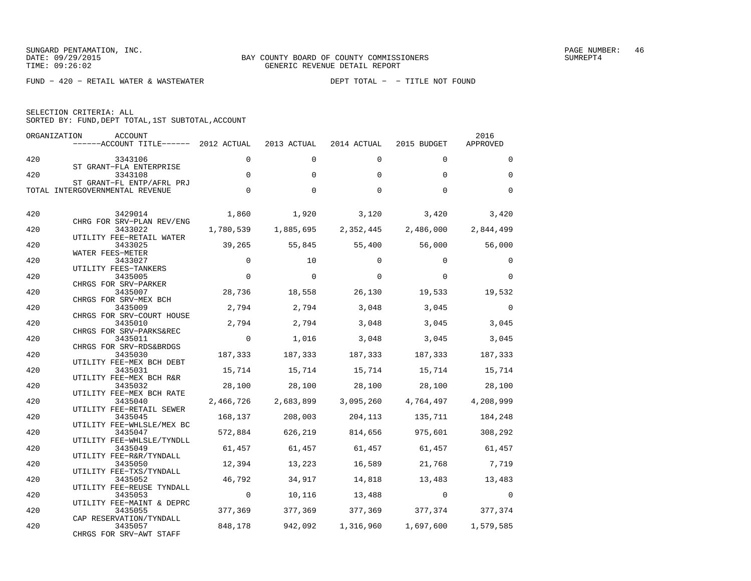FUND − 420 − RETAIL WATER & WASTEWATER DEPT TOTAL − − TITLE NOT FOUND

| SELECTION CRITERIA: ALL |                                                    |
|-------------------------|----------------------------------------------------|
|                         | SORTED BY: FUND, DEPT TOTAL, 1ST SUBTOTAL, ACCOUNT |

|     | ORGANIZATION<br>ACCOUNT<br>------ACCOUNT TITLE------ 2012 ACTUAL |                | 2013 ACTUAL | 2014 ACTUAL       | 2015 BUDGET             | 2016<br>APPROVED |
|-----|------------------------------------------------------------------|----------------|-------------|-------------------|-------------------------|------------------|
| 420 | 3343106<br>ST GRANT-FLA ENTERPRISE                               | $\Omega$       | $\Omega$    | $\Omega$          | $\Omega$                | $\Omega$         |
| 420 | 3343108<br>ST GRANT-FL ENTP/AFRL PRJ                             | $\Omega$       | $\Omega$    | $\Omega$          | $\Omega$                | $\Omega$         |
|     | TOTAL INTERGOVERNMENTAL REVENUE                                  | $\Omega$       | $\Omega$    | $\Omega$          | $\Omega$                | $\Omega$         |
| 420 | 3429014                                                          | 1,860          | 1,920       | 3,120             | 3,420                   | 3,420            |
| 420 | CHRG FOR SRV-PLAN REV/ENG<br>3433022                             | 1,780,539      | 1,885,695   | 2,352,445         | 2,486,000               | 2,844,499        |
|     | UTILITY FEE-RETAIL WATER                                         |                |             |                   |                         |                  |
| 420 | 3433025<br>WATER FEES-METER                                      | 39,265         | 55,845      | 55,400            | 56,000                  | 56,000           |
| 420 | 3433027<br>UTILITY FEES-TANKERS                                  | $\Omega$       | 10          | $\Omega$          | $\Omega$                | $\Omega$         |
| 420 | 3435005                                                          | $\mathbf 0$    | $\Omega$    | $\Omega$          | $\Omega$                | $\mathbf{0}$     |
| 420 | CHRGS FOR SRV-PARKER<br>3435007                                  | 28,736         | 18,558      | 26,130            | 19,533                  | 19,532           |
| 420 | CHRGS FOR SRV-MEX BCH<br>3435009                                 | 2,794          | 2,794       | 3,048             | 3,045                   | $\mathbf 0$      |
|     | CHRGS FOR SRV-COURT HOUSE                                        |                |             |                   |                         |                  |
| 420 | 3435010<br>CHRGS FOR SRV-PARKS&REC                               | 2,794          | 2,794       | 3,048             | 3,045                   | 3,045            |
| 420 | 3435011<br>CHRGS FOR SRV-RDS&BRDGS                               | $\Omega$       | 1,016       | 3,048             | 3,045                   | 3,045            |
| 420 | 3435030                                                          | 187,333        | 187,333     | 187,333           | 187,333                 | 187,333          |
| 420 | UTILITY FEE-MEX BCH DEBT<br>3435031                              | 15,714         | 15,714      | 15,714            | 15,714                  | 15,714           |
| 420 | UTILITY FEE-MEX BCH R&R<br>3435032                               | 28,100         | 28,100      | 28,100            | 28,100                  | 28,100           |
|     | UTILITY FEE-MEX BCH RATE                                         |                |             |                   |                         |                  |
| 420 | 3435040<br>UTILITY FEE-RETAIL SEWER                              | 2,466,726      | 2,683,899   | 3,095,260         | 4,764,497               | 4,208,999        |
| 420 | 3435045                                                          | 168,137        | 208,003     | 204,113           | 135,711                 | 184,248          |
| 420 | UTILITY FEE-WHLSLE/MEX BC<br>3435047                             | 572,884        | 626,219     | 814,656           | 975,601                 | 308,292          |
| 420 | UTILITY FEE-WHLSLE/TYNDLL<br>3435049                             | 61,457         | 61,457      | 61,457            | 61,457 61,457           |                  |
|     | UTILITY FEE-R&R/TYNDALL                                          |                |             |                   |                         |                  |
| 420 | 3435050<br>UTILITY FEE-TXS/TYNDALL                               | 12,394         | 13,223      | 16,589            | 21,768                  | 7,719            |
| 420 | 3435052                                                          | 46,792         | 34,917      | 14,818            | 13,483                  | 13,483           |
| 420 | UTILITY FEE-REUSE TYNDALL<br>3435053                             | $\overline{0}$ | 10,116      | 13,488            | $\overline{0}$          | $\Omega$         |
| 420 | UTILITY FEE-MAINT & DEPRC<br>3435055                             | 377,369        | 377,369     |                   | 377,369 377,374 377,374 |                  |
|     | CAP RESERVATION/TYNDALL                                          |                |             |                   |                         |                  |
| 420 | 3435057<br>CHRGS FOR SRV-AWT STAFF                               | 848,178        |             | 942,092 1,316,960 | 1,697,600               | 1,579,585        |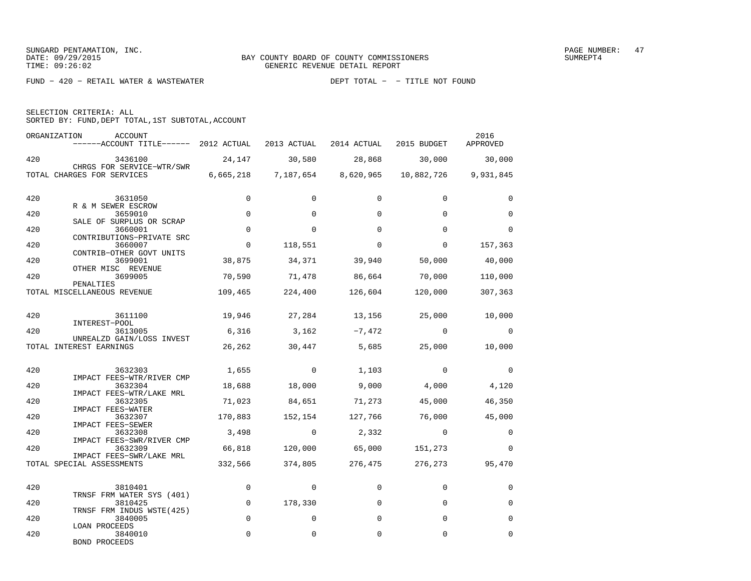| SELECTION CRITERIA: ALL |  |                                                    |  |
|-------------------------|--|----------------------------------------------------|--|
|                         |  | SORTED BY: FUND, DEPT TOTAL, 1ST SUBTOTAL, ACCOUNT |  |

|     | ORGANIZATION<br>ACCOUNT<br>------ACCOUNT TITLE------ 2012 ACTUAL 2013 ACTUAL 2014 ACTUAL 2015 BUDGET |             |                |                         |                                                    | 2016<br>APPROVED |
|-----|------------------------------------------------------------------------------------------------------|-------------|----------------|-------------------------|----------------------------------------------------|------------------|
| 420 | 3436100                                                                                              |             |                | 24, 147 30, 580 28, 868 | 30,000 30,000                                      |                  |
|     | CHRGS FOR SERVICE-WTR/SWR<br>TOTAL CHARGES FOR SERVICES                                              |             |                |                         | 6,665,218 7,187,654 8,620,965 10,882,726 9,931,845 |                  |
| 420 | 3631050<br>R & M SEWER ESCROW                                                                        | $\mathbf 0$ | $\Omega$       | $\Omega$                | $\Omega$                                           | $\Omega$         |
| 420 | 3659010                                                                                              | $\mathbf 0$ | $\Omega$       | $\Omega$                | $\Omega$                                           | $\mathbf 0$      |
| 420 | SALE OF SURPLUS OR SCRAP<br>3660001                                                                  | $\mathbf 0$ | $\mathbf 0$    | $\Omega$                | $\Omega$                                           | $\mathbf 0$      |
| 420 | CONTRIBUTIONS-PRIVATE SRC<br>3660007                                                                 | $\mathbf 0$ | 118,551        | $\Omega$                | 0                                                  | 157,363          |
| 420 | CONTRIB-OTHER GOVT UNITS<br>3699001                                                                  | 38,875      | 34,371         | 39,940                  |                                                    | 50,000 40,000    |
| 420 | OTHER MISC REVENUE<br>3699005                                                                        | 70,590      | 71,478         | 86,664 70,000           |                                                    | 110,000          |
|     | PENALTIES<br>TOTAL MISCELLANEOUS REVENUE 109,465 224,400 126,604 120,000                             |             |                |                         |                                                    | 307,363          |
| 420 | 3611100                                                                                              |             |                |                         | $19,946$ $27,284$ $13,156$ $25,000$ $10,000$       |                  |
| 420 | INTEREST-POOL<br>3613005                                                                             | 6,316       | 3,162          | $-7,472$                | $\overline{0}$                                     | $\mathbf 0$      |
|     | UNREALZD GAIN/LOSS INVEST<br>TOTAL INTEREST EARNINGS                                                 | 26,262      | 30,447         |                         | 5,685 25,000                                       | 10,000           |
| 420 | 3632303                                                                                              |             | $1,655$ 0      | 1,103                   | $\sim$ 0 $\sim$ 0 $\sim$ 0 $\sim$                  | $\mathbf 0$      |
| 420 | IMPACT FEES-WTR/RIVER CMP<br>3632304                                                                 | 18,688      | 18,000         | 9,000                   | 4,000                                              | 4,120            |
| 420 | IMPACT FEES-WTR/LAKE MRL<br>3632305                                                                  |             | 71,023 84,651  | 71,273                  | 45,000                                             | 46,350           |
| 420 | IMPACT FEES-WATER<br>3632307                                                                         | 170,883     | 152,154        | 127,766                 | 76,000                                             | 45,000           |
| 420 | IMPACT FEES-SEWER<br>3632308                                                                         | 3,498       | $\overline{0}$ | 2,332                   | $\Omega$                                           | $\Omega$         |
| 420 | IMPACT FEES-SWR/RIVER CMP<br>3632309                                                                 |             |                | 66,818 120,000 65,000   | 151,273                                            | $\mathbf 0$      |
|     | IMPACT FEES-SWR/LAKE MRL<br>TOTAL SPECIAL ASSESSMENTS                                                |             |                |                         | 332,566 374,805 276,475 276,273                    | 95,470           |
| 420 | 3810401                                                                                              | $\Omega$    | $\Omega$       | $\Omega$                | $\Omega$                                           | $\Omega$         |
| 420 | TRNSF FRM WATER SYS (401)<br>3810425                                                                 | $\mathbf 0$ | 178,330        | $\Omega$                | $\Omega$                                           | 0                |
| 420 | TRNSF FRM INDUS WSTE(425)<br>3840005                                                                 | $\mathbf 0$ | $\mathbf 0$    | $\Omega$                | 0                                                  | 0                |
| 420 | LOAN PROCEEDS<br>3840010<br><b>BOND PROCEEDS</b>                                                     | $\Omega$    | $\Omega$       | 0                       | $\Omega$                                           | $\Omega$         |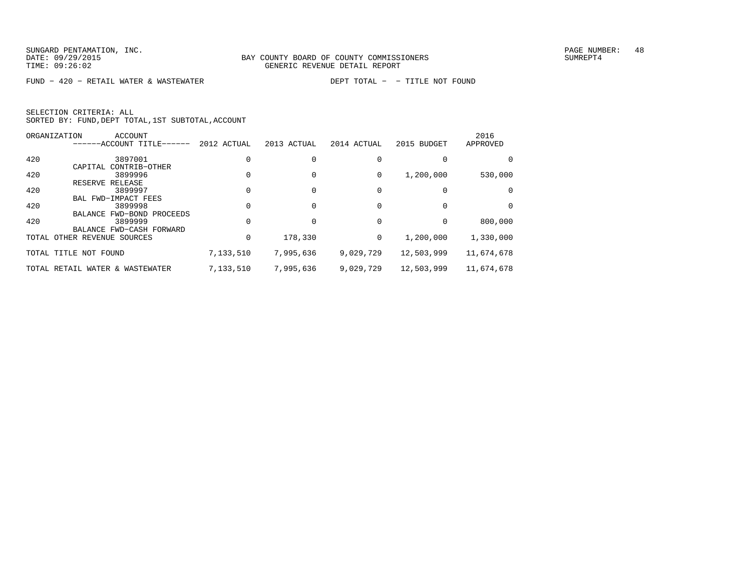FUND − 420 − RETAIL WATER & WASTEWATER DEPT TOTAL − − TITLE NOT FOUND

|     | <b>ACCOUNT</b><br>ORGANIZATION  |             |             |             |             | 2016       |
|-----|---------------------------------|-------------|-------------|-------------|-------------|------------|
|     | ------ACCOUNT TITLE------       | 2012 ACTUAL | 2013 ACTUAL | 2014 ACTUAL | 2015 BUDGET | APPROVED   |
| 420 | 3897001                         |             |             |             |             | $\Omega$   |
|     | CAPITAL CONTRIB-OTHER           |             |             |             |             |            |
| 420 | 3899996                         |             |             | 0           | 1,200,000   | 530,000    |
|     | RESERVE RELEASE                 |             |             |             |             |            |
| 420 | 3899997                         |             |             |             |             | $\Omega$   |
|     | BAL FWD-IMPACT FEES             |             |             |             |             |            |
| 420 | 3899998                         |             |             |             |             | $\Omega$   |
|     | BALANCE FWD-BOND PROCEEDS       |             |             |             |             |            |
| 420 | 3899999                         |             |             | $\Omega$    | $\Omega$    | 800,000    |
|     | BALANCE FWD-CASH FORWARD        |             |             |             |             |            |
|     | TOTAL OTHER REVENUE SOURCES     |             | 178,330     | 0           | 1,200,000   | 1,330,000  |
|     | TOTAL TITLE NOT FOUND           | 7,133,510   | 7,995,636   | 9,029,729   | 12,503,999  | 11,674,678 |
|     | TOTAL RETAIL WATER & WASTEWATER | 7,133,510   | 7,995,636   | 9,029,729   | 12,503,999  | 11,674,678 |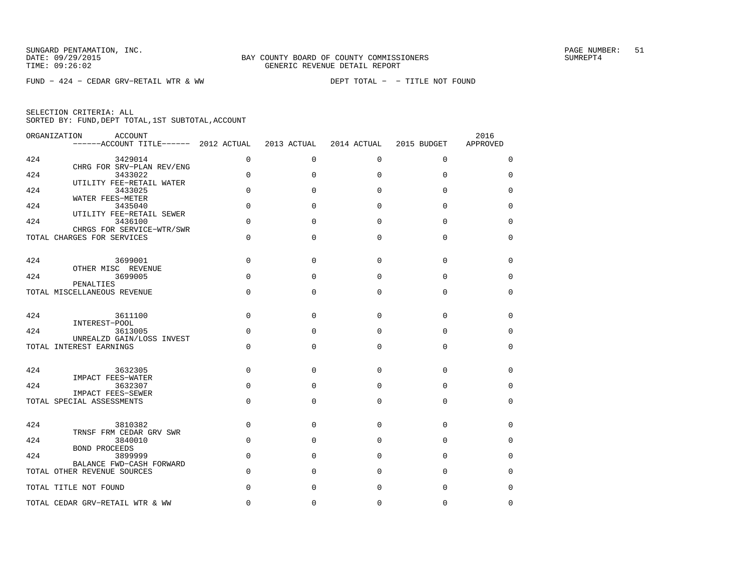FUND − 424 − CEDAR GRV−RETAIL WTR & WW DEPT TOTAL − − TITLE NOT FOUND

| ORGANIZATION<br><b>ACCOUNT</b><br>------ACCOUNT TITLE------ 2012 ACTUAL |             | 2013 ACTUAL | 2014 ACTUAL | 2015 BUDGET | 2016<br>APPROVED |
|-------------------------------------------------------------------------|-------------|-------------|-------------|-------------|------------------|
| 424<br>3429014                                                          | $\mathbf 0$ | $\mathbf 0$ | 0           | $\mathbf 0$ | 0                |
| CHRG FOR SRV-PLAN REV/ENG<br>424<br>3433022                             | 0           | $\Omega$    | $\Omega$    | $\mathbf 0$ | 0                |
| UTILITY FEE-RETAIL WATER<br>424<br>3433025                              | 0           | $\Omega$    | $\Omega$    | $\Omega$    | $\Omega$         |
| WATER FEES-METER<br>424<br>3435040                                      | $\Omega$    | $\Omega$    | $\Omega$    | $\Omega$    | 0                |
| UTILITY FEE-RETAIL SEWER<br>424<br>3436100                              | $\Omega$    | $\Omega$    | $\Omega$    | $\Omega$    | $\Omega$         |
| CHRGS FOR SERVICE-WTR/SWR<br>TOTAL CHARGES FOR SERVICES                 | 0           | $\Omega$    | $\Omega$    | $\Omega$    | 0                |
|                                                                         |             |             |             |             |                  |
| 424<br>3699001<br>OTHER MISC REVENUE                                    | $\Omega$    | $\Omega$    | $\Omega$    | $\Omega$    | $\Omega$         |
| 424<br>3699005<br>PENALTIES                                             | $\Omega$    | $\Omega$    | $\Omega$    | $\Omega$    | $\mathbf 0$      |
| TOTAL MISCELLANEOUS REVENUE                                             | 0           | $\Omega$    | $\Omega$    | $\mathbf 0$ | 0                |
| 424<br>3611100<br>INTEREST-POOL                                         | $\Omega$    | $\Omega$    | $\Omega$    | $\Omega$    | $\Omega$         |
| 424<br>3613005                                                          | 0           | $\Omega$    | $\Omega$    | $\Omega$    | $\mathbf 0$      |
| UNREALZD GAIN/LOSS INVEST<br>TOTAL INTEREST EARNINGS                    | $\Omega$    | $\Omega$    | $\Omega$    | $\Omega$    | 0                |
| 424<br>3632305                                                          | $\mathbf 0$ | $\Omega$    | $\Omega$    | $\Omega$    | 0                |
| IMPACT FEES-WATER                                                       |             |             |             |             |                  |
| 424<br>3632307<br><b>IMPACT FEES-SEWER</b>                              | 0           | $\Omega$    | $\Omega$    | 0           | 0                |
| TOTAL SPECIAL ASSESSMENTS                                               | 0           | $\mathbf 0$ | $\Omega$    | $\Omega$    | 0                |
| 424<br>3810382<br>TRNSF FRM CEDAR GRV SWR                               | $\mathbf 0$ | $\Omega$    | $\Omega$    | $\Omega$    | 0                |
| 424<br>3840010                                                          | $\mathbf 0$ | $\Omega$    | $\Omega$    | $\Omega$    | $\Omega$         |
| <b>BOND PROCEEDS</b><br>424<br>3899999                                  | 0           | $\Omega$    | $\Omega$    | $\Omega$    | $\mathbf 0$      |
| BALANCE FWD-CASH FORWARD<br>TOTAL OTHER REVENUE SOURCES                 | 0           | $\Omega$    | $\Omega$    | $\mathbf 0$ | 0                |
| TOTAL TITLE NOT FOUND                                                   | $\Omega$    | $\Omega$    | $\Omega$    | $\Omega$    | $\Omega$         |
| TOTAL CEDAR GRV-RETAIL WTR & WW                                         | $\Omega$    | $\Omega$    | $\Omega$    | $\Omega$    | $\Omega$         |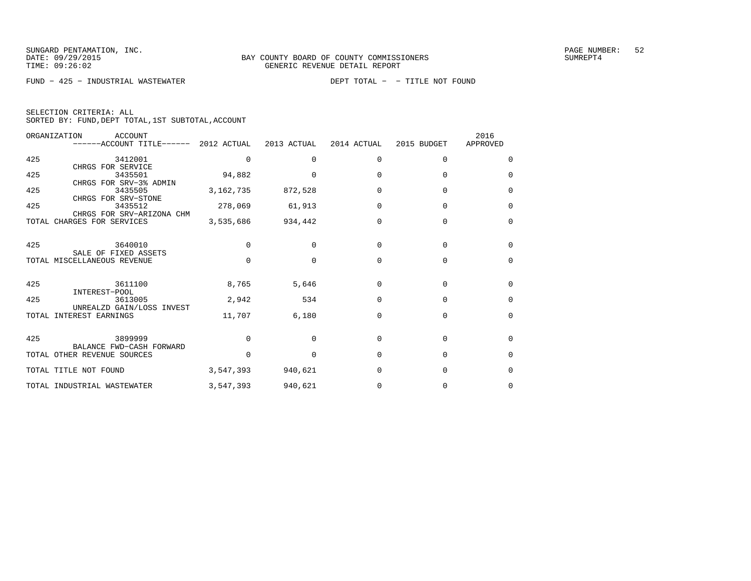FUND − 425 − INDUSTRIAL WASTEWATER DEPT TOTAL − − TITLE NOT FOUND

| SELECTION CRITERIA: ALL |  |  |                                                    |  |
|-------------------------|--|--|----------------------------------------------------|--|
|                         |  |  | SORTED BY: FUND, DEPT TOTAL, 1ST SUBTOTAL, ACCOUNT |  |

| ORGANIZATION<br>ACCOUNT     |                                                                                                                                                                                                                                                      |                                                                                              |                                                                  |                                                          | 2016                                                        |
|-----------------------------|------------------------------------------------------------------------------------------------------------------------------------------------------------------------------------------------------------------------------------------------------|----------------------------------------------------------------------------------------------|------------------------------------------------------------------|----------------------------------------------------------|-------------------------------------------------------------|
|                             |                                                                                                                                                                                                                                                      |                                                                                              |                                                                  |                                                          | APPROVED                                                    |
| 3412001                     | $\Omega$                                                                                                                                                                                                                                             | $\Omega$                                                                                     | $\Omega$                                                         | $\Omega$                                                 | $\Omega$                                                    |
| CHRGS FOR SERVICE           |                                                                                                                                                                                                                                                      |                                                                                              |                                                                  |                                                          |                                                             |
| 3435501                     |                                                                                                                                                                                                                                                      | $\Omega$                                                                                     | $\Omega$                                                         | $\Omega$                                                 | $\Omega$                                                    |
|                             |                                                                                                                                                                                                                                                      |                                                                                              |                                                                  |                                                          |                                                             |
|                             | 3, 162, 735                                                                                                                                                                                                                                          |                                                                                              | $\Omega$                                                         | $\Omega$                                                 | $\Omega$                                                    |
|                             |                                                                                                                                                                                                                                                      |                                                                                              |                                                                  |                                                          |                                                             |
|                             |                                                                                                                                                                                                                                                      |                                                                                              |                                                                  |                                                          | $\Omega$                                                    |
|                             |                                                                                                                                                                                                                                                      |                                                                                              |                                                                  |                                                          |                                                             |
|                             |                                                                                                                                                                                                                                                      |                                                                                              |                                                                  |                                                          | $\Omega$                                                    |
|                             |                                                                                                                                                                                                                                                      |                                                                                              |                                                                  |                                                          |                                                             |
| 3640010                     | $\Omega$                                                                                                                                                                                                                                             | $\Omega$                                                                                     | $\Omega$                                                         | $\Omega$                                                 | 0                                                           |
| SALE OF FIXED ASSETS        |                                                                                                                                                                                                                                                      |                                                                                              |                                                                  |                                                          |                                                             |
|                             | $\Omega$                                                                                                                                                                                                                                             | $\Omega$                                                                                     | $\Omega$                                                         | $\Omega$                                                 | $\Omega$                                                    |
|                             |                                                                                                                                                                                                                                                      |                                                                                              |                                                                  |                                                          |                                                             |
|                             |                                                                                                                                                                                                                                                      |                                                                                              |                                                                  |                                                          | $\Omega$                                                    |
| 3613005                     | 2,942                                                                                                                                                                                                                                                | 534                                                                                          | $\Omega$                                                         | $\Omega$                                                 | $\Omega$                                                    |
| UNREALZD GAIN/LOSS INVEST   |                                                                                                                                                                                                                                                      |                                                                                              |                                                                  |                                                          |                                                             |
| INTEREST EARNINGS<br>TOTAL  | 11,707                                                                                                                                                                                                                                               | 6,180                                                                                        | $\Omega$                                                         | $\Omega$                                                 | $\Omega$                                                    |
|                             |                                                                                                                                                                                                                                                      |                                                                                              |                                                                  |                                                          |                                                             |
| 3899999                     | $\Omega$                                                                                                                                                                                                                                             | $\Omega$                                                                                     | $\Omega$                                                         | $\Omega$                                                 | $\Omega$                                                    |
|                             |                                                                                                                                                                                                                                                      |                                                                                              |                                                                  |                                                          | $\Omega$                                                    |
|                             |                                                                                                                                                                                                                                                      |                                                                                              |                                                                  |                                                          |                                                             |
| TOTAL TITLE NOT FOUND       | 3,547,393                                                                                                                                                                                                                                            | 940,621                                                                                      | 0                                                                | $\Omega$                                                 | $\Omega$                                                    |
| TOTAL INDUSTRIAL WASTEWATER | 3,547,393                                                                                                                                                                                                                                            | 940,621                                                                                      | 0                                                                | $\Omega$                                                 | $\Omega$                                                    |
|                             | CHRGS FOR SRV-3% ADMIN<br>3435505<br>CHRGS FOR SRV-STONE<br>3435512<br>CHRGS FOR SRV-ARIZONA CHM<br>TOTAL CHARGES FOR SERVICES<br>TOTAL MISCELLANEOUS REVENUE<br>3611100<br>INTEREST-POOL<br>BALANCE FWD-CASH FORWARD<br>TOTAL OTHER REVENUE SOURCES | ------ACCOUNT TITLE------ 2012 ACTUAL<br>94,882<br>278,069<br>3,535,686<br>8,765<br>$\Omega$ | 2013 ACTUAL<br>872,528<br>61,913<br>934,442<br>5,646<br>$\Omega$ | 2014 ACTUAL<br>$\Omega$<br>0<br>$\Omega$<br><sup>0</sup> | 2015 BUDGET<br>$\Omega$<br>$\Omega$<br>$\Omega$<br>$\Omega$ |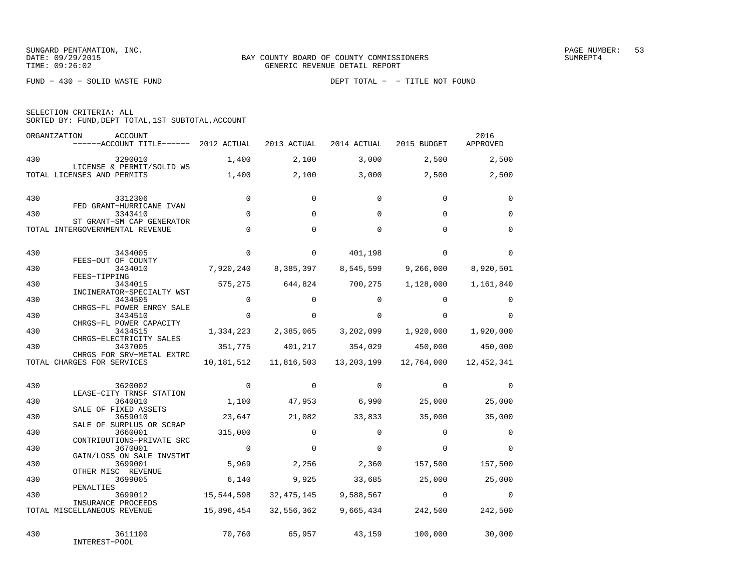FUND − 430 − SOLID WASTE FUND DEPT TOTAL − − TITLE NOT FOUND

| SELECTION CRITERIA: ALL |  |  |  |                                                    |  |  |
|-------------------------|--|--|--|----------------------------------------------------|--|--|
|                         |  |  |  | SORTED BY: FUND, DEPT TOTAL, 1ST SUBTOTAL, ACCOUNT |  |  |
|                         |  |  |  |                                                    |  |  |

|     | ORGANIZATION<br><b>ACCOUNT</b><br>------ACCOUNT TITLE------ 2012 ACTUAL |             | 2013 ACTUAL  | 2014 ACTUAL  | 2015 BUDGET | 2016<br>APPROVED |
|-----|-------------------------------------------------------------------------|-------------|--------------|--------------|-------------|------------------|
| 430 | 3290010                                                                 | 1,400       | 2,100        | 3,000        | 2,500       | 2,500            |
|     | LICENSE & PERMIT/SOLID WS<br>TOTAL LICENSES AND PERMITS                 | 1,400       | 2,100        | 3,000        | 2,500       | 2,500            |
| 430 | 3312306<br>FED GRANT-HURRICANE IVAN                                     | $\Omega$    | $\Omega$     | $\Omega$     | $\Omega$    | $\Omega$         |
| 430 | 3343410                                                                 | $\Omega$    | $\Omega$     | $\Omega$     | $\Omega$    | $\Omega$         |
|     | ST GRANT-SM CAP GENERATOR<br>TOTAL INTERGOVERNMENTAL REVENUE            | $\Omega$    | $\Omega$     | $\Omega$     | $\Omega$    | $\Omega$         |
| 430 | 3434005                                                                 | $\mathbf 0$ | $\Omega$     | 401,198      | $\Omega$    | $\Omega$         |
| 430 | FEES-OUT OF COUNTY<br>3434010<br>FEES-TIPPING                           | 7,920,240   | 8,385,397    | 8,545,599    | 9,266,000   | 8,920,501        |
| 430 | 3434015                                                                 | 575,275     | 644,824      | 700,275      | 1,128,000   | 1,161,840        |
| 430 | INCINERATOR-SPECIALTY WST<br>3434505                                    | $\Omega$    | $\Omega$     | $\Omega$     | $\Omega$    | $\Omega$         |
| 430 | CHRGS-FL POWER ENRGY SALE<br>3434510                                    | $\Omega$    | $\Omega$     | $\Omega$     | $\Omega$    | $\Omega$         |
| 430 | CHRGS-FL POWER CAPACITY<br>3434515                                      | 1,334,223   | 2,385,065    | 3,202,099    | 1,920,000   | 1,920,000        |
| 430 | CHRGS-ELECTRICITY SALES<br>3437005                                      | 351,775     | 401,217      | 354,029      | 450,000     | 450,000          |
|     | CHRGS FOR SRV-METAL EXTRC<br>TOTAL CHARGES FOR SERVICES                 | 10,181,512  | 11,816,503   | 13,203,199   | 12,764,000  | 12,452,341       |
| 430 | 3620002<br>LEASE-CITY TRNSF STATION                                     | $\Omega$    | $\Omega$     | $\mathbf{0}$ | $\Omega$    | $\Omega$         |
| 430 | 3640010                                                                 | 1,100       | 47,953       | 6,990        | 25,000      | 25,000           |
| 430 | SALE OF FIXED ASSETS<br>3659010                                         | 23,647      | 21,082       | 33,833       | 35,000      | 35,000           |
| 430 | SALE OF SURPLUS OR SCRAP<br>3660001                                     | 315,000     | $\Omega$     | $\Omega$     | $\Omega$    | $\Omega$         |
| 430 | CONTRIBUTIONS-PRIVATE SRC<br>3670001                                    | $\Omega$    | $\Omega$     | $\Omega$     | $\cap$      | $\Omega$         |
| 430 | GAIN/LOSS ON SALE INVSTMT<br>3699001                                    | 5,969       | 2,256        | 2,360        | 157,500     | 157,500          |
| 430 | OTHER MISC REVENUE<br>3699005                                           | 6,140       | 9,925        | 33,685       | 25,000      | 25,000           |
| 430 | PENALTIES<br>3699012                                                    | 15,544,598  | 32, 475, 145 | 9,588,567    | $\Omega$    | $\Omega$         |
|     | INSURANCE PROCEEDS<br>TOTAL MISCELLANEOUS REVENUE                       | 15,896,454  | 32,556,362   | 9,665,434    | 242,500     | 242,500          |
| 430 | 3611100<br>INTEREST-POOL                                                | 70,760      | 65,957       | 43,159       | 100,000     | 30,000           |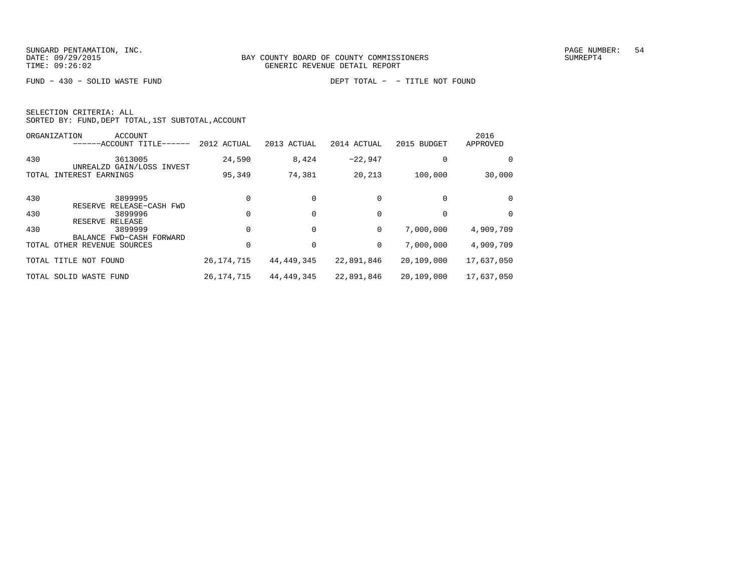FUND − 430 − SOLID WASTE FUND DEPT TOTAL − − TITLE NOT FOUND

| SELECTION CRITERIA: ALL |  |  |                                                    |  |
|-------------------------|--|--|----------------------------------------------------|--|
|                         |  |  | SORTED BY: FUND, DEPT TOTAL, 1ST SUBTOTAL, ACCOUNT |  |

|     | ORGANIZATION<br>ACCOUNT<br>------ACCOUNT TITLE------   | 2012 ACTUAL  | 2013 ACTUAL  | 2014 ACTUAL | 2015 BUDGET | 2016<br>APPROVED |
|-----|--------------------------------------------------------|--------------|--------------|-------------|-------------|------------------|
| 430 | 3613005                                                | 24,590       | 8,424        | $-22.947$   |             | 0                |
|     | UNREALZD GAIN/LOSS INVEST<br>TOTAL INTEREST EARNINGS   | 95,349       | 74,381       | 20,213      | 100,000     | 30,000           |
| 430 | 3899995<br>RESERVE RELEASE-CASH FWD                    |              |              |             |             | 0                |
| 430 | 3899996                                                |              |              |             |             | 0                |
| 430 | RESERVE RELEASE<br>3899999<br>BALANCE FWD-CASH FORWARD |              |              | 0           | 7,000,000   | 4,909,709        |
|     | TOTAL OTHER REVENUE SOURCES                            |              |              | 0           | 7,000,000   | 4,909,709        |
|     | TOTAL TITLE<br>NOT FOUND                               | 26, 174, 715 | 44,449,345   | 22,891,846  | 20,109,000  | 17,637,050       |
|     | TOTAL SOLID WASTE FUND                                 | 26, 174, 715 | 44, 449, 345 | 22,891,846  | 20,109,000  | 17,637,050       |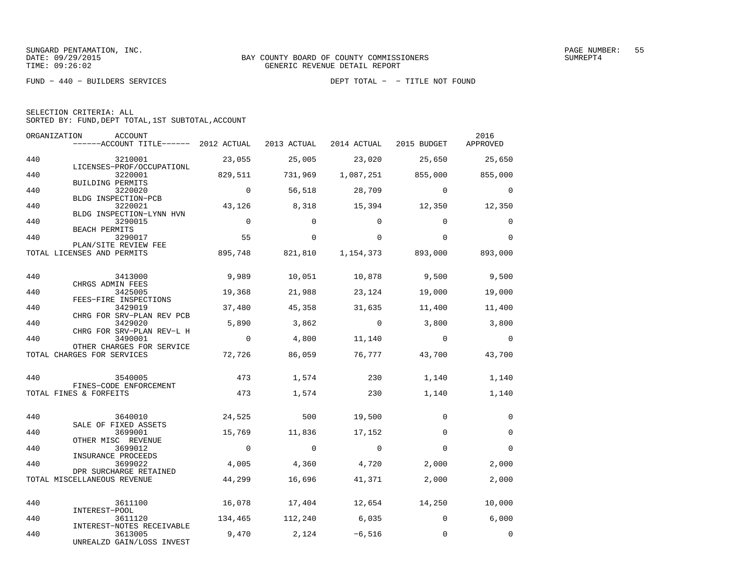FUND − 440 − BUILDERS SERVICES DEPT TOTAL − − TITLE NOT FOUND

|  | SELECTION CRITERIA: ALL                            |  |  |
|--|----------------------------------------------------|--|--|
|  | SORTED BY: FUND, DEPT TOTAL, 1ST SUBTOTAL, ACCOUNT |  |  |

|     | ORGANIZATION<br>ACCOUNT<br>------ACCOUNT TITLE------ 2012 ACTUAL |                | 2013 ACTUAL    | 2014 ACTUAL 2015 BUDGET |                           | 2016<br>APPROVED |
|-----|------------------------------------------------------------------|----------------|----------------|-------------------------|---------------------------|------------------|
| 440 | 3210001                                                          | 23,055         | 25,005         | 23,020                  | 25,650                    | 25,650           |
| 440 | LICENSES-PROF/OCCUPATIONL<br>3220001<br>BUILDING PERMITS         | 829,511        | 731,969        | 1,087,251               | 855,000                   | 855,000          |
| 440 | 3220020<br>BLDG INSPECTION-PCB                                   | $\Omega$       | 56,518         | 28,709                  | $\Omega$                  | $\Omega$         |
| 440 | 3220021<br>BLDG INSPECTION-LYNN HVN                              | 43,126         | 8,318          | 15,394                  | 12,350                    | 12,350           |
| 440 | 3290015<br>BEACH PERMITS                                         | $\overline{0}$ | $\Omega$       | $\Omega$                | $\Omega$                  | $\Omega$         |
| 440 | 3290017<br>PLAN/SITE REVIEW FEE                                  | 55             | $\Omega$       | $\Omega$                | $\Omega$                  | $\Omega$         |
|     | TOTAL LICENSES AND PERMITS                                       | 895,748        | 821,810        |                         | 1,154,373 893,000 893,000 |                  |
| 440 | 3413000<br>CHRGS ADMIN FEES                                      | 9,989          | 10,051         | 10,878                  | 9,500                     | 9,500            |
| 440 | 3425005<br>FEES-FIRE INSPECTIONS                                 | 19,368         | 21,988         | 23,124                  | 19,000                    | 19,000           |
| 440 | 3429019<br>CHRG FOR SRV-PLAN REV PCB                             | 37,480         | 45,358         | 31,635                  | 11,400                    | 11,400           |
| 440 | 3429020<br>CHRG FOR SRV-PLAN REV-L H                             | 5,890          | 3,862          | $\overline{0}$          | 3,800                     | 3,800            |
| 440 | 3490001<br>OTHER CHARGES FOR SERVICE                             | $\overline{0}$ | 4,800          | 11,140                  | $\overline{0}$            | $\mathbf 0$      |
|     | TOTAL CHARGES FOR SERVICES                                       | 72,726         | 86,059         | 76,777                  | 43,700                    | 43,700           |
| 440 | 3540005<br>FINES-CODE ENFORCEMENT                                | 473            | 1,574          | 230                     | 1,140                     | 1,140            |
|     | TOTAL FINES & FORFEITS                                           | 473            | 1,574          | 230                     | 1,140                     | 1,140            |
| 440 | 3640010<br>SALE OF FIXED ASSETS                                  | 24,525         | 500            | 19,500                  | $\Omega$                  | $\mathbf 0$      |
| 440 | 3699001<br>OTHER MISC REVENUE                                    | 15,769         | 11,836         | 17,152                  | $\Omega$                  | $\Omega$         |
| 440 | 3699012<br>INSURANCE PROCEEDS                                    | $\overline{0}$ | $\bigcirc$     | $\Omega$                | $\Omega$                  | $\Omega$         |
| 440 | 3699022<br>DPR SURCHARGE RETAINED                                | 4,005          | 4,360          | 4,720                   | 2,000                     | 2,000            |
|     | TOTAL MISCELLANEOUS REVENUE                                      | 44,299         | 16,696         | 41,371                  | 2,000                     | 2,000            |
| 440 | 3611100<br>INTEREST-POOL                                         | 16,078         | 17,404         |                         | 12,654 14,250             | 10,000           |
| 440 | 3611120<br>INTEREST-NOTES RECEIVABLE                             | 134,465        |                | 112,240 6,035           | $\overline{0}$            | 6,000            |
| 440 | 3613005<br>UNREALZD GAIN/LOSS INVEST                             | 9,470          | $2,124$ -6,516 |                         | $\Omega$                  | $\Omega$         |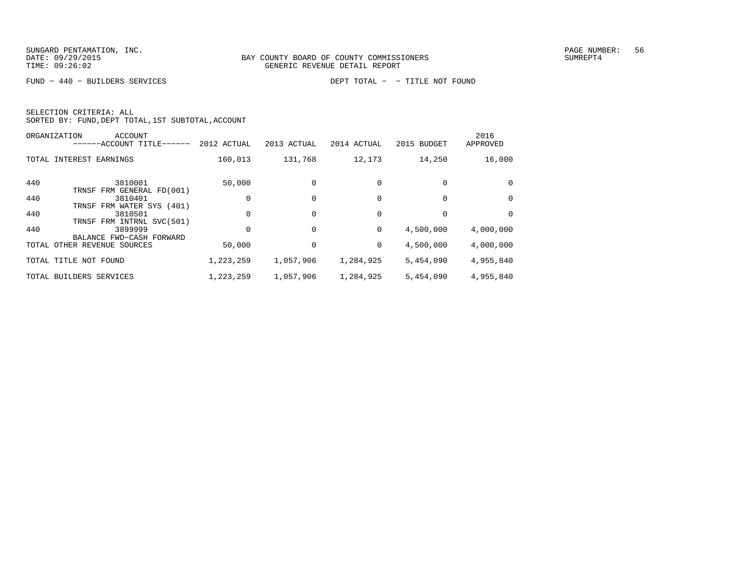FUND − 440 − BUILDERS SERVICES DEPT TOTAL − − TITLE NOT FOUND

|     | <b>ACCOUNT</b><br>ORGANIZATION<br>------ACCOUNT TITLE------ | 2012 ACTUAL | 2013 ACTUAL | 2014 ACTUAL | 2015 BUDGET | 2016<br>APPROVED |
|-----|-------------------------------------------------------------|-------------|-------------|-------------|-------------|------------------|
|     | TOTAL INTEREST EARNINGS                                     | 160,013     | 131,768     | 12,173      | 14,250      | 16,000           |
| 440 | 3810001<br>TRNSF FRM GENERAL FD(001)                        | 50,000      |             |             |             | 0                |
| 440 | 3810401<br>TRNSF FRM WATER SYS (401)                        |             | 0           |             |             | 0                |
| 440 | 3810501<br>TRNSF FRM INTRNL SVC(501)                        | 0           | 0           |             |             | $\Omega$         |
| 440 | 3899999                                                     |             | 0           | 0           | 4,500,000   | 4,000,000        |
|     | BALANCE FWD-CASH FORWARD<br>TOTAL OTHER REVENUE SOURCES     | 50,000      |             | 0           | 4,500,000   | 4,000,000        |
|     | TOTAL TITLE NOT FOUND                                       | 1,223,259   | 1,057,906   | 1,284,925   | 5,454,090   | 4,955,840        |
|     | TOTAL BUILDERS SERVICES                                     | 1,223,259   | 1,057,906   | 1,284,925   | 5,454,090   | 4,955,840        |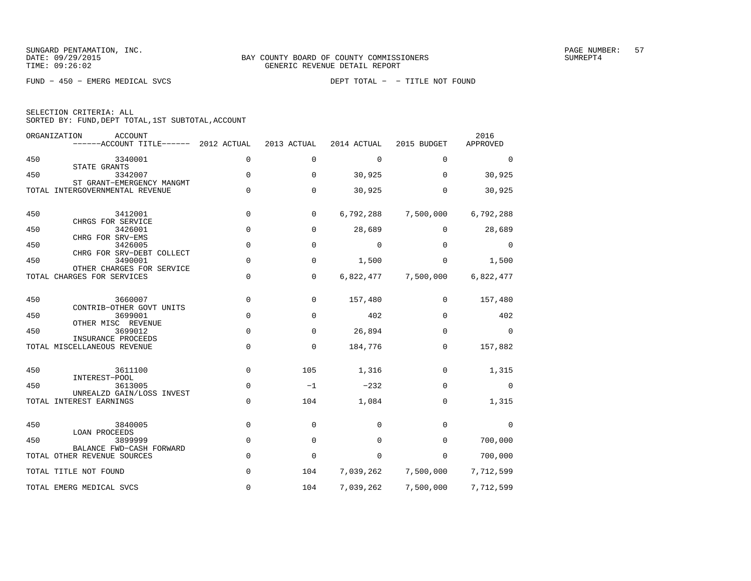FUND − 450 − EMERG MEDICAL SVCS DEPT TOTAL − − TITLE NOT FOUND

|  | SELECTION CRITERIA: ALL |                                                    |  |
|--|-------------------------|----------------------------------------------------|--|
|  |                         | SORTED BY: FUND, DEPT TOTAL, 1ST SUBTOTAL, ACCOUNT |  |

|     | ORGANIZATION<br>ACCOUNT<br>------ACCOUNT TITLE------              | 2012 ACTUAL    | 2013 ACTUAL | 2014 ACTUAL | 2015 BUDGET | 2016<br>APPROVED |
|-----|-------------------------------------------------------------------|----------------|-------------|-------------|-------------|------------------|
| 450 | 3340001                                                           | $\mathbf 0$    | $\mathbf 0$ | 0           | 0           | $\Omega$         |
| 450 | STATE GRANTS<br>3342007                                           | $\mathbf 0$    | $\Omega$    | 30,925      | $\Omega$    | 30,925           |
|     | ST GRANT-EMERGENCY MANGMT<br>TOTAL INTERGOVERNMENTAL REVENUE      | $\mathbf 0$    | $\mathbf 0$ | 30,925      | 0           | 30,925           |
| 450 | 3412001<br>CHRGS FOR SERVICE                                      | $\mathbf 0$    | 0           | 6,792,288   | 7,500,000   | 6,792,288        |
| 450 | 3426001<br>CHRG FOR SRV-EMS                                       | $\mathsf 0$    | 0           | 28,689      | $\mathbf 0$ | 28,689           |
| 450 | 3426005                                                           | 0              | $\mathbf 0$ | 0           | $\mathbf 0$ | $\Omega$         |
| 450 | CHRG FOR SRV-DEBT COLLECT<br>3490001<br>OTHER CHARGES FOR SERVICE | $\mathbf 0$    | $\mathbf 0$ | 1,500       | 0           | 1,500            |
|     | TOTAL CHARGES FOR SERVICES                                        | $\overline{0}$ | $\mathbf 0$ | 6,822,477   | 7,500,000   | 6,822,477        |
| 450 | 3660007<br>CONTRIB-OTHER GOVT UNITS                               | $\mathbf 0$    | 0           | 157,480     | 0           | 157,480          |
| 450 | 3699001                                                           | $\mathsf 0$    | 0           | 402         | 0           | 402              |
| 450 | OTHER MISC REVENUE<br>3699012                                     | $\mathbf 0$    | 0           | 26,894      | 0           | 0                |
|     | INSURANCE PROCEEDS<br>TOTAL MISCELLANEOUS REVENUE                 | $\mathbf 0$    | $\mathbf 0$ | 184,776     | $\mathbf 0$ | 157,882          |
| 450 | 3611100<br>INTEREST-POOL                                          | $\mathbf 0$    | 105         | 1,316       | $\Omega$    | 1,315            |
| 450 | 3613005                                                           | $\mathbf 0$    | $-1$        | $-232$      | $\Omega$    | $\mathbf 0$      |
|     | UNREALZD GAIN/LOSS INVEST<br>TOTAL INTEREST EARNINGS              | $\mathbf 0$    | 104         | 1,084       | 0           | 1,315            |
| 450 | 3840005<br><b>LOAN PROCEEDS</b>                                   | 0              | 0           | 0           | $\Omega$    | $\Omega$         |
| 450 | 3899999<br>BALANCE FWD-CASH FORWARD                               | $\mathsf 0$    | 0           | 0           | 0           | 700,000          |
|     | TOTAL OTHER REVENUE SOURCES                                       | $\mathsf 0$    | $\mathbf 0$ | 0           | $\mathbf 0$ | 700,000          |
|     | TOTAL TITLE NOT FOUND                                             | $\mathbf 0$    | 104         | 7,039,262   | 7,500,000   | 7,712,599        |
|     | TOTAL EMERG MEDICAL SVCS                                          | 0              | 104         | 7,039,262   | 7,500,000   | 7,712,599        |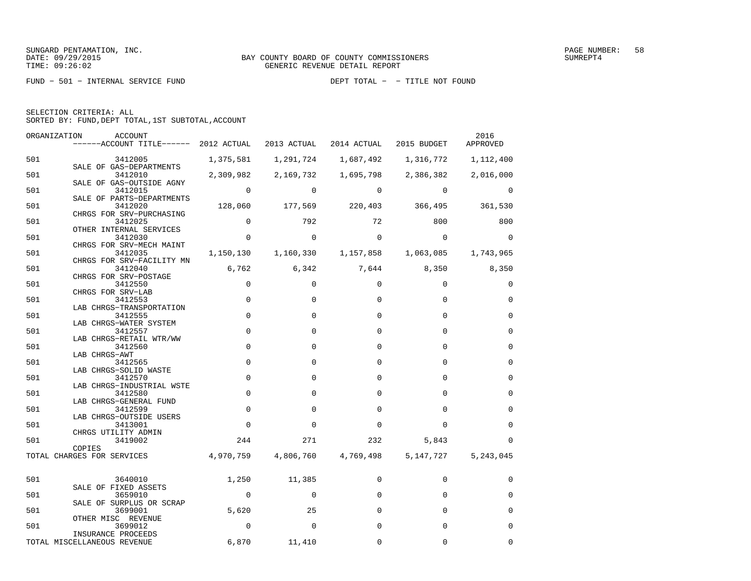FUND − 501 − INTERNAL SERVICE FUND DEPT TOTAL − − TITLE NOT FOUND

| SELECTION CRITERIA: ALL |  |  |                                                    |  |
|-------------------------|--|--|----------------------------------------------------|--|
|                         |  |  | SORTED BY: FUND. DEPT TOTAL. 1ST SUBTOTAL. ACCOUNT |  |

| ORGANIZATION | ACCOUNT<br>------ACCOUNT TITLE------ 2012 ACTUAL |                | 2013 ACTUAL             | 2014 ACTUAL | 2015 BUDGET                     | 2016<br>APPROVED |
|--------------|--------------------------------------------------|----------------|-------------------------|-------------|---------------------------------|------------------|
| 501          | 3412005                                          | 1,375,581      | 1,291,724               | 1,687,492   | 1,316,772                       | 1,112,400        |
| 501          | SALE OF GAS-DEPARTMENTS<br>3412010               | 2,309,982      | 2,169,732               | 1,695,798   | 2,386,382                       | 2,016,000        |
| 501          | SALE OF GAS-OUTSIDE AGNY<br>3412015              | $\mathbf 0$    | 0                       | $\Omega$    | $\mathbf 0$                     | 0                |
| 501          | SALE OF PARTS-DEPARTMENTS<br>3412020             | 128,060        |                         |             | 177,569 220,403 366,495 361,530 |                  |
| 501          | CHRGS FOR SRV-PURCHASING<br>3412025              | $\mathbf 0$    | 792                     | 72          | 800                             | 800              |
| 501          | OTHER INTERNAL SERVICES<br>3412030               | $\overline{0}$ | $\mathbf 0$             | $\Omega$    | $\Omega$                        | $\Omega$         |
| 501          | CHRGS FOR SRV-MECH MAINT<br>3412035              |                | 1, 150, 130 1, 160, 330 | 1,157,858   | 1,063,085                       | 1,743,965        |
| 501          | CHRGS FOR SRV-FACILITY MN<br>3412040             |                | 6,762 6,342             |             | 7,644 8,350 8,350               |                  |
| 501          | CHRGS FOR SRV-POSTAGE<br>3412550                 | $\mathbf 0$    | $\Omega$                | $\Omega$    | $\Omega$                        | 0                |
| 501          | CHRGS FOR SRV-LAB<br>3412553                     | $\mathbf 0$    | $\mathbf 0$             | 0           | $\mathbf 0$                     | $\mathbf 0$      |
| 501          | LAB CHRGS-TRANSPORTATION<br>3412555              | $\mathbf 0$    | $\Omega$                | $\Omega$    | $\Omega$                        | 0                |
| 501          | LAB CHRGS-WATER SYSTEM<br>3412557                | $\mathbf 0$    | $\mathbf 0$             | 0           | 0                               | $\mathbf 0$      |
| 501          | LAB CHRGS-RETAIL WTR/WW<br>3412560               | $\mathbf 0$    | $\mathbf 0$             | $\Omega$    | $\Omega$                        | $\mathbf 0$      |
| 501          | LAB CHRGS-AWT<br>3412565                         | $\mathbf 0$    | $\Omega$                | $\Omega$    | $\Omega$                        | $\Omega$         |
| 501          | LAB CHRGS-SOLID WASTE<br>3412570                 | $\mathbf 0$    | $\mathbf 0$             | $\Omega$    | $\Omega$                        | $\mathbf 0$      |
| 501          | LAB CHRGS-INDUSTRIAL WSTE<br>3412580             | $\mathbf 0$    | $\Omega$                | $\Omega$    | $\Omega$                        | $\Omega$         |
| 501          | LAB CHRGS-GENERAL FUND<br>3412599                | $\mathbf 0$    | $\mathbf 0$             | $\Omega$    | $\Omega$                        | $\Omega$         |
| 501          | LAB CHRGS-OUTSIDE USERS<br>3413001               | $\Omega$       | $\Omega$                | $\Omega$    | $\Omega$                        | $\Omega$         |
| 501          | CHRGS UTILITY ADMIN<br>3419002                   | 244            | 271                     | 232         | 5,843                           | $\Omega$         |
|              | COPIES<br>TOTAL CHARGES FOR SERVICES             | 4,970,759      | 4,806,760               | 4,769,498   | 5,147,727                       | 5,243,045        |
| 501          | 3640010                                          | 1,250          | 11,385                  | $\mathbf 0$ | $\mathbf 0$                     | 0                |
| 501          | SALE OF FIXED ASSETS<br>3659010                  | $\overline{0}$ | 0                       | $\Omega$    | $\Omega$                        | $\Omega$         |
| 501          | SALE OF SURPLUS OR SCRAP<br>3699001              | 5,620          | 25                      | $\Omega$    | $\Omega$                        | $\mathbf 0$      |
| 501          | OTHER MISC REVENUE<br>3699012                    | $\mathbf 0$    | $\Omega$                | $\Omega$    | $\Omega$                        | $\mathbf 0$      |
|              | INSURANCE PROCEEDS                               |                |                         |             |                                 |                  |
|              | TOTAL MISCELLANEOUS REVENUE                      | 6,870          | 11,410                  | $\Omega$    | $\Omega$                        | $\Omega$         |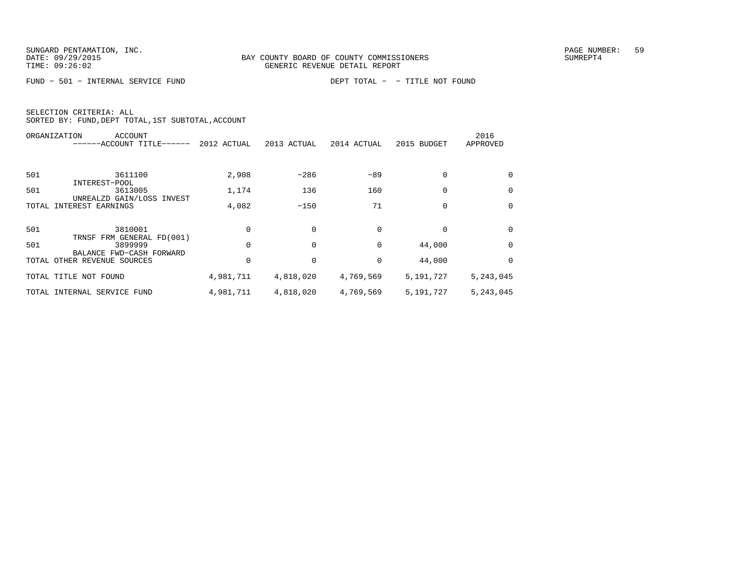FUND − 501 − INTERNAL SERVICE FUND DEPT TOTAL − − TITLE NOT FOUND

|       | ORGANIZATION<br>ACCOUNT<br>------ACCOUNT TITLE-<br>$------$ | 2012 ACTUAL | 2013 ACTUAL | 2014 ACTUAL | 2015 BUDGET | 2016<br>APPROVED |
|-------|-------------------------------------------------------------|-------------|-------------|-------------|-------------|------------------|
|       |                                                             |             |             |             |             |                  |
| 501   | 3611100                                                     | 2,908       | $-286$      | $-89$       | $\Omega$    | 0                |
| 501   | INTEREST-POOL<br>3613005                                    | 1,174       | 136         | 160         | $\Omega$    | $\Omega$         |
| TOTAL | UNREALZD GAIN/LOSS INVEST<br>INTEREST EARNINGS              | 4,082       | $-150$      | 71          | $\Omega$    | 0                |
| 501   | 3810001                                                     |             |             |             |             | $\Omega$         |
| 501   | TRNSF FRM GENERAL FD(001)<br>3899999                        |             |             | $\Omega$    | 44,000      | $\Omega$         |
|       | BALANCE FWD-CASH FORWARD<br>TOTAL OTHER REVENUE SOURCES     |             |             | 0           | 44,000      | $\Omega$         |
|       | TOTAL TITLE NOT FOUND                                       | 4,981,711   | 4,818,020   | 4,769,569   | 5,191,727   | 5,243,045        |
|       | TOTAL INTERNAL SERVICE FUND                                 | 4,981,711   | 4,818,020   | 4,769,569   | 5,191,727   | 5,243,045        |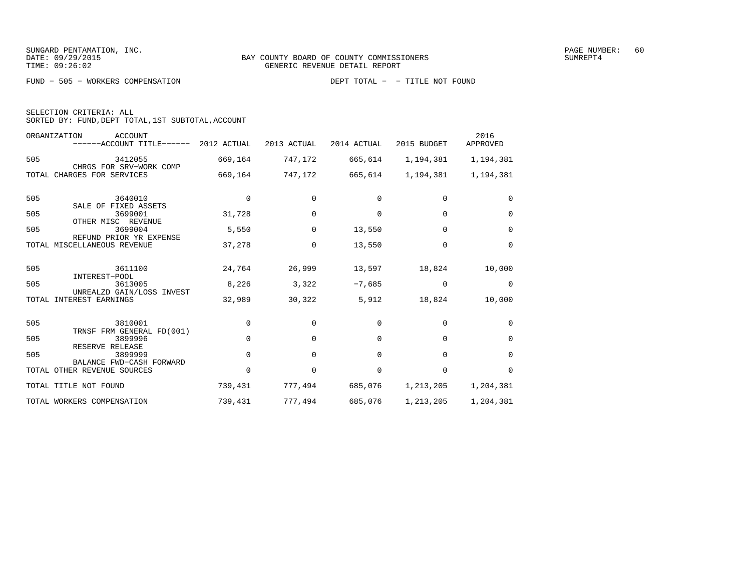| SELECTION CRITERIA: ALL                            |  |
|----------------------------------------------------|--|
| SORTED BY: FUND, DEPT TOTAL, 1ST SUBTOTAL, ACCOUNT |  |

|     | ORGANIZATION<br><b>ACCOUNT</b><br>---ACCOUNT TITLE------ | 2012 ACTUAL | 2013 ACTUAL | 2014 ACTUAL | 2015 BUDGET | 2016<br>APPROVED |
|-----|----------------------------------------------------------|-------------|-------------|-------------|-------------|------------------|
| 505 | 3412055<br>CHRGS FOR SRV-WORK COMP                       | 669,164     | 747,172     | 665,614     | 1,194,381   | 1,194,381        |
|     | TOTAL CHARGES FOR SERVICES                               | 669,164     | 747,172     | 665,614     | 1,194,381   | 1,194,381        |
| 505 | 3640010<br>SALE OF FIXED ASSETS                          | 0           | 0           | $\Omega$    | 0           | 0                |
| 505 | 3699001<br>OTHER MISC REVENUE                            | 31,728      | $\Omega$    | $\Omega$    | $\Omega$    | $\Omega$         |
| 505 | 3699004<br>REFUND PRIOR YR EXPENSE                       | 5,550       | $\Omega$    | 13,550      | $\Omega$    | $\Omega$         |
|     | TOTAL MISCELLANEOUS REVENUE                              | 37,278      | $\Omega$    | 13,550      | $\Omega$    | $\Omega$         |
| 505 | 3611100<br>INTEREST-POOL                                 | 24,764      | 26,999      | 13,597      | 18,824      | 10,000           |
| 505 | 3613005<br>UNREALZD GAIN/LOSS INVEST                     | 8,226       | 3,322       | $-7,685$    | $\Omega$    | $\Omega$         |
|     | TOTAL INTEREST EARNINGS                                  | 32,989      | 30,322      | 5,912       | 18,824      | 10,000           |
| 505 | 3810001<br>TRNSF FRM GENERAL FD(001)                     | $\mathbf 0$ | $\Omega$    | $\Omega$    | $\Omega$    | $\Omega$         |
| 505 | 3899996<br>RESERVE RELEASE                               | $\Omega$    | $\Omega$    | $\Omega$    | $\Omega$    | $\Omega$         |
| 505 | 3899999<br>BALANCE FWD-CASH FORWARD                      | $\Omega$    | $\Omega$    | $\Omega$    | $\Omega$    | $\Omega$         |
|     | TOTAL OTHER REVENUE SOURCES                              | $\Omega$    | $\Omega$    | $\Omega$    | $\Omega$    | $\Omega$         |
|     | TOTAL TITLE NOT FOUND                                    | 739,431     | 777,494     | 685,076     | 1,213,205   | 1,204,381        |
|     | TOTAL WORKERS COMPENSATION                               | 739,431     | 777,494     | 685,076     | 1,213,205   | 1,204,381        |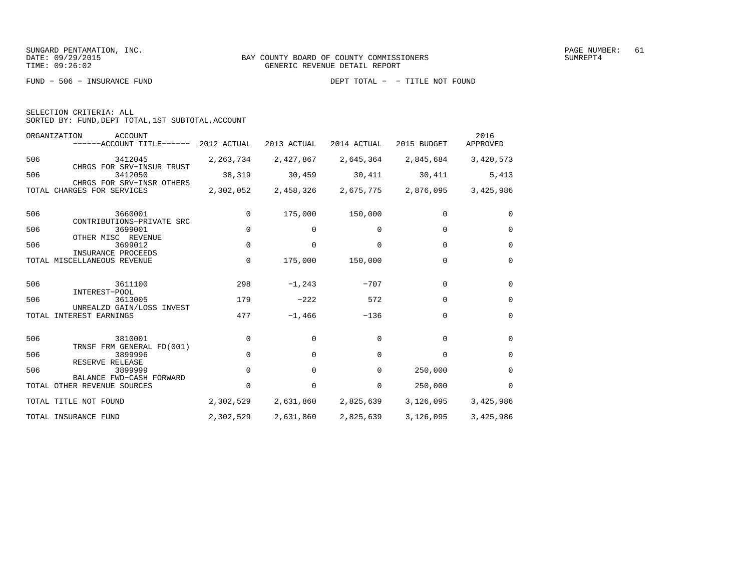FUND − 506 − INSURANCE FUND DEPT TOTAL − − TITLE NOT FOUND

|  | SELECTION CRITERIA: ALL |                                                    |  |
|--|-------------------------|----------------------------------------------------|--|
|  |                         | SORTED BY: FUND, DEPT TOTAL, 1ST SUBTOTAL, ACCOUNT |  |

|     | ORGANIZATION<br><b>ACCOUNT</b><br>------ACCOUNT TITLE------       | 2012 ACTUAL | 2013 ACTUAL | 2014 ACTUAL | 2015 BUDGET | 2016<br>APPROVED |
|-----|-------------------------------------------------------------------|-------------|-------------|-------------|-------------|------------------|
| 506 | 3412045                                                           | 2, 263, 734 | 2,427,867   | 2,645,364   | 2,845,684   | 3,420,573        |
| 506 | CHRGS FOR SRV-INSUR TRUST<br>3412050<br>CHRGS FOR SRV-INSR OTHERS | 38,319      | 30,459      | 30,411      | 30,411      | 5,413            |
|     | TOTAL CHARGES FOR SERVICES                                        | 2,302,052   | 2,458,326   | 2,675,775   | 2,876,095   | 3,425,986        |
| 506 | 3660001                                                           | $\Omega$    | 175,000     | 150,000     | $\Omega$    | $\Omega$         |
| 506 | CONTRIBUTIONS-PRIVATE SRC<br>3699001<br>OTHER MISC REVENUE        | $\Omega$    | 0           | 0           | $\Omega$    | $\Omega$         |
| 506 | 3699012<br>INSURANCE PROCEEDS                                     | $\Omega$    | $\Omega$    | $\Omega$    | $\Omega$    | $\Omega$         |
|     | TOTAL MISCELLANEOUS REVENUE                                       | $\Omega$    | 175,000     | 150,000     | $\Omega$    | $\Omega$         |
| 506 | 3611100                                                           | 298         | $-1, 243$   | $-707$      | $\Omega$    | $\Omega$         |
| 506 | INTEREST-POOL<br>3613005                                          | 179         | $-222$      | 572         | $\Omega$    | $\Omega$         |
|     | UNREALZD GAIN/LOSS INVEST<br>TOTAL INTEREST EARNINGS              | 477         | $-1,466$    | $-136$      | $\Omega$    | $\Omega$         |
| 506 | 3810001                                                           | 0           | $\Omega$    | $\Omega$    | $\Omega$    | $\Omega$         |
| 506 | TRNSF FRM GENERAL FD(001)<br>3899996                              | $\Omega$    | $\Omega$    | $\Omega$    | $\Omega$    | $\Omega$         |
| 506 | RESERVE RELEASE<br>3899999                                        | $\Omega$    | 0           | 0           | 250,000     | $\Omega$         |
|     | BALANCE FWD-CASH FORWARD<br>TOTAL OTHER REVENUE SOURCES           | $\Omega$    | 0           | 0           | 250,000     | $\Omega$         |
|     | TOTAL TITLE NOT FOUND                                             | 2,302,529   | 2,631,860   | 2,825,639   | 3,126,095   | 3,425,986        |
|     | TOTAL INSURANCE FUND                                              | 2,302,529   | 2,631,860   | 2,825,639   | 3,126,095   | 3,425,986        |